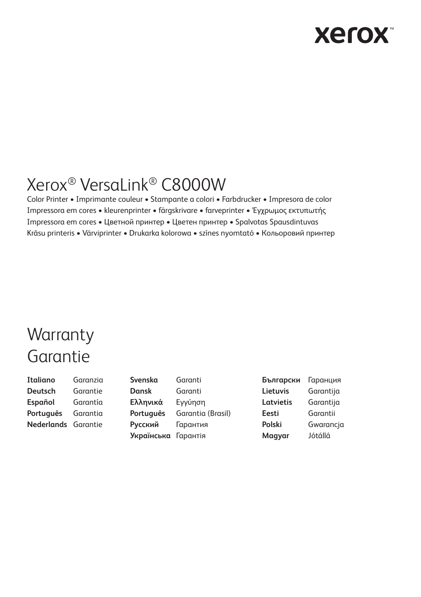# **Xerox**

# Xerox® VersaLink® C8000W

Color Printer • Imprimante couleur • Stampante a colori • Farbdrucker • Impresora de color Impressora em cores • kleurenprinter • färgskrivare • farveprinter • Έγχρωμος εκτυπωτής Impressora em cores • Цветной принтер • Цветен принтер • Spalvotas Spausdintuvas Krāsu printeris • Värviprinter • Drukarka kolorowa • színes nyomtató • Кольоровий принтер

# **Warranty** Garantie

**Italiano** Garanzia **Deutsch** Garantie **Español** Garantía **Português** Garantia **Nederlands** Garantie

**Svenska** Garanti **Dansk** Garanti **Ελληνικά** Εγγύηση **Português** Garantia (Brasil) **Русский** Гарантия **Українська** Гарантія

**Български** Гаранция **Lietuvis** Garantija **Latvietis** Garantija **Eesti** Garantii **Polski** Gwarancja **Magyar** Jótállá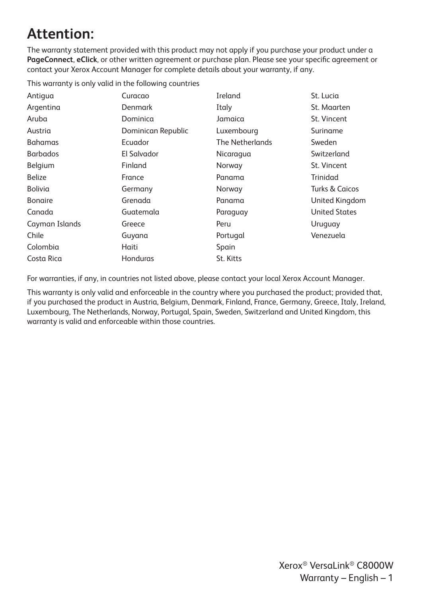## **Attention:**

The warranty statement provided with this product may not apply if you purchase your product under a **PageConnect**, **eClick**, or other written agreement or purchase plan. Please see your specific agreement or contact your Xerox Account Manager for complete details about your warranty, if any.

This warranty is only valid in the following countries

| Curacao            | Ireland         | St. Lucia            |
|--------------------|-----------------|----------------------|
| Denmark            | Italy           | St. Maarten          |
| Dominica           | Jamaica         | St. Vincent          |
| Dominican Republic | Luxembourg      | Suriname             |
| Ecuador            | The Netherlands | Sweden               |
| El Salvador        | Nicaragua       | Switzerland          |
| Finland            | Norway          | St. Vincent          |
| France             | Panama          | Trinidad             |
| Germany            | Norway          | Turks & Caicos       |
| Grenada            | Panama          | United Kingdom       |
| Guatemala          | Paraguay        | <b>United States</b> |
| Greece             | Peru            | Uruguay              |
| Guyana             | Portugal        | Venezuela            |
| Haiti              | Spain           |                      |
| Honduras           | St. Kitts       |                      |
|                    |                 |                      |

For warranties, if any, in countries not listed above, please contact your local Xerox Account Manager.

This warranty is only valid and enforceable in the country where you purchased the product; provided that, if you purchased the product in Austria, Belgium, Denmark, Finland, France, Germany, Greece, Italy, Ireland, Luxembourg, The Netherlands, Norway, Portugal, Spain, Sweden, Switzerland and United Kingdom, this warranty is valid and enforceable within those countries.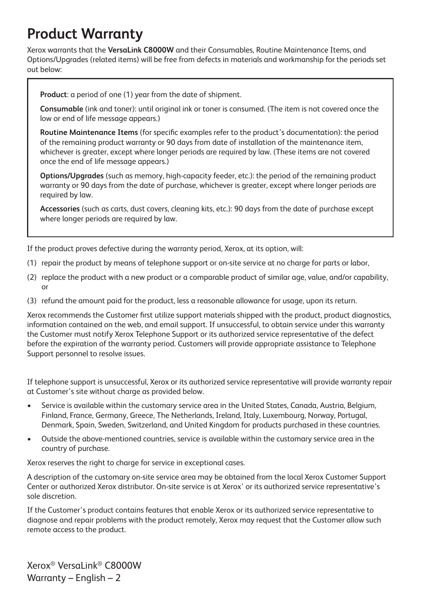#### **Product Warranty**

Xerox warrants that the **VersaLink C8000W** and their Consumables, Routine Maintenance Items, and Options/Upgrades (related items) will be free from defects in materials and workmanship for the periods set out below:

**Product**: a period of one (1) year from the date of shipment.

**Consumable** (ink and toner): until original ink or toner is consumed. (The item is not covered once the low or end of life message appears.)

**Routine Maintenance Items** (for specific examples refer to the product's documentation): the period of the remaining product warranty or 90 days from date of installation of the maintenance item, whichever is greater, except where longer periods are required by law. (These items are not covered once the end of life message appears.)

**Options/Upgrades** (such as memory, high-capacity feeder, etc.): the period of the remaining product warranty or 90 days from the date of purchase, whichever is greater, except where longer periods are required by law.

**Accessories** (such as carts, dust covers, cleaning kits, etc.): 90 days from the date of purchase except where longer periods are required by law.

If the product proves defective during the warranty period, Xerox, at its option, will:

- (1) repair the product by means of telephone support or on-site service at no charge for parts or labor,
- (2) replace the product with a new product or a comparable product of similar age, value, and/or capability, or
- (3) refund the amount paid for the product, less a reasonable allowance for usage, upon its return.

Xerox recommends the Customer first utilize support materials shipped with the product, product diagnostics, information contained on the web, and email support. If unsuccessful, to obtain service under this warranty the Customer must notify Xerox Telephone Support or its authorized service representative of the defect before the expiration of the warranty period. Customers will provide appropriate assistance to Telephone Support personnel to resolve issues.

If telephone support is unsuccessful, Xerox or its authorized service representative will provide warranty repair at Customer's site without charge as provided below.

- Service is available within the customary service area in the United States, Canada, Austria, Belgium, Finland, France, Germany, Greece, The Netherlands, Ireland, Italy, Luxembourg, Norway, Portugal, Denmark, Spain, Sweden, Switzerland, and United Kingdom for products purchased in these countries.
- Outside the above-mentioned countries, service is available within the customary service area in the country of purchase.

Xerox reserves the right to charge for service in exceptional cases.

A description of the customary on-site service area may be obtained from the local Xerox Customer Support Center or authorized Xerox distributor. On-site service is at Xerox' or its authorized service representative's sole discretion.

If the Customer's product contains features that enable Xerox or its authorized service representative to diagnose and repair problems with the product remotely, Xerox may request that the Customer allow such remote access to the product.

Xerox® VersaLink® C8000W Warranty – English – 2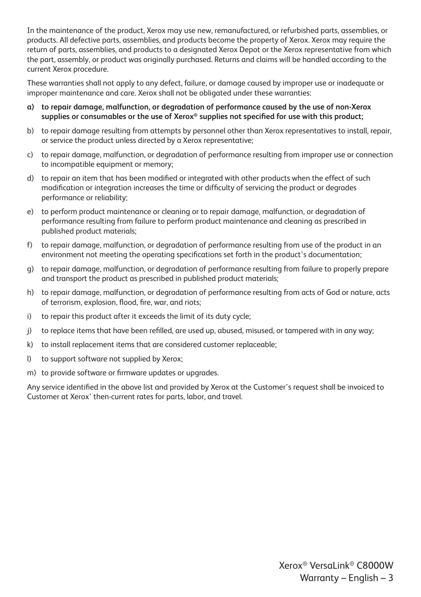In the maintenance of the product, Xerox may use new, remanufactured, or refurbished parts, assemblies, or products. All defective parts, assemblies, and products become the property of Xerox. Xerox may require the return of parts, assemblies, and products to a designated Xerox Depot or the Xerox representative from which the part, assembly, or product was originally purchased. Returns and claims will be handled according to the current Xerox procedure.

These warranties shall not apply to any defect, failure, or damage caused by improper use or inadequate or improper maintenance and care. Xerox shall not be obligated under these warranties:

- **a) to repair damage, malfunction, or degradation of performance caused by the use of non-Xerox supplies or consumables or the use of Xerox® supplies not specified for use with this product;**
- b) to repair damage resulting from attempts by personnel other than Xerox representatives to install, repair, or service the product unless directed by a Xerox representative;
- c) to repair damage, malfunction, or degradation of performance resulting from improper use or connection to incompatible equipment or memory;
- d) to repair an item that has been modified or integrated with other products when the effect of such modification or integration increases the time or difficulty of servicing the product or degrades performance or reliability;
- e) to perform product maintenance or cleaning or to repair damage, malfunction, or degradation of performance resulting from failure to perform product maintenance and cleaning as prescribed in published product materials;
- f) to repair damage, malfunction, or degradation of performance resulting from use of the product in an environment not meeting the operating specifications set forth in the product's documentation;
- g) to repair damage, malfunction, or degradation of performance resulting from failure to properly prepare and transport the product as prescribed in published product materials;
- h) to repair damage, malfunction, or degradation of performance resulting from acts of God or nature, acts of terrorism, explosion, flood, fire, war, and riots;
- i) to repair this product after it exceeds the limit of its duty cycle;
- j) to replace items that have been refilled, are used up, abused, misused, or tampered with in any way;
- k) to install replacement items that are considered customer replaceable;
- l) to support software not supplied by Xerox;
- m) to provide software or firmware updates or upgrades.

Any service identified in the above list and provided by Xerox at the Customer's request shall be invoiced to Customer at Xerox' then-current rates for parts, labor, and travel.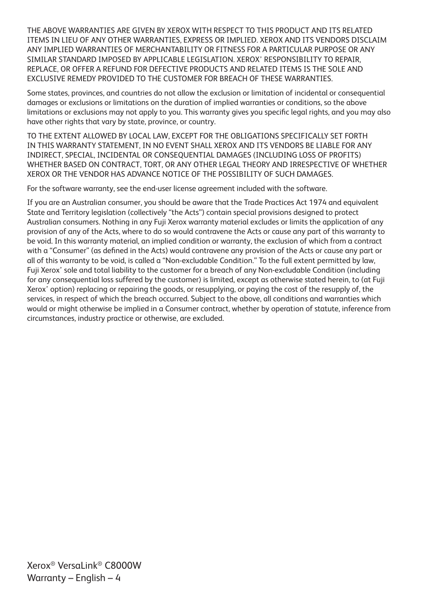THE ABOVE WARRANTIES ARE GIVEN BY XEROX WITH RESPECT TO THIS PRODUCT AND ITS RELATED ITEMS IN LIEU OF ANY OTHER WARRANTIES, EXPRESS OR IMPLIED. XEROX AND ITS VENDORS DISCLAIM ANY IMPLIED WARRANTIES OF MERCHANTABILITY OR FITNESS FOR A PARTICULAR PURPOSE OR ANY SIMILAR STANDARD IMPOSED BY APPLICABLE LEGISLATION. XEROX' RESPONSIBILITY TO REPAIR, REPLACE, OR OFFER A REFUND FOR DEFECTIVE PRODUCTS AND RELATED ITEMS IS THE SOLE AND EXCLUSIVE REMEDY PROVIDED TO THE CUSTOMER FOR BREACH OF THESE WARRANTIES.

Some states, provinces, and countries do not allow the exclusion or limitation of incidental or consequential damages or exclusions or limitations on the duration of implied warranties or conditions, so the above limitations or exclusions may not apply to you. This warranty gives you specific legal rights, and you may also have other rights that vary by state, province, or country.

TO THE EXTENT ALLOWED BY LOCAL LAW, EXCEPT FOR THE OBLIGATIONS SPECIFICALLY SET FORTH IN THIS WARRANTY STATEMENT, IN NO EVENT SHALL XEROX AND ITS VENDORS BE LIABLE FOR ANY INDIRECT, SPECIAL, INCIDENTAL OR CONSEQUENTIAL DAMAGES (INCLUDING LOSS OF PROFITS) WHETHER BASED ON CONTRACT, TORT, OR ANY OTHER LEGAL THEORY AND IRRESPECTIVE OF WHETHER XEROX OR THE VENDOR HAS ADVANCE NOTICE OF THE POSSIBILITY OF SUCH DAMAGES.

For the software warranty, see the end-user license agreement included with the software.

If you are an Australian consumer, you should be aware that the Trade Practices Act 1974 and equivalent State and Territory legislation (collectively "the Acts") contain special provisions designed to protect Australian consumers. Nothing in any Fuji Xerox warranty material excludes or limits the application of any provision of any of the Acts, where to do so would contravene the Acts or cause any part of this warranty to be void. In this warranty material, an implied condition or warranty, the exclusion of which from a contract with a "Consumer" (as defined in the Acts) would contravene any provision of the Acts or cause any part or all of this warranty to be void, is called a "Non-excludable Condition." To the full extent permitted by law, Fuji Xerox' sole and total liability to the customer for a breach of any Non-excludable Condition (including for any consequential loss suffered by the customer) is limited, except as otherwise stated herein, to (at Fuji Xerox' option) replacing or repairing the goods, or resupplying, or paying the cost of the resupply of, the services, in respect of which the breach occurred. Subject to the above, all conditions and warranties which would or might otherwise be implied in a Consumer contract, whether by operation of statute, inference from circumstances, industry practice or otherwise, are excluded.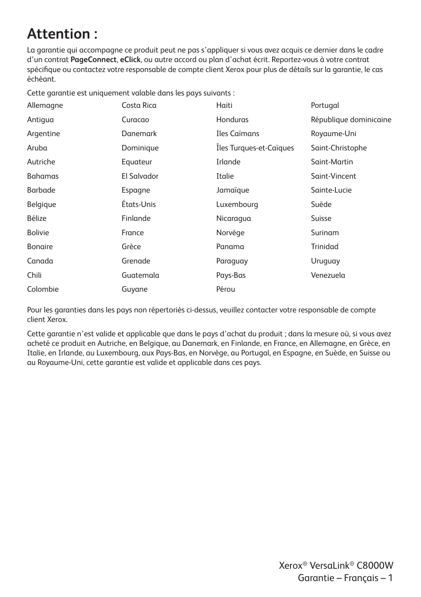## **Attention :**

La garantie qui accompagne ce produit peut ne pas s'appliquer si vous avez acquis ce dernier dans le cadre d'un contrat **PageConnect**, **eClick**, ou autre accord ou plan d'achat écrit. Reportez-vous à votre contrat spécifique ou contactez votre responsable de compte client Xerox pour plus de détails sur la garantie, le cas échéant.

Cette garantie est uniquement valable dans les pays suivants :

| Allemagne      | Costa Rica      | Haiti                   | Portugal               |
|----------------|-----------------|-------------------------|------------------------|
| Antigua        | Curacao         | Honduras                | République dominicaine |
| Argentine      | <b>Danemark</b> | Iles Caïmans            | Royaume-Uni            |
| Aruba          | Dominique       | Iles Turques-et-Caïques | Saint-Christophe       |
| Autriche       | Equateur        | Irlande                 | Saint-Martin           |
| <b>Bahamas</b> | El Salvador     | Italie                  | Saint-Vincent          |
| <b>Barbade</b> | Espagne         | Jamaïque                | Sainte-Lucie           |
| Belgique       | Etats-Unis      | Luxembourg              | Suède                  |
| Bélize         | Finlande        | Nicaragua               | Suisse                 |
| <b>Bolivie</b> | France          | Norvège                 | Surinam                |
| <b>Bonaire</b> | Grèce           | Panama                  | Trinidad               |
| Canada         | Grenade         | Paraguay                | Uruguay                |
| Chili          | Guatemala       | Pays-Bas                | Venezuela              |
| Colombie       | Guyane          | Pérou                   |                        |

Pour les garanties dans les pays non répertoriés ci-dessus, veuillez contacter votre responsable de compte client Xerox.

Cette garantie n'est valide et applicable que dans le pays d'achat du produit ; dans la mesure où, si vous avez acheté ce produit en Autriche, en Belgique, au Danemark, en Finlande, en France, en Allemagne, en Grèce, en Italie, en Irlande, au Luxembourg, aux Pays-Bas, en Norvège, au Portugal, en Espagne, en Suède, en Suisse ou au Royaume-Uni, cette garantie est valide et applicable dans ces pays.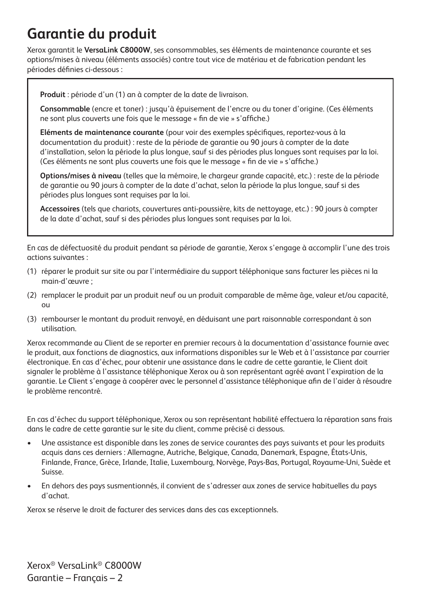## **Garantie du produit**

Xerox garantit le **VersaLink C8000W**, ses consommables, ses éléments de maintenance courante et ses options/mises à niveau (éléments associés) contre tout vice de matériau et de fabrication pendant les périodes définies ci-dessous :

**Produit** : période d'un (1) an à compter de la date de livraison.

**Consommable** (encre et toner) : jusqu'à épuisement de l'encre ou du toner d'origine. (Ces éléments ne sont plus couverts une fois que le message « fin de vie » s'affiche.)

**Eléments de maintenance courante** (pour voir des exemples spécifiques, reportez-vous à la documentation du produit) : reste de la période de garantie ou 90 jours à compter de la date d'installation, selon la période la plus longue, sauf si des périodes plus longues sont requises par la loi. (Ces éléments ne sont plus couverts une fois que le message « fin de vie » s'affiche.)

**Options/mises à niveau** (telles que la mémoire, le chargeur grande capacité, etc.) : reste de la période de garantie ou 90 jours à compter de la date d'achat, selon la période la plus longue, sauf si des périodes plus longues sont requises par la loi.

**Accessoires** (tels que chariots, couvertures anti-poussière, kits de nettoyage, etc.) : 90 jours à compter de la date d'achat, sauf si des périodes plus longues sont requises par la loi.

En cas de défectuosité du produit pendant sa période de garantie, Xerox s'engage à accomplir l'une des trois actions suivantes :

- (1) réparer le produit sur site ou par l'intermédiaire du support téléphonique sans facturer les pièces ni la main-d'œuvre ;
- (2) remplacer le produit par un produit neuf ou un produit comparable de même âge, valeur et/ou capacité, ou
- (3) rembourser le montant du produit renvoyé, en déduisant une part raisonnable correspondant à son utilisation.

Xerox recommande au Client de se reporter en premier recours à la documentation d'assistance fournie avec le produit, aux fonctions de diagnostics, aux informations disponibles sur le Web et à l'assistance par courrier électronique. En cas d'échec, pour obtenir une assistance dans le cadre de cette garantie, le Client doit signaler le problème à l'assistance téléphonique Xerox ou à son représentant agréé avant l'expiration de la garantie. Le Client s'engage à coopérer avec le personnel d'assistance téléphonique afin de l'aider à résoudre le problème rencontré.

En cas d'échec du support téléphonique, Xerox ou son représentant habilité effectuera la réparation sans frais dans le cadre de cette garantie sur le site du client, comme précisé ci dessous.

- Une assistance est disponible dans les zones de service courantes des pays suivants et pour les produits acquis dans ces derniers : Allemagne, Autriche, Belgique, Canada, Danemark, Espagne, États-Unis, Finlande, France, Grèce, Irlande, Italie, Luxembourg, Norvège, Pays-Bas, Portugal, Royaume-Uni, Suède et Suisse.
- En dehors des pays susmentionnés, il convient de s'adresser aux zones de service habituelles du pays d'achat.

Xerox se réserve le droit de facturer des services dans des cas exceptionnels.

Xerox® VersaLink® C8000W Garantie – Français – 2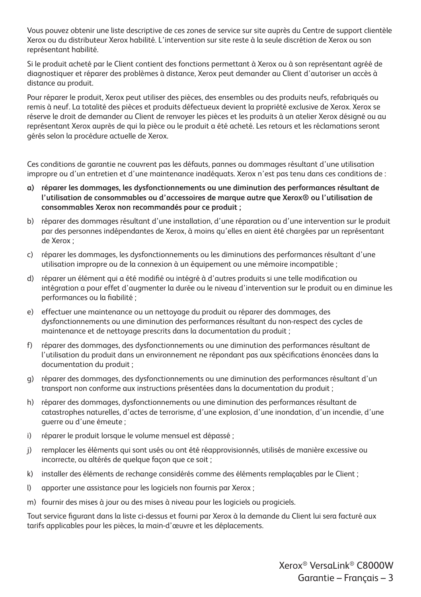Vous pouvez obtenir une liste descriptive de ces zones de service sur site auprès du Centre de support clientèle Xerox ou du distributeur Xerox habilité. L'intervention sur site reste à la seule discrétion de Xerox ou son représentant habilité.

Si le produit acheté par le Client contient des fonctions permettant à Xerox ou à son représentant agréé de diagnostiquer et réparer des problèmes à distance, Xerox peut demander au Client d'autoriser un accès à distance au produit.

Pour réparer le produit, Xerox peut utiliser des pièces, des ensembles ou des produits neufs, refabriqués ou remis à neuf. La totalité des pièces et produits défectueux devient la propriété exclusive de Xerox. Xerox se réserve le droit de demander au Client de renvoyer les pièces et les produits à un atelier Xerox désigné ou au représentant Xerox auprès de qui la pièce ou le produit a été acheté. Les retours et les réclamations seront gérés selon la procédure actuelle de Xerox.

Ces conditions de garantie ne couvrent pas les défauts, pannes ou dommages résultant d'une utilisation impropre ou d'un entretien et d'une maintenance inadéquats. Xerox n'est pas tenu dans ces conditions de :

- **a) réparer les dommages, les dysfonctionnements ou une diminution des performances résultant de l'utilisation de consommables ou d'accessoires de marque autre que Xerox® ou l'utilisation de consommables Xerox non recommandés pour ce produit ;**
- b) réparer des dommages résultant d'une installation, d'une réparation ou d'une intervention sur le produit par des personnes indépendantes de Xerox, à moins qu'elles en aient été chargées par un représentant de Xerox ;
- c) réparer les dommages, les dysfonctionnements ou les diminutions des performances résultant d'une utilisation impropre ou de la connexion à un équipement ou une mémoire incompatible ;
- d) réparer un élément qui a été modifié ou intégré à d'autres produits si une telle modification ou intégration a pour effet d'augmenter la durée ou le niveau d'intervention sur le produit ou en diminue les performances ou la fiabilité ;
- e) effectuer une maintenance ou un nettoyage du produit ou réparer des dommages, des dysfonctionnements ou une diminution des performances résultant du non-respect des cycles de maintenance et de nettoyage prescrits dans la documentation du produit ;
- f) réparer des dommages, des dysfonctionnements ou une diminution des performances résultant de l'utilisation du produit dans un environnement ne répondant pas aux spécifications énoncées dans la documentation du produit ;
- g) réparer des dommages, des dysfonctionnements ou une diminution des performances résultant d'un transport non conforme aux instructions présentées dans la documentation du produit ;
- h) réparer des dommages, dysfonctionnements ou une diminution des performances résultant de catastrophes naturelles, d'actes de terrorisme, d'une explosion, d'une inondation, d'un incendie, d'une guerre ou d'une émeute ;
- i) réparer le produit lorsque le volume mensuel est dépassé ;
- j) remplacer les éléments qui sont usés ou ont été réapprovisionnés, utilisés de manière excessive ou incorrecte, ou altérés de quelque façon que ce soit ;
- k) installer des éléments de rechange considérés comme des éléments remplaçables par le Client ;
- l) apporter une assistance pour les logiciels non fournis par Xerox ;
- m) fournir des mises à jour ou des mises à niveau pour les logiciels ou progiciels.

Tout service figurant dans la liste ci-dessus et fourni par Xerox à la demande du Client lui sera facturé aux tarifs applicables pour les pièces, la main-d'œuvre et les déplacements.

> Xerox® VersaLink® C8000W Garantie – Français – 3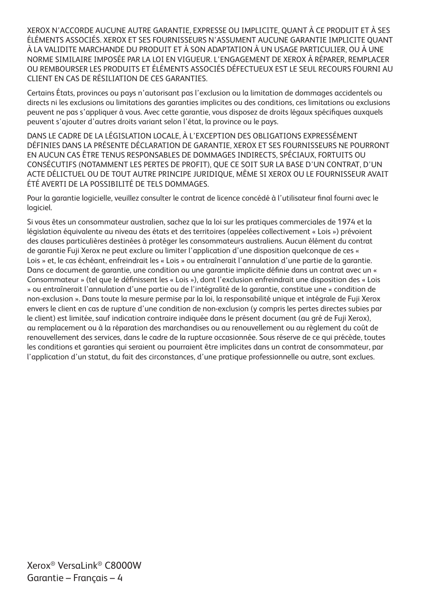XEROX N'ACCORDE AUCUNE AUTRE GARANTIE, EXPRESSE OU IMPLICITE, QUANT À CE PRODUIT ET À SES ÉLÉMENTS ASSOCIÉS. XEROX ET SES FOURNISSEURS N'ASSUMENT AUCUNE GARANTIE IMPLICITE QUANT À LA VALIDITE MARCHANDE DU PRODUIT ET À SON ADAPTATION À UN USAGE PARTICULIER, OU À UNE NORME SIMILAIRE IMPOSÉE PAR LA LOI EN VIGUEUR. L'ENGAGEMENT DE XEROX À RÉPARER, REMPLACER OU REMBOURSER LES PRODUITS ET ÉLÉMENTS ASSOCIÉS DÉFECTUEUX EST LE SEUL RECOURS FOURNI AU CLIENT EN CAS DE RÉSILIATION DE CES GARANTIES.

Certains États, provinces ou pays n'autorisant pas l'exclusion ou la limitation de dommages accidentels ou directs ni les exclusions ou limitations des garanties implicites ou des conditions, ces limitations ou exclusions peuvent ne pas s'appliquer à vous. Avec cette garantie, vous disposez de droits légaux spécifiques auxquels peuvent s'ajouter d'autres droits variant selon l'état, la province ou le pays.

DANS LE CADRE DE LA LÉGISLATION LOCALE, À L'EXCEPTION DES OBLIGATIONS EXPRESSÉMENT DÉFINIES DANS LA PRÉSENTE DÉCLARATION DE GARANTIE, XEROX ET SES FOURNISSEURS NE POURRONT EN AUCUN CAS ÊTRE TENUS RESPONSABLES DE DOMMAGES INDIRECTS, SPÉCIAUX, FORTUITS OU CONSÉCUTIFS (NOTAMMENT LES PERTES DE PROFIT), QUE CE SOIT SUR LA BASE D'UN CONTRAT, D'UN ACTE DÉLICTUEL OU DE TOUT AUTRE PRINCIPE JURIDIQUE, MÊME SI XEROX OU LE FOURNISSEUR AVAIT ÉTÉ AVERTI DE LA POSSIBILITÉ DE TELS DOMMAGES.

Pour la garantie logicielle, veuillez consulter le contrat de licence concédé à l'utilisateur final fourni avec le logiciel.

Si vous êtes un consommateur australien, sachez que la loi sur les pratiques commerciales de 1974 et la législation équivalente au niveau des états et des territoires (appelées collectivement « Lois ») prévoient des clauses particulières destinées à protéger les consommateurs australiens. Aucun élément du contrat de garantie Fuji Xerox ne peut exclure ou limiter l'application d'une disposition quelconque de ces « Lois » et, le cas échéant, enfreindrait les « Lois » ou entraînerait l'annulation d'une partie de la garantie. Dans ce document de garantie, une condition ou une garantie implicite définie dans un contrat avec un « Consommateur » (tel que le définissent les « Lois »), dont l'exclusion enfreindrait une disposition des « Lois » ou entraînerait l'annulation d'une partie ou de l'intégralité de la garantie, constitue une « condition de non-exclusion ». Dans toute la mesure permise par la loi, la responsabilité unique et intégrale de Fuji Xerox envers le client en cas de rupture d'une condition de non-exclusion (y compris les pertes directes subies par le client) est limitée, sauf indication contraire indiquée dans le présent document (au gré de Fuji Xerox), au remplacement ou à la réparation des marchandises ou au renouvellement ou au règlement du coût de renouvellement des services, dans le cadre de la rupture occasionnée. Sous réserve de ce qui précède, toutes les conditions et garanties qui seraient ou pourraient être implicites dans un contrat de consommateur, par l'application d'un statut, du fait des circonstances, d'une pratique professionnelle ou autre, sont exclues.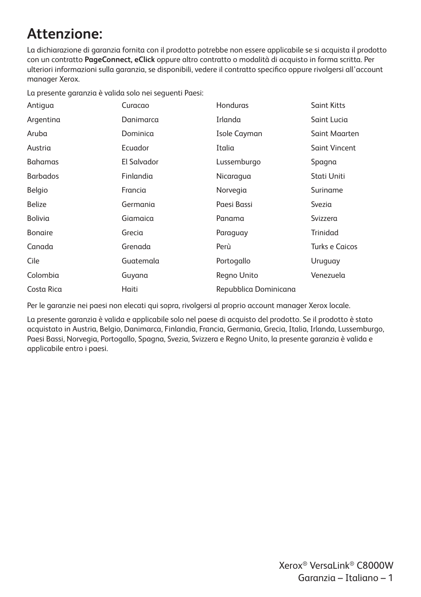## **Attenzione:**

La dichiarazione di garanzia fornita con il prodotto potrebbe non essere applicabile se si acquista il prodotto con un contratto **PageConnect, eClick** oppure altro contratto o modalità di acquisto in forma scritta. Per ulteriori informazioni sulla garanzia, se disponibili, vedere il contratto specifico oppure rivolgersi all'account manager Xerox.

La presente garanzia è valida solo nei seguenti Paesi:

| Antiqua         | Curacao     | Honduras              | <b>Saint Kitts</b>    |
|-----------------|-------------|-----------------------|-----------------------|
| Argentina       | Danimarca   | Irlanda               | Saint Lucia           |
| Aruba           | Dominica    | Isole Cayman          | Saint Maarten         |
| Austria         | Ecuador     | Italia                | <b>Saint Vincent</b>  |
| <b>Bahamas</b>  | El Salvador | Lussemburgo           | Spagna                |
| <b>Barbados</b> | Finlandia   | Nicaragua             | Stati Uniti           |
| Belgio          | Francia     | Norvegia              | Suriname              |
| <b>Belize</b>   | Germania    | Paesi Bassi           | Svezia                |
| Bolivia         | Giamaica    | Panama                | Svizzera              |
| <b>Bongire</b>  | Grecia      | Paraguay              | Trinidad              |
| Canada          | Grenada     | Perù                  | <b>Turks e Caicos</b> |
| Cile            | Guatemala   | Portogallo            | Uruguay               |
| Colombia        | Guyana      | Regno Unito           | Venezuela             |
| Costa Rica      | Haiti       | Repubblica Dominicana |                       |

Per le garanzie nei paesi non elecati qui sopra, rivolgersi al proprio account manager Xerox locale.

La presente garanzia è valida e applicabile solo nel paese di acquisto del prodotto. Se il prodotto è stato acquistato in Austria, Belgio, Danimarca, Finlandia, Francia, Germania, Grecia, Italia, Irlanda, Lussemburgo, Paesi Bassi, Norvegia, Portogallo, Spagna, Svezia, Svizzera e Regno Unito, la presente garanzia è valida e applicabile entro i paesi.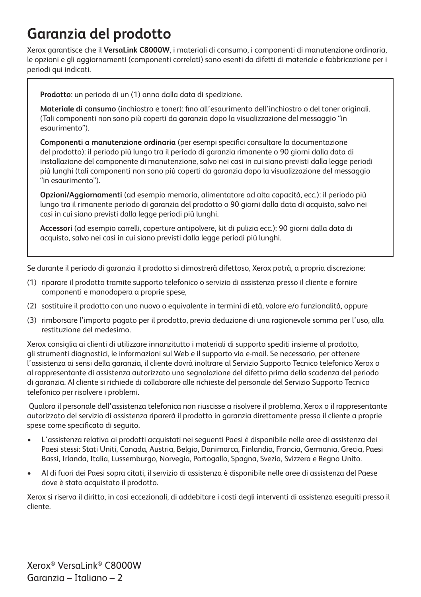## **Garanzia del prodotto**

Xerox garantisce che il **VersaLink C8000W**, i materiali di consumo, i componenti di manutenzione ordinaria, le opzioni e gli aggiornamenti (componenti correlati) sono esenti da difetti di materiale e fabbricazione per i periodi qui indicati.

**Prodotto**: un periodo di un (1) anno dalla data di spedizione.

**Materiale di consumo** (inchiostro e toner): fino all'esaurimento dell'inchiostro o del toner originali. (Tali componenti non sono più coperti da garanzia dopo la visualizzazione del messaggio "in esaurimento").

**Componenti a manutenzione ordinaria** (per esempi specifici consultare la documentazione del prodotto): il periodo più lungo tra il periodo di garanzia rimanente o 90 giorni dalla data di installazione del componente di manutenzione, salvo nei casi in cui siano previsti dalla legge periodi più lunghi (tali componenti non sono più coperti da garanzia dopo la visualizzazione del messaggio "in esaurimento").

**Opzioni/Aggiornamenti** (ad esempio memoria, alimentatore ad alta capacità, ecc.): il periodo più lungo tra il rimanente periodo di garanzia del prodotto o 90 giorni dalla data di acquisto, salvo nei casi in cui siano previsti dalla legge periodi più lunghi.

**Accessori** (ad esempio carrelli, coperture antipolvere, kit di pulizia ecc.): 90 giorni dalla data di acquisto, salvo nei casi in cui siano previsti dalla legge periodi più lunghi.

Se durante il periodo di garanzia il prodotto si dimostrerà difettoso, Xerox potrà, a propria discrezione:

- (1) riparare il prodotto tramite supporto telefonico o servizio di assistenza presso il cliente e fornire componenti e manodopera a proprie spese,
- (2) sostituire il prodotto con uno nuovo o equivalente in termini di età, valore e/o funzionalità, oppure
- (3) rimborsare l'importo pagato per il prodotto, previa deduzione di una ragionevole somma per l'uso, alla restituzione del medesimo.

Xerox consiglia ai clienti di utilizzare innanzitutto i materiali di supporto spediti insieme al prodotto, gli strumenti diagnostici, le informazioni sul Web e il supporto via e-mail. Se necessario, per ottenere l'assistenza ai sensi della garanzia, il cliente dovrà inoltrare al Servizio Supporto Tecnico telefonico Xerox o al rappresentante di assistenza autorizzato una segnalazione del difetto prima della scadenza del periodo di garanzia. Al cliente si richiede di collaborare alle richieste del personale del Servizio Supporto Tecnico telefonico per risolvere i problemi.

 Qualora il personale dell'assistenza telefonica non riuscisse a risolvere il problema, Xerox o il rappresentante autorizzato del servizio di assistenza riparerà il prodotto in garanzia direttamente presso il cliente a proprie spese come specificato di seguito.

- L'assistenza relativa ai prodotti acquistati nei seguenti Paesi è disponibile nelle aree di assistenza dei Paesi stessi: Stati Uniti, Canada, Austria, Belgio, Danimarca, Finlandia, Francia, Germania, Grecia, Paesi Bassi, Irlanda, Italia, Lussemburgo, Norvegia, Portogallo, Spagna, Svezia, Svizzera e Regno Unito.
- Al di fuori dei Paesi sopra citati, il servizio di assistenza è disponibile nelle aree di assistenza del Paese dove è stato acquistato il prodotto.

Xerox si riserva il diritto, in casi eccezionali, di addebitare i costi degli interventi di assistenza eseguiti presso il cliente.

Xerox® VersaLink® C8000W Garanzia – Italiano – 2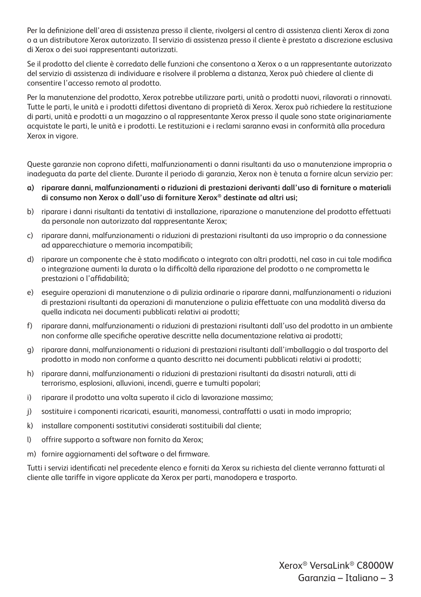Per la definizione dell'area di assistenza presso il cliente, rivolgersi al centro di assistenza clienti Xerox di zona o a un distributore Xerox autorizzato. Il servizio di assistenza presso il cliente è prestato a discrezione esclusiva di Xerox o dei suoi rappresentanti autorizzati.

Se il prodotto del cliente è corredato delle funzioni che consentono a Xerox o a un rappresentante autorizzato del servizio di assistenza di individuare e risolvere il problema a distanza, Xerox può chiedere al cliente di consentire l'accesso remoto al prodotto.

Per la manutenzione del prodotto, Xerox potrebbe utilizzare parti, unità o prodotti nuovi, rilavorati o rinnovati. Tutte le parti, le unità e i prodotti difettosi diventano di proprietà di Xerox. Xerox può richiedere la restituzione di parti, unità e prodotti a un magazzino o al rappresentante Xerox presso il quale sono state originariamente acquistate le parti, le unità e i prodotti. Le restituzioni e i reclami saranno evasi in conformità alla procedura Xerox in vigore.

Queste garanzie non coprono difetti, malfunzionamenti o danni risultanti da uso o manutenzione impropria o inadeguata da parte del cliente. Durante il periodo di garanzia, Xerox non è tenuta a fornire alcun servizio per:

- **a) riparare danni, malfunzionamenti o riduzioni di prestazioni derivanti dall'uso di forniture o materiali di consumo non Xerox o dall'uso di forniture Xerox® destinate ad altri usi;**
- b) riparare i danni risultanti da tentativi di installazione, riparazione o manutenzione del prodotto effettuati da personale non autorizzato dal rappresentante Xerox;
- c) riparare danni, malfunzionamenti o riduzioni di prestazioni risultanti da uso improprio o da connessione ad apparecchiature o memoria incompatibili;
- d) riparare un componente che è stato modificato o integrato con altri prodotti, nel caso in cui tale modifica o integrazione aumenti la durata o la difficoltà della riparazione del prodotto o ne comprometta le prestazioni o l'affidabilità;
- e) eseguire operazioni di manutenzione o di pulizia ordinarie o riparare danni, malfunzionamenti o riduzioni di prestazioni risultanti da operazioni di manutenzione o pulizia effettuate con una modalità diversa da quella indicata nei documenti pubblicati relativi ai prodotti;
- f) riparare danni, malfunzionamenti o riduzioni di prestazioni risultanti dall'uso del prodotto in un ambiente non conforme alle specifiche operative descritte nella documentazione relativa ai prodotti;
- g) riparare danni, malfunzionamenti o riduzioni di prestazioni risultanti dall'imballaggio o dal trasporto del prodotto in modo non conforme a quanto descritto nei documenti pubblicati relativi ai prodotti;
- h) riparare danni, malfunzionamenti o riduzioni di prestazioni risultanti da disastri naturali, atti di terrorismo, esplosioni, alluvioni, incendi, guerre e tumulti popolari;
- i) riparare il prodotto una volta superato il ciclo di lavorazione massimo;
- j) sostituire i componenti ricaricati, esauriti, manomessi, contraffatti o usati in modo improprio;
- k) installare componenti sostitutivi considerati sostituibili dal cliente;
- l) offrire supporto a software non fornito da Xerox;
- m) fornire aggiornamenti del software o del firmware.

Tutti i servizi identificati nel precedente elenco e forniti da Xerox su richiesta del cliente verranno fatturati al cliente alle tariffe in vigore applicate da Xerox per parti, manodopera e trasporto.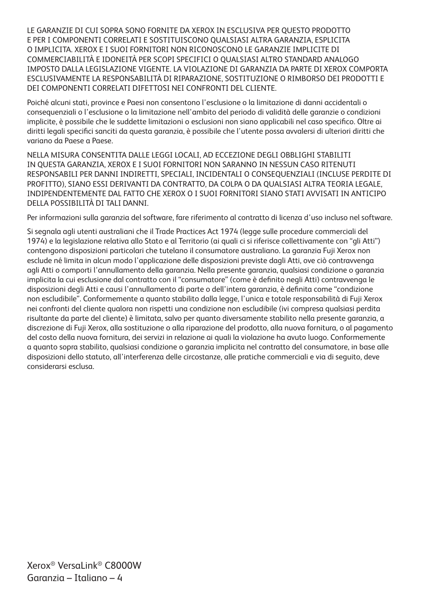LE GARANZIE DI CUI SOPRA SONO FORNITE DA XEROX IN ESCLUSIVA PER QUESTO PRODOTTO E PER I COMPONENTI CORRELATI E SOSTITUISCONO QUALSIASI ALTRA GARANZIA, ESPLICITA O IMPLICITA. XEROX E I SUOI FORNITORI NON RICONOSCONO LE GARANZIE IMPLICITE DI COMMERCIABILITÀ E IDONEITÀ PER SCOPI SPECIFICI O QUALSIASI ALTRO STANDARD ANALOGO IMPOSTO DALLA LEGISLAZIONE VIGENTE. LA VIOLAZIONE DI GARANZIA DA PARTE DI XEROX COMPORTA ESCLUSIVAMENTE LA RESPONSABILITÀ DI RIPARAZIONE, SOSTITUZIONE O RIMBORSO DEI PRODOTTI E DEI COMPONENTI CORRELATI DIFETTOSI NEI CONFRONTI DEL CLIENTE.

Poiché alcuni stati, province e Paesi non consentono l'esclusione o la limitazione di danni accidentali o consequenziali o l'esclusione o la limitazione nell'ambito del periodo di validità delle garanzie o condizioni implicite, è possibile che le suddette limitazioni o esclusioni non siano applicabili nel caso specifico. Oltre ai diritti legali specifici sanciti da questa garanzia, è possibile che l'utente possa avvalersi di ulteriori diritti che variano da Paese a Paese.

NELLA MISURA CONSENTITA DALLE LEGGI LOCALI, AD ECCEZIONE DEGLI OBBLIGHI STABILITI IN QUESTA GARANZIA, XEROX E I SUOI FORNITORI NON SARANNO IN NESSUN CASO RITENUTI RESPONSABILI PER DANNI INDIRETTI, SPECIALI, INCIDENTALI O CONSEQUENZIALI (INCLUSE PERDITE DI PROFITTO), SIANO ESSI DERIVANTI DA CONTRATTO, DA COLPA O DA QUALSIASI ALTRA TEORIA LEGALE, INDIPENDENTEMENTE DAL FATTO CHE XEROX O I SUOI FORNITORI SIANO STATI AVVISATI IN ANTICIPO DELLA POSSIBILITÀ DI TALI DANNI.

Per informazioni sulla garanzia del software, fare riferimento al contratto di licenza d'uso incluso nel software.

Si segnala agli utenti australiani che il Trade Practices Act 1974 (legge sulle procedure commerciali del 1974) e la legislazione relativa allo Stato e al Territorio (ai quali ci si riferisce collettivamente con "gli Atti") contengono disposizioni particolari che tutelano il consumatore australiano. La garanzia Fuji Xerox non esclude né limita in alcun modo l'applicazione delle disposizioni previste dagli Atti, ove ciò contravvenga agli Atti o comporti l'annullamento della garanzia. Nella presente garanzia, qualsiasi condizione o garanzia implicita la cui esclusione dal contratto con il "consumatore" (come è definito negli Atti) contravvenga le disposizioni degli Atti e causi l'annullamento di parte o dell'intera garanzia, è definita come "condizione non escludibile". Conformemente a quanto stabilito dalla legge, l'unica e totale responsabilità di Fuji Xerox nei confronti del cliente qualora non rispetti una condizione non escludibile (ivi compresa qualsiasi perdita risultante da parte del cliente) è limitata, salvo per quanto diversamente stabilito nella presente garanzia, a discrezione di Fuji Xerox, alla sostituzione o alla riparazione del prodotto, alla nuova fornitura, o al pagamento del costo della nuova fornitura, dei servizi in relazione ai quali la violazione ha avuto luogo. Conformemente a quanto sopra stabilito, qualsiasi condizione o garanzia implicita nel contratto del consumatore, in base alle disposizioni dello statuto, all'interferenza delle circostanze, alle pratiche commerciali e via di seguito, deve considerarsi esclusa.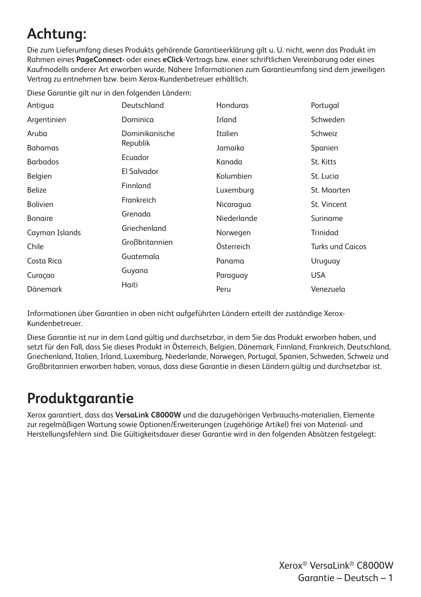# **Achtung:**

Die zum Lieferumfang dieses Produkts gehörende Garantieerklärung gilt u. U. nicht, wenn das Produkt im Rahmen eines **PageConnect-** oder eines **eClick**-Vertrags bzw. einer schriftlichen Vereinbarung oder eines Kaufmodells anderer Art erworben wurde. Nähere Informationen zum Garantieumfang sind dem jeweiligen Vertrag zu entnehmen bzw. beim Xerox-Kundenbetreuer erhältlich.

|  |  | Diese Garantie gilt nur in den folgenden Ländern: |  |
|--|--|---------------------------------------------------|--|
|  |  |                                                   |  |

| Antigua         | Deutschland    | Honduras    | Portugal                |
|-----------------|----------------|-------------|-------------------------|
| Argentinien     | Dominica       | Irland      | Schweden                |
| Aruba           | Dominikanische | Italien     | Schweiz                 |
| <b>Bahamas</b>  | Republik       | Jamaika     | Spanien                 |
| <b>Barbados</b> | Ecuador        | Kanada      | St. Kitts               |
| Belgien         | El Salvador    | Kolumbien   | St. Lucia               |
| <b>Belize</b>   | Finnland       | Luxemburg   | St. Maarten             |
| <b>Bolivien</b> | Frankreich     | Nicaragua   | St. Vincent             |
| <b>Bongire</b>  | Grenada        | Niederlande | Suriname                |
| Cayman Islands  | Griechenland   | Norwegen    | Trinidad                |
| Chile           | Großbritannien | Österreich  | <b>Turks und Caicos</b> |
| Costa Rica      | Guatemala      | Panama      | Uruguay                 |
| Curaçao         | Guyana         | Paraguay    | <b>USA</b>              |
| Dänemark        | Haiti          | Peru        | Venezuela               |

Informationen über Garantien in oben nicht aufgeführten Ländern erteilt der zuständige Xerox-Kundenbetreuer.

Diese Garantie ist nur in dem Land gültig und durchsetzbar, in dem Sie das Produkt erworben haben, und setzt für den Fall, dass Sie dieses Produkt in Österreich, Belgien, Dänemark, Finnland, Frankreich, Deutschland, Griechenland, Italien, Irland, Luxemburg, Niederlande, Norwegen, Portugal, Spanien, Schweden, Schweiz und Großbritannien erworben haben, voraus, dass diese Garantie in diesen Ländern gültig und durchsetzbar ist.

## **Produktgarantie**

Xerox garantiert, dass das **VersaLink C8000W** und die dazugehörigen Verbrauchs-materialien, Elemente zur regelmäßigen Wartung sowie Optionen/Erweiterungen (zugehörige Artikel) frei von Material- und Herstellungsfehlern sind. Die Gültigkeitsdauer dieser Garantie wird in den folgenden Absätzen festgelegt: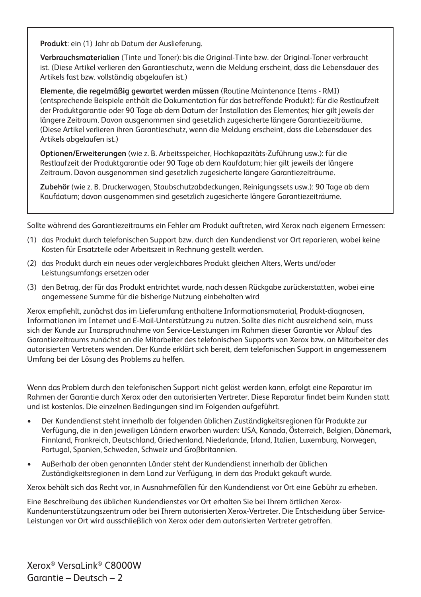**Produkt**: ein (1) Jahr ab Datum der Auslieferung.

**Verbrauchsmaterialien** (Tinte und Toner): bis die Original-Tinte bzw. der Original-Toner verbraucht ist. (Diese Artikel verlieren den Garantieschutz, wenn die Meldung erscheint, dass die Lebensdauer des Artikels fast bzw. vollständig abgelaufen ist.)

**Elemente, die regelmäßig gewartet werden müssen** (Routine Maintenance Items - RMI) (entsprechende Beispiele enthält die Dokumentation für das betreffende Produkt): für die Restlaufzeit der Produktgarantie oder 90 Tage ab dem Datum der Installation des Elementes; hier gilt jeweils der längere Zeitraum. Davon ausgenommen sind gesetzlich zugesicherte längere Garantiezeiträume. (Diese Artikel verlieren ihren Garantieschutz, wenn die Meldung erscheint, dass die Lebensdauer des Artikels abgelaufen ist.)

**Optionen/Erweiterungen** (wie z. B. Arbeitsspeicher, Hochkapazitäts-Zuführung usw.): für die Restlaufzeit der Produktgarantie oder 90 Tage ab dem Kaufdatum; hier gilt jeweils der längere Zeitraum. Davon ausgenommen sind gesetzlich zugesicherte längere Garantiezeiträume.

**Zubehör** (wie z. B. Druckerwagen, Staubschutzabdeckungen, Reinigungssets usw.): 90 Tage ab dem Kaufdatum; davon ausgenommen sind gesetzlich zugesicherte längere Garantiezeiträume.

Sollte während des Garantiezeitraums ein Fehler am Produkt auftreten, wird Xerox nach eigenem Ermessen:

- (1) das Produkt durch telefonischen Support bzw. durch den Kundendienst vor Ort reparieren, wobei keine Kosten für Ersatzteile oder Arbeitszeit in Rechnung gestellt werden.
- (2) das Produkt durch ein neues oder vergleichbares Produkt gleichen Alters, Werts und/oder Leistungsumfangs ersetzen oder
- (3) den Betrag, der für das Produkt entrichtet wurde, nach dessen Rückgabe zurückerstatten, wobei eine angemessene Summe für die bisherige Nutzung einbehalten wird

Xerox empfiehlt, zunächst das im Lieferumfang enthaltene Informationsmaterial, Produkt-diagnosen, Informationen im Internet und E-Mail-Unterstützung zu nutzen. Sollte dies nicht ausreichend sein, muss sich der Kunde zur Inanspruchnahme von Service-Leistungen im Rahmen dieser Garantie vor Ablauf des Garantiezeitraums zunächst an die Mitarbeiter des telefonischen Supports von Xerox bzw. an Mitarbeiter des autorisierten Vertreters wenden. Der Kunde erklärt sich bereit, dem telefonischen Support in angemessenem Umfang bei der Lösung des Problems zu helfen.

Wenn das Problem durch den telefonischen Support nicht gelöst werden kann, erfolgt eine Reparatur im Rahmen der Garantie durch Xerox oder den autorisierten Vertreter. Diese Reparatur findet beim Kunden statt und ist kostenlos. Die einzelnen Bedingungen sind im Folgenden aufgeführt.

- Der Kundendienst steht innerhalb der folgenden üblichen Zuständigkeitsregionen für Produkte zur Verfügung, die in den jeweiligen Ländern erworben wurden: USA, Kanada, Österreich, Belgien, Dänemark, Finnland, Frankreich, Deutschland, Griechenland, Niederlande, Irland, Italien, Luxemburg, Norwegen, Portugal, Spanien, Schweden, Schweiz und Großbritannien.
- Außerhalb der oben genannten Länder steht der Kundendienst innerhalb der üblichen Zuständigkeitsregionen in dem Land zur Verfügung, in dem das Produkt gekauft wurde.

Xerox behält sich das Recht vor, in Ausnahmefällen für den Kundendienst vor Ort eine Gebühr zu erheben.

Eine Beschreibung des üblichen Kundendienstes vor Ort erhalten Sie bei Ihrem örtlichen Xerox-Kundenunterstützungszentrum oder bei Ihrem autorisierten Xerox-Vertreter. Die Entscheidung über Service-Leistungen vor Ort wird ausschließlich von Xerox oder dem autorisierten Vertreter getroffen.

Xerox® VersaLink® C8000W Garantie – Deutsch – 2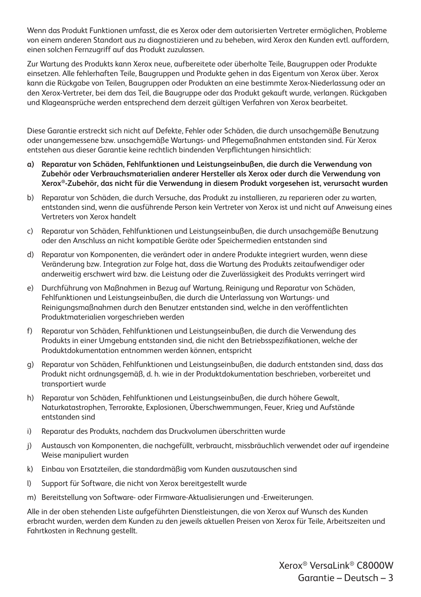Wenn das Produkt Funktionen umfasst, die es Xerox oder dem autorisierten Vertreter ermöglichen, Probleme von einem anderen Standort aus zu diagnostizieren und zu beheben, wird Xerox den Kunden evtl. auffordern, einen solchen Fernzugriff auf das Produkt zuzulassen.

Zur Wartung des Produkts kann Xerox neue, aufbereitete oder überholte Teile, Baugruppen oder Produkte einsetzen. Alle fehlerhaften Teile, Baugruppen und Produkte gehen in das Eigentum von Xerox über. Xerox kann die Rückgabe von Teilen, Baugruppen oder Produkten an eine bestimmte Xerox-Niederlassung oder an den Xerox-Vertreter, bei dem das Teil, die Baugruppe oder das Produkt gekauft wurde, verlangen. Rückgaben und Klageansprüche werden entsprechend dem derzeit gültigen Verfahren von Xerox bearbeitet.

Diese Garantie erstreckt sich nicht auf Defekte, Fehler oder Schäden, die durch unsachgemäße Benutzung oder unangemessene bzw. unsachgemäße Wartungs- und Pflegemaßnahmen entstanden sind. Für Xerox entstehen aus dieser Garantie keine rechtlich bindenden Verpflichtungen hinsichtlich:

- **a) Reparatur von Schäden, Fehlfunktionen und Leistungseinbußen, die durch die Verwendung von Zubehör oder Verbrauchsmaterialien anderer Hersteller als Xerox oder durch die Verwendung von Xerox®-Zubehör, das nicht für die Verwendung in diesem Produkt vorgesehen ist, verursacht wurden**
- b) Reparatur von Schäden, die durch Versuche, das Produkt zu installieren, zu reparieren oder zu warten, entstanden sind, wenn die ausführende Person kein Vertreter von Xerox ist und nicht auf Anweisung eines Vertreters von Xerox handelt
- c) Reparatur von Schäden, Fehlfunktionen und Leistungseinbußen, die durch unsachgemäße Benutzung oder den Anschluss an nicht kompatible Geräte oder Speichermedien entstanden sind
- d) Reparatur von Komponenten, die verändert oder in andere Produkte integriert wurden, wenn diese Veränderung bzw. Integration zur Folge hat, dass die Wartung des Produkts zeitaufwendiger oder anderweitig erschwert wird bzw. die Leistung oder die Zuverlässigkeit des Produkts verringert wird
- e) Durchführung von Maßnahmen in Bezug auf Wartung, Reinigung und Reparatur von Schäden, Fehlfunktionen und Leistungseinbußen, die durch die Unterlassung von Wartungs- und Reinigungsmaßnahmen durch den Benutzer entstanden sind, welche in den veröffentlichten Produktmaterialien vorgeschrieben werden
- f) Reparatur von Schäden, Fehlfunktionen und Leistungseinbußen, die durch die Verwendung des Produkts in einer Umgebung entstanden sind, die nicht den Betriebsspezifikationen, welche der Produktdokumentation entnommen werden können, entspricht
- g) Reparatur von Schäden, Fehlfunktionen und Leistungseinbußen, die dadurch entstanden sind, dass das Produkt nicht ordnungsgemäß, d. h. wie in der Produktdokumentation beschrieben, vorbereitet und transportiert wurde
- h) Reparatur von Schäden, Fehlfunktionen und Leistungseinbußen, die durch höhere Gewalt, Naturkatastrophen, Terrorakte, Explosionen, Überschwemmungen, Feuer, Krieg und Aufstände entstanden sind
- i) Reparatur des Produkts, nachdem das Druckvolumen überschritten wurde
- j) Austausch von Komponenten, die nachgefüllt, verbraucht, missbräuchlich verwendet oder auf irgendeine Weise manipuliert wurden
- k) Einbau von Ersatzteilen, die standardmäßig vom Kunden auszutauschen sind
- l) Support für Software, die nicht von Xerox bereitgestellt wurde
- m) Bereitstellung von Software- oder Firmware-Aktualisierungen und -Erweiterungen.

Alle in der oben stehenden Liste aufgeführten Dienstleistungen, die von Xerox auf Wunsch des Kunden erbracht wurden, werden dem Kunden zu den jeweils aktuellen Preisen von Xerox für Teile, Arbeitszeiten und Fahrtkosten in Rechnung gestellt.

> Xerox® VersaLink® C8000W Garantie – Deutsch – 3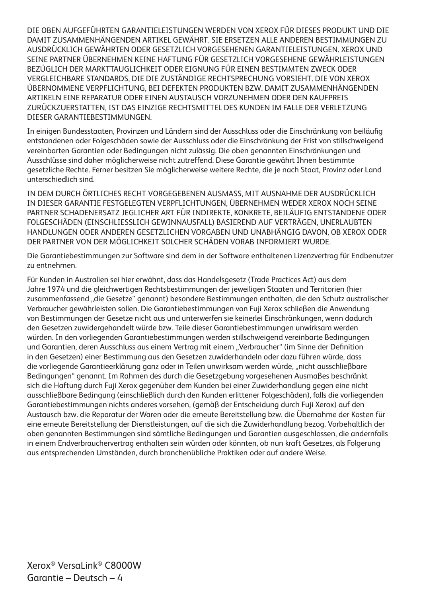DIE OBEN AUFGEFÜHRTEN GARANTIELEISTUNGEN WERDEN VON XEROX FÜR DIESES PRODUKT UND DIE DAMIT ZUSAMMENHÄNGENDEN ARTIKEL GEWÄHRT. SIE ERSETZEN ALLE ANDEREN BESTIMMUNGEN ZU AUSDRÜCKLICH GEWÄHRTEN ODER GESETZLICH VORGESEHENEN GARANTIELEISTUNGEN. XEROX UND SEINE PARTNER ÜBERNEHMEN KEINE HAFTUNG FÜR GESETZLICH VORGESEHENE GEWÄHRLEISTUNGEN BEZÜGLICH DER MARKTTAUGLICHKEIT ODER EIGNUNG FÜR EINEN BESTIMMTEN ZWECK ODER VERGLEICHBARE STANDARDS, DIE DIE ZUSTÄNDIGE RECHTSPRECHUNG VORSIEHT. DIE VON XEROX ÜBERNOMMENE VERPFLICHTUNG, BEI DEFEKTEN PRODUKTEN BZW. DAMIT ZUSAMMENHÄNGENDEN ARTIKELN EINE REPARATUR ODER EINEN AUSTAUSCH VORZUNEHMEN ODER DEN KAUFPREIS ZURÜCKZUERSTATTEN, IST DAS EINZIGE RECHTSMITTEL DES KUNDEN IM FALLE DER VERLETZUNG DIESER GARANTIEBESTIMMUNGEN.

In einigen Bundesstaaten, Provinzen und Ländern sind der Ausschluss oder die Einschränkung von beiläufig entstandenen oder Folgeschäden sowie der Ausschluss oder die Einschränkung der Frist von stillschweigend vereinbarten Garantien oder Bedingungen nicht zulässig. Die oben genannten Einschränkungen und Ausschlüsse sind daher möglicherweise nicht zutreffend. Diese Garantie gewährt Ihnen bestimmte gesetzliche Rechte. Ferner besitzen Sie möglicherweise weitere Rechte, die je nach Staat, Provinz oder Land unterschiedlich sind.

IN DEM DURCH ÖRTLICHES RECHT VORGEGEBENEN AUSMASS, MIT AUSNAHME DER AUSDRÜCKLICH IN DIESER GARANTIE FESTGELEGTEN VERPFLICHTUNGEN, ÜBERNEHMEN WEDER XEROX NOCH SEINE PARTNER SCHADENERSATZ JEGLICHER ART FÜR INDIREKTE, KONKRETE, BEILÄUFIG ENTSTANDENE ODER FOLGESCHÄDEN (EINSCHLIESSLICH GEWINNAUSFALL) BASIEREND AUF VERTRÄGEN, UNERLAUBTEN HANDLUNGEN ODER ANDEREN GESETZLICHEN VORGABEN UND UNABHÄNGIG DAVON, OB XEROX ODER DER PARTNER VON DER MÖGLICHKEIT SOLCHER SCHÄDEN VORAB INFORMIERT WURDE.

Die Garantiebestimmungen zur Software sind dem in der Software enthaltenen Lizenzvertrag für Endbenutzer zu entnehmen.

Für Kunden in Australien sei hier erwähnt, dass das Handelsgesetz (Trade Practices Act) aus dem Jahre 1974 und die gleichwertigen Rechtsbestimmungen der jeweiligen Staaten und Territorien (hier zusammenfassend "die Gesetze" genannt) besondere Bestimmungen enthalten, die den Schutz australischer Verbraucher gewährleisten sollen. Die Garantiebestimmungen von Fuji Xerox schließen die Anwendung von Bestimmungen der Gesetze nicht aus und unterwerfen sie keinerlei Einschränkungen, wenn dadurch den Gesetzen zuwidergehandelt würde bzw. Teile dieser Garantiebestimmungen unwirksam werden würden. In den vorliegenden Garantiebestimmungen werden stillschweigend vereinbarte Bedingungen und Garantien, deren Ausschluss aus einem Vertrag mit einem "Verbraucher" (im Sinne der Definition in den Gesetzen) einer Bestimmung aus den Gesetzen zuwiderhandeln oder dazu führen würde, dass die vorliegende Garantieerklärung ganz oder in Teilen unwirksam werden würde, "nicht ausschließbare Bedingungen" genannt. Im Rahmen des durch die Gesetzgebung vorgesehenen Ausmaßes beschränkt sich die Haftung durch Fuji Xerox gegenüber dem Kunden bei einer Zuwiderhandlung gegen eine nicht ausschließbare Bedingung (einschließlich durch den Kunden erlittener Folgeschäden), falls die vorliegenden Garantiebestimmungen nichts anderes vorsehen, (gemäß der Entscheidung durch Fuji Xerox) auf den Austausch bzw. die Reparatur der Waren oder die erneute Bereitstellung bzw. die Übernahme der Kosten für eine erneute Bereitstellung der Dienstleistungen, auf die sich die Zuwiderhandlung bezog. Vorbehaltlich der oben genannten Bestimmungen sind sämtliche Bedingungen und Garantien ausgeschlossen, die andernfalls in einem Endverbrauchervertrag enthalten sein würden oder könnten, ob nun kraft Gesetzes, als Folgerung aus entsprechenden Umständen, durch branchenübliche Praktiken oder auf andere Weise.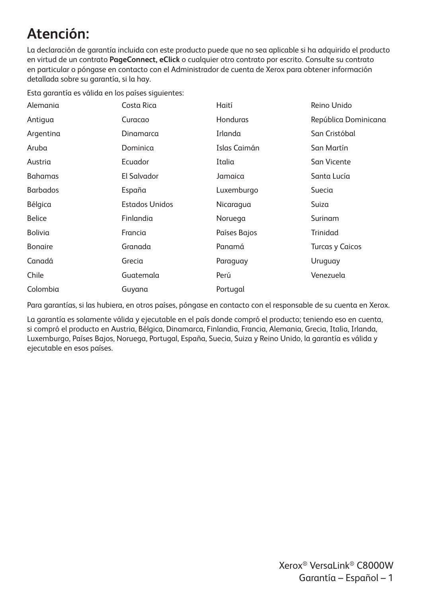## **Atención:**

La declaración de garantía incluida con este producto puede que no sea aplicable si ha adquirido el producto en virtud de un contrato **PageConnect, eClick** o cualquier otro contrato por escrito. Consulte su contrato en particular o póngase en contacto con el Administrador de cuenta de Xerox para obtener información detallada sobre su garantía, si la hay.

Esta garantía es válida en los países siguientes:

| Alemania        | Costa Rica            | Haití        | Reino Unido            |
|-----------------|-----------------------|--------------|------------------------|
| Antigua         | Curacao               | Honduras     | República Dominicana   |
| Argentina       | Dinamarca             | Irlanda      | San Cristóbal          |
| Aruba           | Dominica              | Islas Caimán | San Martín             |
| Austria         | Ecuador               | Italia       | San Vicente            |
| <b>Bahamas</b>  | El Salvador           | Jamaica      | Santa Lucía            |
| <b>Barbados</b> | España                | Luxemburgo   | Suecia                 |
| Bélgica         | <b>Estados Unidos</b> | Nicaragua    | Suiza                  |
| <b>Belice</b>   | Finlandia             | Noruega      | Surinam                |
| Bolivia         | Francia               | Países Bajos | Trinidad               |
| <b>Bonaire</b>  | Granada               | Panamá       | <b>Turcas y Caicos</b> |
| Canadá          | Grecia                | Paraguay     | Uruguay                |
| Chile           | Guatemala             | Perú         | Venezuela              |
| Colombia        | Guyana                | Portugal     |                        |

Para garantías, si las hubiera, en otros países, póngase en contacto con el responsable de su cuenta en Xerox.

La garantía es solamente válida y ejecutable en el país donde compró el producto; teniendo eso en cuenta, si compró el producto en Austria, Bélgica, Dinamarca, Finlandia, Francia, Alemania, Grecia, Italia, Irlanda, Luxemburgo, Países Bajos, Noruega, Portugal, España, Suecia, Suiza y Reino Unido, la garantía es válida y ejecutable en esos países.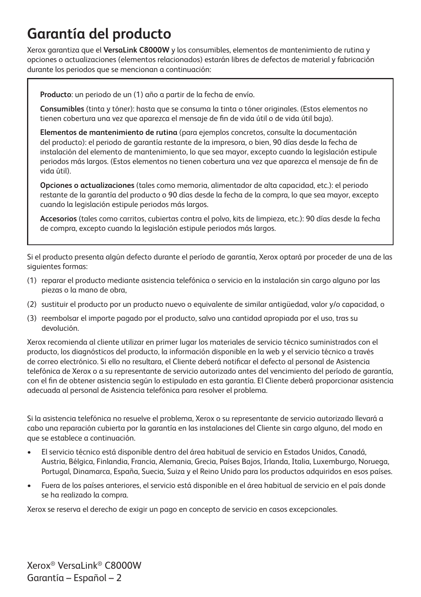## **Garantía del producto**

Xerox garantiza que el **VersaLink C8000W** y los consumibles, elementos de mantenimiento de rutina y opciones o actualizaciones (elementos relacionados) estarán libres de defectos de material y fabricación durante los periodos que se mencionan a continuación:

**Producto**: un periodo de un (1) año a partir de la fecha de envío.

**Consumibles** (tinta y tóner): hasta que se consuma la tinta o tóner originales. (Estos elementos no tienen cobertura una vez que aparezca el mensaje de fin de vida útil o de vida útil baja).

**Elementos de mantenimiento de rutina** (para ejemplos concretos, consulte la documentación del producto): el periodo de garantía restante de la impresora, o bien, 90 días desde la fecha de instalación del elemento de mantenimiento, lo que sea mayor, excepto cuando la legislación estipule periodos más largos. (Estos elementos no tienen cobertura una vez que aparezca el mensaje de fin de vida útil).

**Opciones o actualizaciones** (tales como memoria, alimentador de alta capacidad, etc.): el periodo restante de la garantía del producto o 90 días desde la fecha de la compra, lo que sea mayor, excepto cuando la legislación estipule periodos más largos.

**Accesorios** (tales como carritos, cubiertas contra el polvo, kits de limpieza, etc.): 90 días desde la fecha de compra, excepto cuando la legislación estipule periodos más largos.

Si el producto presenta algún defecto durante el período de garantía, Xerox optará por proceder de una de las siguientes formas:

- (1) reparar el producto mediante asistencia telefónica o servicio en la instalación sin cargo alguno por las piezas o la mano de obra,
- (2) sustituir el producto por un producto nuevo o equivalente de similar antigüedad, valor y/o capacidad, o
- (3) reembolsar el importe pagado por el producto, salvo una cantidad apropiada por el uso, tras su devolución.

Xerox recomienda al cliente utilizar en primer lugar los materiales de servicio técnico suministrados con el producto, los diagnósticos del producto, la información disponible en la web y el servicio técnico a través de correo electrónico. Si ello no resultara, el Cliente deberá notificar el defecto al personal de Asistencia telefónica de Xerox o a su representante de servicio autorizado antes del vencimiento del período de garantía, con el fin de obtener asistencia según lo estipulado en esta garantía. El Cliente deberá proporcionar asistencia adecuada al personal de Asistencia telefónica para resolver el problema.

Si la asistencia telefónica no resuelve el problema, Xerox o su representante de servicio autorizado llevará a cabo una reparación cubierta por la garantía en las instalaciones del Cliente sin cargo alguno, del modo en que se establece a continuación.

- El servicio técnico está disponible dentro del área habitual de servicio en Estados Unidos, Canadá, Austria, Bélgica, Finlandia, Francia, Alemania, Grecia, Países Bajos, Irlanda, Italia, Luxemburgo, Noruega, Portugal, Dinamarca, España, Suecia, Suiza y el Reino Unido para los productos adquiridos en esos países.
- Fuera de los países anteriores, el servicio está disponible en el área habitual de servicio en el país donde se ha realizado la compra.

Xerox se reserva el derecho de exigir un pago en concepto de servicio en casos excepcionales.

Xerox® VersaLink® C8000W Garantía – Español – 2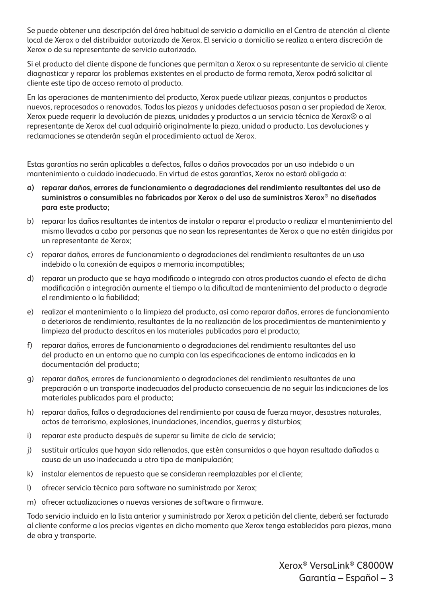Se puede obtener una descripción del área habitual de servicio a domicilio en el Centro de atención al cliente local de Xerox o del distribuidor autorizado de Xerox. El servicio a domicilio se realiza a entera discreción de Xerox o de su representante de servicio autorizado.

Si el producto del cliente dispone de funciones que permitan a Xerox o su representante de servicio al cliente diagnosticar y reparar los problemas existentes en el producto de forma remota, Xerox podrá solicitar al cliente este tipo de acceso remoto al producto.

En las operaciones de mantenimiento del producto, Xerox puede utilizar piezas, conjuntos o productos nuevos, reprocesados o renovados. Todas las piezas y unidades defectuosas pasan a ser propiedad de Xerox. Xerox puede requerir la devolución de piezas, unidades y productos a un servicio técnico de Xerox® o al representante de Xerox del cual adquirió originalmente la pieza, unidad o producto. Las devoluciones y reclamaciones se atenderán según el procedimiento actual de Xerox.

Estas garantías no serán aplicables a defectos, fallos o daños provocados por un uso indebido o un mantenimiento o cuidado inadecuado. En virtud de estas garantías, Xerox no estará obligada a:

- **a) reparar daños, errores de funcionamiento o degradaciones del rendimiento resultantes del uso de suministros o consumibles no fabricados por Xerox o del uso de suministros Xerox® no diseñados para este producto;**
- b) reparar los daños resultantes de intentos de instalar o reparar el producto o realizar el mantenimiento del mismo llevados a cabo por personas que no sean los representantes de Xerox o que no estén dirigidas por un representante de Xerox;
- c) reparar daños, errores de funcionamiento o degradaciones del rendimiento resultantes de un uso indebido o la conexión de equipos o memoria incompatibles;
- d) reparar un producto que se haya modificado o integrado con otros productos cuando el efecto de dicha modificación o integración aumente el tiempo o la dificultad de mantenimiento del producto o degrade el rendimiento o la fiabilidad;
- e) realizar el mantenimiento o la limpieza del producto, así como reparar daños, errores de funcionamiento o deterioros de rendimiento, resultantes de la no realización de los procedimientos de mantenimiento y limpieza del producto descritos en los materiales publicados para el producto;
- f) reparar daños, errores de funcionamiento o degradaciones del rendimiento resultantes del uso del producto en un entorno que no cumpla con las especificaciones de entorno indicadas en la documentación del producto;
- g) reparar daños, errores de funcionamiento o degradaciones del rendimiento resultantes de una preparación o un transporte inadecuados del producto consecuencia de no seguir las indicaciones de los materiales publicados para el producto;
- h) reparar daños, fallos o degradaciones del rendimiento por causa de fuerza mayor, desastres naturales, actos de terrorismo, explosiones, inundaciones, incendios, guerras y disturbios;
- i) reparar este producto después de superar su límite de ciclo de servicio;
- j) sustituir artículos que hayan sido rellenados, que estén consumidos o que hayan resultado dañados a causa de un uso inadecuado u otro tipo de manipulación;
- k) instalar elementos de repuesto que se consideran reemplazables por el cliente;
- l) ofrecer servicio técnico para software no suministrado por Xerox;
- m) ofrecer actualizaciones o nuevas versiones de software o firmware.

Todo servicio incluido en la lista anterior y suministrado por Xerox a petición del cliente, deberá ser facturado al cliente conforme a los precios vigentes en dicho momento que Xerox tenga establecidos para piezas, mano de obra y transporte.

> Xerox® VersaLink® C8000W Garantía – Español – 3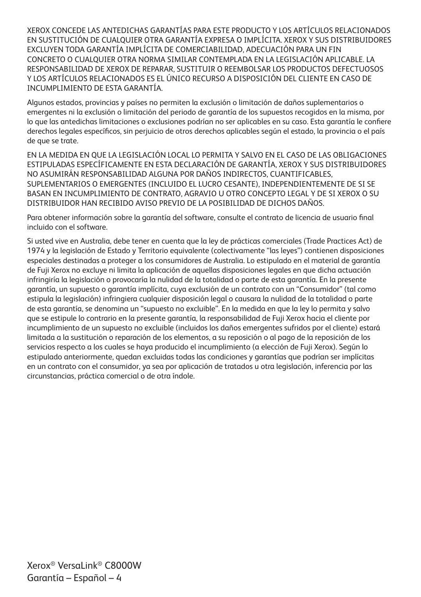XEROX CONCEDE LAS ANTEDICHAS GARANTÍAS PARA ESTE PRODUCTO Y LOS ARTÍCULOS RELACIONADOS EN SUSTITUCIÓN DE CUALQUIER OTRA GARANTÍA EXPRESA O IMPLÍCITA. XEROX Y SUS DISTRIBUIDORES EXCLUYEN TODA GARANTÍA IMPLÍCITA DE COMERCIABILIDAD, ADECUACIÓN PARA UN FIN CONCRETO O CUALQUIER OTRA NORMA SIMILAR CONTEMPLADA EN LA LEGISLACIÓN APLICABLE. LA RESPONSABILIDAD DE XEROX DE REPARAR, SUSTITUIR O REEMBOLSAR LOS PRODUCTOS DEFECTUOSOS Y LOS ARTÍCULOS RELACIONADOS ES EL ÚNICO RECURSO A DISPOSICIÓN DEL CLIENTE EN CASO DE INCUMPLIMIENTO DE ESTA GARANTÍA.

Algunos estados, provincias y países no permiten la exclusión o limitación de daños suplementarios o emergentes ni la exclusión o limitación del periodo de garantía de los supuestos recogidos en la misma, por lo que las antedichas limitaciones o exclusiones podrían no ser aplicables en su caso. Esta garantía le confiere derechos legales específicos, sin perjuicio de otros derechos aplicables según el estado, la provincia o el país de que se trate.

EN LA MEDIDA EN QUE LA LEGISLACIÓN LOCAL LO PERMITA Y SALVO EN EL CASO DE LAS OBLIGACIONES ESTIPULADAS ESPECÍFICAMENTE EN ESTA DECLARACIÓN DE GARANTÍA, XEROX Y SUS DISTRIBUIDORES NO ASUMIRÁN RESPONSABILIDAD ALGUNA POR DAÑOS INDIRECTOS, CUANTIFICABLES, SUPLEMENTARIOS O EMERGENTES (INCLUIDO EL LUCRO CESANTE), INDEPENDIENTEMENTE DE SI SE BASAN EN INCUMPLIMIENTO DE CONTRATO, AGRAVIO U OTRO CONCEPTO LEGAL Y DE SI XEROX O SU DISTRIBUIDOR HAN RECIBIDO AVISO PREVIO DE LA POSIBILIDAD DE DICHOS DAÑOS.

Para obtener información sobre la garantía del software, consulte el contrato de licencia de usuario final incluido con el software.

Si usted vive en Australia, debe tener en cuenta que la ley de prácticas comerciales (Trade Practices Act) de 1974 y la legislación de Estado y Territorio equivalente (colectivamente "las leyes") contienen disposiciones especiales destinadas a proteger a los consumidores de Australia. Lo estipulado en el material de garantía de Fuji Xerox no excluye ni limita la aplicación de aquellas disposiciones legales en que dicha actuación infringiría la legislación o provocaría la nulidad de la totalidad o parte de esta garantía. En la presente garantía, un supuesto o garantía implícita, cuya exclusión de un contrato con un "Consumidor" (tal como estipula la legislación) infringiera cualquier disposición legal o causara la nulidad de la totalidad o parte de esta garantía, se denomina un "supuesto no excluible". En la medida en que la ley lo permita y salvo que se estipule lo contrario en la presente garantía, la responsabilidad de Fuji Xerox hacia el cliente por incumplimiento de un supuesto no excluible (incluidos los daños emergentes sufridos por el cliente) estará limitada a la sustitución o reparación de los elementos, a su reposición o al pago de la reposición de los servicios respecto a los cuales se haya producido el incumplimiento (a elección de Fuji Xerox). Según lo estipulado anteriormente, quedan excluidas todas las condiciones y garantías que podrían ser implícitas en un contrato con el consumidor, ya sea por aplicación de tratados u otra legislación, inferencia por las circunstancias, práctica comercial o de otra índole.

Xerox® VersaLink® C8000W Garantía – Español – 4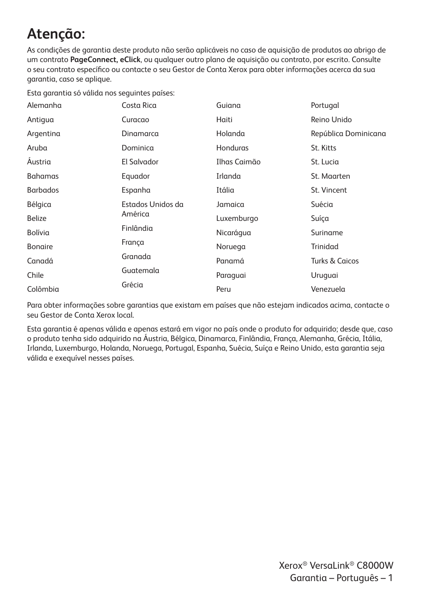# **Atenção:**

As condições de garantia deste produto não serão aplicáveis no caso de aquisição de produtos ao abrigo de um contrato **PageConnect, eClick**, ou qualquer outro plano de aquisição ou contrato, por escrito. Consulte o seu contrato específico ou contacte o seu Gestor de Conta Xerox para obter informações acerca da sua garantia, caso se aplique.

Esta garantia só válida nos seguintes países:

| Alemanha        | Costa Rica        | Guiana       | Portugal                  |
|-----------------|-------------------|--------------|---------------------------|
| Antigua         | Curacao           | Haiti        | Reino Unido               |
| Argentina       | Dinamarca         | Holanda      | República Dominicana      |
| Aruba           | Dominica          | Honduras     | St. Kitts                 |
| Austria         | El Salvador       | Ilhas Caimão | St. Lucia                 |
| <b>Bahamas</b>  | Equador           | Irlanda      | St. Maarten               |
| <b>Barbados</b> | Espanha           | Itália       | St. Vincent               |
| Bélgica         | Estados Unidos da | Jamaica      | Suécia                    |
| <b>Belize</b>   | América           | Luxemburgo   | Suíça                     |
| Bolívia         | Finlândia         | Nicarágua    | Suriname                  |
| <b>Bonaire</b>  | França            | Noruega      | Trinidad                  |
| Canadá          | Granada           | Panamá       | <b>Turks &amp; Caicos</b> |
| Chile           | Guatemala         | Paraguai     | Uruguai                   |
| Colômbia        | Grécia            | Peru         | Venezuela                 |

Para obter informações sobre garantias que existam em países que não estejam indicados acima, contacte o seu Gestor de Conta Xerox local.

Esta garantia é apenas válida e apenas estará em vigor no país onde o produto for adquirido; desde que, caso o produto tenha sido adquirido na Áustria, Bélgica, Dinamarca, Finlândia, França, Alemanha, Grécia, Itália, Irlanda, Luxemburgo, Holanda, Noruega, Portugal, Espanha, Suécia, Suíça e Reino Unido, esta garantia seja válida e exequível nesses países.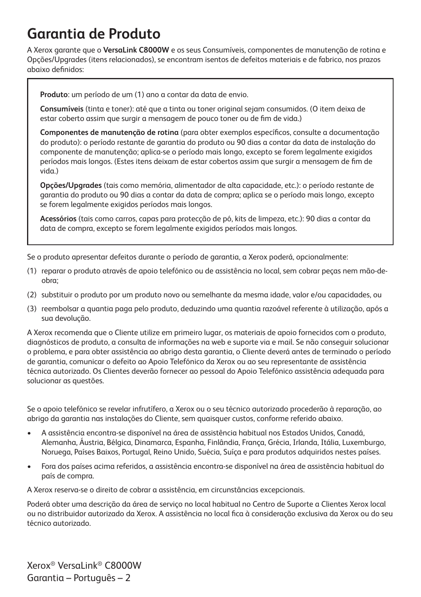#### **Garantia de Produto**

A Xerox garante que o **VersaLink C8000W** e os seus Consumíveis, componentes de manutenção de rotina e Opções/Upgrades (itens relacionados), se encontram isentos de defeitos materiais e de fabrico, nos prazos abaixo definidos:

**Produto**: um período de um (1) ano a contar da data de envio.

**Consumíveis** (tinta e toner): até que a tinta ou toner original sejam consumidos. (O item deixa de estar coberto assim que surgir a mensagem de pouco toner ou de fim de vida.)

**Componentes de manutenção de rotina** (para obter exemplos específicos, consulte a documentação do produto): o período restante de garantia do produto ou 90 dias a contar da data de instalação do componente de manutenção; aplica-se o período mais longo, excepto se forem legalmente exigidos períodos mais longos. (Estes itens deixam de estar cobertos assim que surgir a mensagem de fim de vida.)

**Opções/Upgrades** (tais como memória, alimentador de alta capacidade, etc.): o período restante de garantia do produto ou 90 dias a contar da data de compra; aplica se o período mais longo, excepto se forem legalmente exigidos períodos mais longos.

**Acessórios** (tais como carros, capas para protecção de pó, kits de limpeza, etc.): 90 dias a contar da data de compra, excepto se forem legalmente exigidos períodos mais longos.

Se o produto apresentar defeitos durante o período de garantia, a Xerox poderá, opcionalmente:

- (1) reparar o produto através de apoio telefónico ou de assistência no local, sem cobrar peças nem mão-deobra;
- (2) substituir o produto por um produto novo ou semelhante da mesma idade, valor e/ou capacidades, ou
- (3) reembolsar a quantia paga pelo produto, deduzindo uma quantia razoável referente à utilização, após a sua devolução.

A Xerox recomenda que o Cliente utilize em primeiro lugar, os materiais de apoio fornecidos com o produto, diagnósticos de produto, a consulta de informações na web e suporte via e mail. Se não conseguir solucionar o problema, e para obter assistência ao abrigo desta garantia, o Cliente deverá antes de terminado o período de garantia, comunicar o defeito ao Apoio Telefónico da Xerox ou ao seu representante de assistência técnica autorizado. Os Clientes deverão fornecer ao pessoal do Apoio Telefónico assistência adequada para solucionar as questões.

Se o apoio telefónico se revelar infrutífero, a Xerox ou o seu técnico autorizado procederão à reparação, ao abrigo da garantia nas instalações do Cliente, sem quaisquer custos, conforme referido abaixo.

- A assistência encontra-se disponível na área de assistência habitual nos Estados Unidos, Canadá, Alemanha, Áustria, Bélgica, Dinamarca, Espanha, Finlândia, França, Grécia, Irlanda, Itália, Luxemburgo, Noruega, Países Baixos, Portugal, Reino Unido, Suécia, Suíça e para produtos adquiridos nestes países.
- Fora dos países acima referidos, a assistência encontra-se disponível na área de assistência habitual do país de compra.

A Xerox reserva-se o direito de cobrar a assistência, em circunstâncias excepcionais.

Poderá obter uma descrição da área de serviço no local habitual no Centro de Suporte a Clientes Xerox local ou no distribuidor autorizado da Xerox. A assistência no local fica à consideração exclusiva da Xerox ou do seu técnico autorizado.

Xerox® VersaLink® C8000W Garantia – Português – 2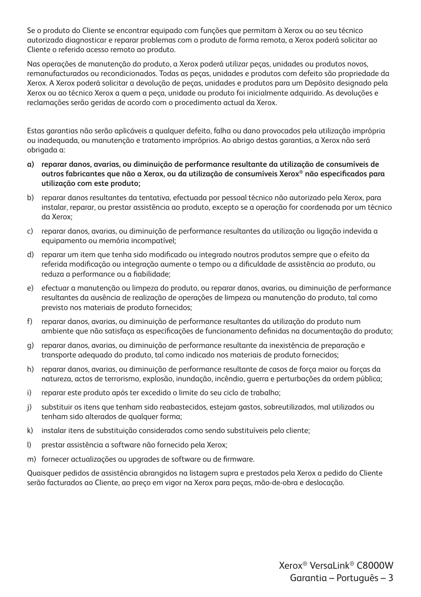Se o produto do Cliente se encontrar equipado com funções que permitam à Xerox ou ao seu técnico autorizado diagnosticar e reparar problemas com o produto de forma remota, a Xerox poderá solicitar ao Cliente o referido acesso remoto ao produto.

Nas operações de manutenção do produto, a Xerox poderá utilizar peças, unidades ou produtos novos, remanufacturados ou recondicionados. Todas as peças, unidades e produtos com defeito são propriedade da Xerox. A Xerox poderá solicitar a devolução de peças, unidades e produtos para um Depósito designado pela Xerox ou ao técnico Xerox a quem a peça, unidade ou produto foi inicialmente adquirido. As devoluções e reclamações serão geridas de acordo com o procedimento actual da Xerox.

Estas garantias não serão aplicáveis a qualquer defeito, falha ou dano provocados pela utilização imprópria ou inadequada, ou manutenção e tratamento impróprios. Ao abrigo destas garantias, a Xerox não será obrigada a:

- **a) reparar danos, avarias, ou diminuição de performance resultante da utilização de consumíveis de outros fabricantes que não a Xerox, ou da utilização de consumíveis Xerox® não especificados para utilização com este produto;**
- b) reparar danos resultantes da tentativa, efectuada por pessoal técnico não autorizado pela Xerox, para instalar, reparar, ou prestar assistência ao produto, excepto se a operação for coordenada por um técnico da Xerox;
- c) reparar danos, avarias, ou diminuição de performance resultantes da utilização ou ligação indevida a equipamento ou memória incompatível;
- d) reparar um item que tenha sido modificado ou integrado noutros produtos sempre que o efeito da referida modificação ou integração aumente o tempo ou a dificuldade de assistência ao produto, ou reduza a performance ou a fiabilidade;
- e) efectuar a manutenção ou limpeza do produto, ou reparar danos, avarias, ou diminuição de performance resultantes da ausência de realização de operações de limpeza ou manutenção do produto, tal como previsto nos materiais de produto fornecidos;
- f) reparar danos, avarias, ou diminuição de performance resultantes da utilização do produto num ambiente que não satisfaça as especificações de funcionamento definidas na documentação do produto;
- g) reparar danos, avarias, ou diminuição de performance resultante da inexistência de preparação e transporte adequado do produto, tal como indicado nos materiais de produto fornecidos;
- h) reparar danos, avarias, ou diminuição de performance resultante de casos de força maior ou forças da natureza, actos de terrorismo, explosão, inundação, incêndio, guerra e perturbações da ordem pública;
- i) reparar este produto após ter excedido o limite do seu ciclo de trabalho;
- j) substituir os itens que tenham sido reabastecidos, estejam gastos, sobreutilizados, mal utilizados ou tenham sido alterados de qualquer forma;
- k) instalar itens de substituição considerados como sendo substituíveis pelo cliente;
- l) prestar assistência a software não fornecido pela Xerox;
- m) fornecer actualizações ou upgrades de software ou de firmware.

Quaisquer pedidos de assistência abrangidos na listagem supra e prestados pela Xerox a pedido do Cliente serão facturados ao Cliente, ao preço em vigor na Xerox para peças, mão-de-obra e deslocação.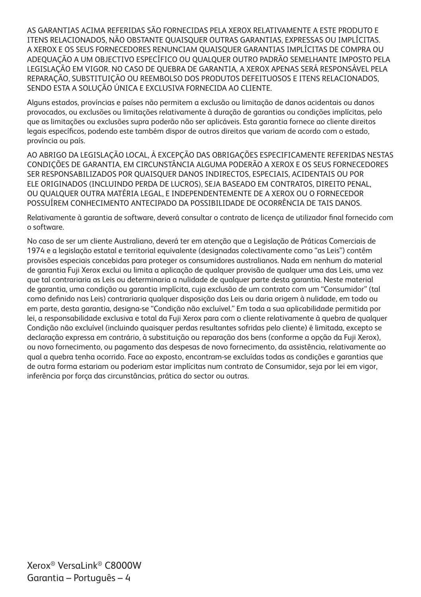AS GARANTIAS ACIMA REFERIDAS SÃO FORNECIDAS PELA XEROX RELATIVAMENTE A ESTE PRODUTO E ITENS RELACIONADOS, NÃO OBSTANTE QUAISQUER OUTRAS GARANTIAS, EXPRESSAS OU IMPLÍCITAS. A XEROX E OS SEUS FORNECEDORES RENUNCIAM QUAISQUER GARANTIAS IMPLÍCITAS DE COMPRA OU ADEQUAÇÃO A UM OBJECTIVO ESPECÍFICO OU QUALQUER OUTRO PADRÃO SEMELHANTE IMPOSTO PELA LEGISLAÇÃO EM VIGOR. NO CASO DE QUEBRA DE GARANTIA, A XEROX APENAS SERÁ RESPONSÁVEL PELA REPARAÇÃO, SUBSTITUIÇÃO OU REEMBOLSO DOS PRODUTOS DEFEITUOSOS E ITENS RELACIONADOS, SENDO ESTA A SOLUÇÃO ÚNICA E EXCLUSIVA FORNECIDA AO CLIENTE.

Alguns estados, províncias e países não permitem a exclusão ou limitação de danos acidentais ou danos provocados, ou exclusões ou limitações relativamente à duração de garantias ou condições implícitas, pelo que as limitações ou exclusões supra poderão não ser aplicáveis. Esta garantia fornece ao cliente direitos legais específicos, podendo este também dispor de outros direitos que variam de acordo com o estado, província ou país.

AO ABRIGO DA LEGISLAÇÃO LOCAL, À EXCEPÇÃO DAS OBRIGAÇÕES ESPECIFICAMENTE REFERIDAS NESTAS CONDIÇÕES DE GARANTIA, EM CIRCUNSTÂNCIA ALGUMA PODERÃO A XEROX E OS SEUS FORNECEDORES SER RESPONSABILIZADOS POR QUAISQUER DANOS INDIRECTOS, ESPECIAIS, ACIDENTAIS OU POR ELE ORIGINADOS (INCLUINDO PERDA DE LUCROS), SEJA BASEADO EM CONTRATOS, DIREITO PENAL, OU QUALQUER OUTRA MATÉRIA LEGAL, E INDEPENDENTEMENTE DE A XEROX OU O FORNECEDOR POSSUÍREM CONHECIMENTO ANTECIPADO DA POSSIBILIDADE DE OCORRÊNCIA DE TAIS DANOS.

Relativamente à garantia de software, deverá consultar o contrato de licença de utilizador final fornecido com o software.

No caso de ser um cliente Australiano, deverá ter em atenção que a Legislação de Práticas Comerciais de 1974 e a legislação estatal e territorial equivalente (designadas colectivamente como "as Leis") contêm provisões especiais concebidas para proteger os consumidores australianos. Nada em nenhum do material de garantia Fuji Xerox exclui ou limita a aplicação de qualquer provisão de qualquer uma das Leis, uma vez que tal contrariaria as Leis ou determinaria a nulidade de qualquer parte desta garantia. Neste material de garantia, uma condição ou garantia implícita, cuja exclusão de um contrato com um "Consumidor" (tal como definido nas Leis) contrariaria qualquer disposição das Leis ou daria origem à nulidade, em todo ou em parte, desta garantia, designa-se "Condição não excluível." Em toda a sua aplicabilidade permitida por lei, a responsabilidade exclusiva e total da Fuji Xerox para com o cliente relativamente à quebra de qualquer Condição não excluível (incluindo quaisquer perdas resultantes sofridas pelo cliente) é limitada, excepto se declaração expressa em contrário, à substituição ou reparação dos bens (conforme a opção da Fuji Xerox), ou novo fornecimento, ou pagamento das despesas de novo fornecimento, da assistência, relativamente ao qual a quebra tenha ocorrido. Face ao exposto, encontram-se excluídas todas as condições e garantias que de outra forma estariam ou poderiam estar implícitas num contrato de Consumidor, seja por lei em vigor, inferência por força das circunstâncias, prática do sector ou outras.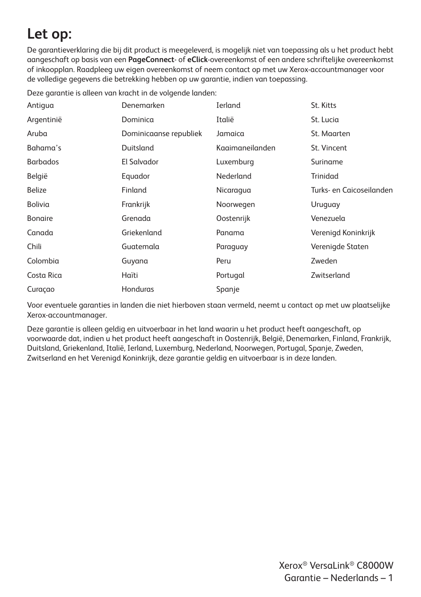## **Let op:**

De garantieverklaring die bij dit product is meegeleverd, is mogelijk niet van toepassing als u het product hebt aangeschaft op basis van een **PageConnect**- of **eClick**-overeenkomst of een andere schriftelijke overeenkomst of inkoopplan. Raadpleeg uw eigen overeenkomst of neem contact op met uw Xerox-accountmanager voor de volledige gegevens die betrekking hebben op uw garantie, indien van toepassing.

Deze garantie is alleen van kracht in de volgende landen:

| Antigua         | Denemarken             | <b>Ierland</b>  | St. Kitts                |
|-----------------|------------------------|-----------------|--------------------------|
| Argentinië      | Dominica               | Italië          | St. Lucia                |
| Aruba           | Dominicaanse republiek | Jamaica         | St. Maarten              |
| Bahama's        | Duitsland              | Kaaimaneilanden | St. Vincent              |
| <b>Barbados</b> | El Salvador            | Luxemburg       | Suriname                 |
| België          | Equador                | Nederland       | Trinidad                 |
| <b>Belize</b>   | Finland                | Nicaragua       | Turks- en Caicoseilanden |
| Bolivia         | Frankrijk              | Noorwegen       | Uruguay                  |
| <b>Bongire</b>  | Grenada                | Oostenrijk      | Venezuela                |
| Canada          | Griekenland            | Panama          | Verenigd Koninkrijk      |
| Chili           | Guatemala              | Paraguay        | Verenigde Staten         |
| Colombia        | Guyana                 | Peru            | Zweden                   |
| Costa Rica      | Haïti                  | Portugal        | Zwitserland              |
| Curaçao         | Honduras               | Spanje          |                          |

Voor eventuele garanties in landen die niet hierboven staan vermeld, neemt u contact op met uw plaatselijke Xerox-accountmanager.

Deze garantie is alleen geldig en uitvoerbaar in het land waarin u het product heeft aangeschaft, op voorwaarde dat, indien u het product heeft aangeschaft in Oostenrijk, België, Denemarken, Finland, Frankrijk, Duitsland, Griekenland, Italië, Ierland, Luxemburg, Nederland, Noorwegen, Portugal, Spanje, Zweden, Zwitserland en het Verenigd Koninkrijk, deze garantie geldig en uitvoerbaar is in deze landen.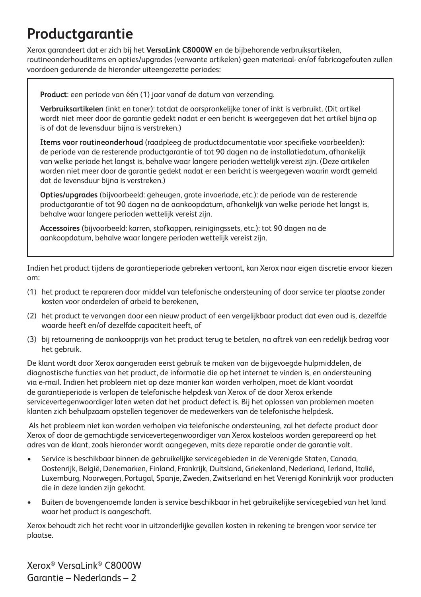## **Productgarantie**

Xerox garandeert dat er zich bij het **VersaLink C8000W** en de bijbehorende verbruiksartikelen, routineonderhouditems en opties/upgrades (verwante artikelen) geen materiaal- en/of fabricagefouten zullen voordoen gedurende de hieronder uiteengezette periodes:

**Product**: een periode van één (1) jaar vanaf de datum van verzending.

**Verbruiksartikelen** (inkt en toner): totdat de oorspronkelijke toner of inkt is verbruikt. (Dit artikel wordt niet meer door de garantie gedekt nadat er een bericht is weergegeven dat het artikel bijna op is of dat de levensduur bijna is verstreken.)

**Items voor routineonderhoud** (raadpleeg de productdocumentatie voor specifieke voorbeelden): de periode van de resterende productgarantie of tot 90 dagen na de installatiedatum, afhankelijk van welke periode het langst is, behalve waar langere perioden wettelijk vereist zijn. (Deze artikelen worden niet meer door de garantie gedekt nadat er een bericht is weergegeven waarin wordt gemeld dat de levensduur bijna is verstreken.)

**Opties/upgrades** (bijvoorbeeld: geheugen, grote invoerlade, etc.): de periode van de resterende productgarantie of tot 90 dagen na de aankoopdatum, afhankelijk van welke periode het langst is, behalve waar langere perioden wettelijk vereist zijn.

**Accessoires** (bijvoorbeeld: karren, stofkappen, reinigingssets, etc.): tot 90 dagen na de aankoopdatum, behalve waar langere perioden wettelijk vereist zijn.

Indien het product tijdens de garantieperiode gebreken vertoont, kan Xerox naar eigen discretie ervoor kiezen om:

- (1) het product te repareren door middel van telefonische ondersteuning of door service ter plaatse zonder kosten voor onderdelen of arbeid te berekenen,
- (2) het product te vervangen door een nieuw product of een vergelijkbaar product dat even oud is, dezelfde waarde heeft en/of dezelfde capaciteit heeft, of
- (3) bij retournering de aankoopprijs van het product terug te betalen, na aftrek van een redelijk bedrag voor het gebruik.

De klant wordt door Xerox aangeraden eerst gebruik te maken van de bijgevoegde hulpmiddelen, de diagnostische functies van het product, de informatie die op het internet te vinden is, en ondersteuning via e-mail. Indien het probleem niet op deze manier kan worden verholpen, moet de klant voordat de garantieperiode is verlopen de telefonische helpdesk van Xerox of de door Xerox erkende servicevertegenwoordiger laten weten dat het product defect is. Bij het oplossen van problemen moeten klanten zich behulpzaam opstellen tegenover de medewerkers van de telefonische helpdesk.

 Als het probleem niet kan worden verholpen via telefonische ondersteuning, zal het defecte product door Xerox of door de gemachtigde servicevertegenwoordiger van Xerox kosteloos worden gerepareerd op het adres van de klant, zoals hieronder wordt aangegeven, mits deze reparatie onder de garantie valt.

- Service is beschikbaar binnen de gebruikelijke servicegebieden in de Verenigde Staten, Canada, Oostenrijk, België, Denemarken, Finland, Frankrijk, Duitsland, Griekenland, Nederland, Ierland, Italië, Luxemburg, Noorwegen, Portugal, Spanje, Zweden, Zwitserland en het Verenigd Koninkrijk voor producten die in deze landen zijn gekocht.
- Buiten de bovengenoemde landen is service beschikbaar in het gebruikelijke servicegebied van het land waar het product is aangeschaft.

Xerox behoudt zich het recht voor in uitzonderlijke gevallen kosten in rekening te brengen voor service ter plaatse.

Xerox® VersaLink® C8000W Garantie – Nederlands – 2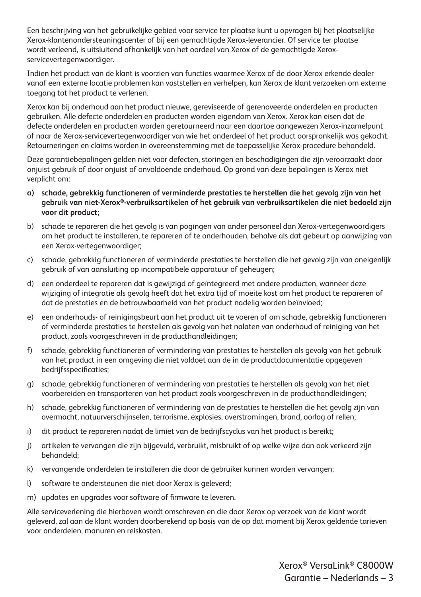Een beschrijving van het gebruikelijke gebied voor service ter plaatse kunt u opvragen bij het plaatselijke Xerox-klantenondersteuningscenter of bij een gemachtigde Xerox-leverancier. Of service ter plaatse wordt verleend, is uitsluitend afhankelijk van het oordeel van Xerox of de gemachtigde Xeroxservicevertegenwoordiger.

Indien het product van de klant is voorzien van functies waarmee Xerox of de door Xerox erkende dealer vanaf een externe locatie problemen kan vaststellen en verhelpen, kan Xerox de klant verzoeken om externe toegang tot het product te verlenen.

Xerox kan bij onderhoud aan het product nieuwe, gereviseerde of gerenoveerde onderdelen en producten gebruiken. Alle defecte onderdelen en producten worden eigendom van Xerox. Xerox kan eisen dat de defecte onderdelen en producten worden geretourneerd naar een daartoe aangewezen Xerox-inzamelpunt of naar de Xerox-servicevertegenwoordiger van wie het onderdeel of het product oorspronkelijk was gekocht. Retourneringen en claims worden in overeenstemming met de toepasselijke Xerox-procedure behandeld.

Deze garantiebepalingen gelden niet voor defecten, storingen en beschadigingen die zijn veroorzaakt door onjuist gebruik of door onjuist of onvoldoende onderhoud. Op grond van deze bepalingen is Xerox niet verplicht om:

- **a) schade, gebrekkig functioneren of verminderde prestaties te herstellen die het gevolg zijn van het gebruik van niet-Xerox®-verbruiksartikelen of het gebruik van verbruiksartikelen die niet bedoeld zijn voor dit product;**
- b) schade te repareren die het gevolg is van pogingen van ander personeel dan Xerox-vertegenwoordigers om het product te installeren, te repareren of te onderhouden, behalve als dat gebeurt op aanwijzing van een Xerox-vertegenwoordiger;
- c) schade, gebrekkig functioneren of verminderde prestaties te herstellen die het gevolg zijn van oneigenlijk gebruik of van aansluiting op incompatibele apparatuur of geheugen;
- d) een onderdeel te repareren dat is gewijzigd of geïntegreerd met andere producten, wanneer deze wijziging of integratie als gevolg heeft dat het extra tijd of moeite kost om het product te repareren of dat de prestaties en de betrouwbaarheid van het product nadelig worden beïnvloed;
- e) een onderhouds- of reinigingsbeurt aan het product uit te voeren of om schade, gebrekkig functioneren of verminderde prestaties te herstellen als gevolg van het nalaten van onderhoud of reiniging van het product, zoals voorgeschreven in de producthandleidingen;
- f) schade, gebrekkig functioneren of vermindering van prestaties te herstellen als gevolg van het gebruik van het product in een omgeving die niet voldoet aan de in de productdocumentatie opgegeven bedrijfsspecificaties;
- g) schade, gebrekkig functioneren of vermindering van prestaties te herstellen als gevolg van het niet voorbereiden en transporteren van het product zoals voorgeschreven in de producthandleidingen;
- h) schade, gebrekkig functioneren of vermindering van de prestaties te herstellen die het gevolg zijn van overmacht, natuurverschijnselen, terrorisme, explosies, overstromingen, brand, oorlog of rellen;
- i) dit product te repareren nadat de limiet van de bedrijfscyclus van het product is bereikt;
- j) artikelen te vervangen die zijn bijgevuld, verbruikt, misbruikt of op welke wijze dan ook verkeerd zijn behandeld;
- k) vervangende onderdelen te installeren die door de gebruiker kunnen worden vervangen;
- l) software te ondersteunen die niet door Xerox is geleverd;
- m) updates en upgrades voor software of firmware te leveren.

Alle serviceverlening die hierboven wordt omschreven en die door Xerox op verzoek van de klant wordt geleverd, zal aan de klant worden doorberekend op basis van de op dat moment bij Xerox geldende tarieven voor onderdelen, manuren en reiskosten.

> Xerox® VersaLink® C8000W Garantie – Nederlands – 3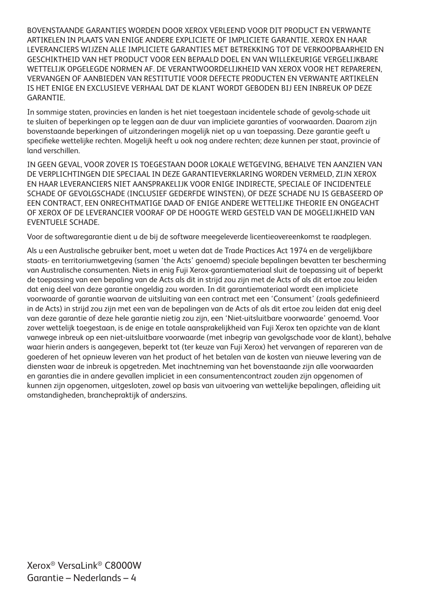BOVENSTAANDE GARANTIES WORDEN DOOR XEROX VERLEEND VOOR DIT PRODUCT EN VERWANTE ARTIKELEN IN PLAATS VAN ENIGE ANDERE EXPLICIETE OF IMPLICIETE GARANTIE. XEROX EN HAAR LEVERANCIERS WIJZEN ALLE IMPLICIETE GARANTIES MET BETREKKING TOT DE VERKOOPBAARHEID EN GESCHIKTHEID VAN HET PRODUCT VOOR EEN BEPAALD DOEL EN VAN WILLEKEURIGE VERGELIJKBARE WETTELIJK OPGELEGDE NORMEN AF. DE VERANTWOORDELIJKHEID VAN XEROX VOOR HET REPAREREN, VERVANGEN OF AANBIEDEN VAN RESTITUTIE VOOR DEFECTE PRODUCTEN EN VERWANTE ARTIKELEN IS HET ENIGE EN EXCLUSIEVE VERHAAL DAT DE KLANT WORDT GEBODEN BIJ EEN INBREUK OP DEZE **GARANTIF** 

In sommige staten, provincies en landen is het niet toegestaan incidentele schade of gevolg-schade uit te sluiten of beperkingen op te leggen aan de duur van impliciete garanties of voorwaarden. Daarom zijn bovenstaande beperkingen of uitzonderingen mogelijk niet op u van toepassing. Deze garantie geeft u specifieke wettelijke rechten. Mogelijk heeft u ook nog andere rechten; deze kunnen per staat, provincie of land verschillen.

IN GEEN GEVAL, VOOR ZOVER IS TOEGESTAAN DOOR LOKALE WETGEVING, BEHALVE TEN AANZIEN VAN DE VERPLICHTINGEN DIE SPECIAAL IN DEZE GARANTIEVERKLARING WORDEN VERMELD, ZIJN XEROX EN HAAR LEVERANCIERS NIET AANSPRAKELIJK VOOR ENIGE INDIRECTE, SPECIALE OF INCIDENTELE SCHADE OF GEVOLGSCHADE (INCLUSIEF GEDERFDE WINSTEN), OF DEZE SCHADE NU IS GEBASEERD OP EEN CONTRACT, EEN ONRECHTMATIGE DAAD OF ENIGE ANDERE WETTELIJKE THEORIE EN ONGEACHT OF XEROX OF DE LEVERANCIER VOORAF OP DE HOOGTE WERD GESTELD VAN DE MOGELIJKHEID VAN EVENTUELE SCHADE.

Voor de softwaregarantie dient u de bij de software meegeleverde licentieovereenkomst te raadplegen.

Als u een Australische gebruiker bent, moet u weten dat de Trade Practices Act 1974 en de vergelijkbare staats- en territoriumwetgeving (samen 'the Acts' genoemd) speciale bepalingen bevatten ter bescherming van Australische consumenten. Niets in enig Fuji Xerox-garantiemateriaal sluit de toepassing uit of beperkt de toepassing van een bepaling van de Acts als dit in strijd zou zijn met de Acts of als dit ertoe zou leiden dat enig deel van deze garantie ongeldig zou worden. In dit garantiemateriaal wordt een impliciete voorwaarde of garantie waarvan de uitsluiting van een contract met een 'Consument' (zoals gedefinieerd in de Acts) in strijd zou zijn met een van de bepalingen van de Acts of als dit ertoe zou leiden dat enig deel van deze garantie of deze hele garantie nietig zou zijn, een 'Niet-uitsluitbare voorwaarde' genoemd. Voor zover wettelijk toegestaan, is de enige en totale aansprakelijkheid van Fuji Xerox ten opzichte van de klant vanwege inbreuk op een niet-uitsluitbare voorwaarde (met inbegrip van gevolgschade voor de klant), behalve waar hierin anders is aangegeven, beperkt tot (ter keuze van Fuji Xerox) het vervangen of repareren van de goederen of het opnieuw leveren van het product of het betalen van de kosten van nieuwe levering van de diensten waar de inbreuk is opgetreden. Met inachtneming van het bovenstaande zijn alle voorwaarden en garanties die in andere gevallen impliciet in een consumentencontract zouden zijn opgenomen of kunnen zijn opgenomen, uitgesloten, zowel op basis van uitvoering van wettelijke bepalingen, afleiding uit omstandigheden, branchepraktijk of anderszins.

Xerox® VersaLink® C8000W Garantie – Nederlands – 4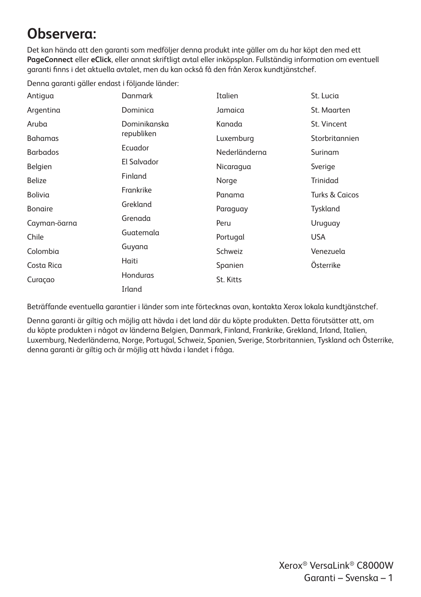## **Observera:**

Det kan hända att den garanti som medföljer denna produkt inte gäller om du har köpt den med ett **PageConnect** eller **eClick**, eller annat skriftligt avtal eller inköpsplan. Fullständig information om eventuell garanti finns i det aktuella avtalet, men du kan också få den från Xerox kundtjänstchef.

Denna garanti gäller endast i följande länder:

| Antigua         | Danmark      | Italien       | St. Lucia                 |
|-----------------|--------------|---------------|---------------------------|
| Argentina       | Dominica     | Jamaica       | St. Maarten               |
| Aruba           | Dominikanska | Kanada        | St. Vincent               |
| <b>Bahamas</b>  | republiken   | Luxemburg     | Storbritannien            |
| <b>Barbados</b> | Ecuador      | Nederländerna | Surinam                   |
| Belgien         | El Salvador  | Nicaragua     | Sverige                   |
| <b>Belize</b>   | Finland      | Norge         | Trinidad                  |
| Bolivia         | Frankrike    | Panama        | <b>Turks &amp; Caicos</b> |
| <b>Bonaire</b>  | Grekland     | Paraguay      | Tyskland                  |
| Cayman-öarna    | Grenada      | Peru          | Uruguay                   |
| Chile           | Guatemala    | Portugal      | <b>USA</b>                |
| Colombia        | Guyana       | Schweiz       | Venezuela                 |
| Costa Rica      | Haiti        | Spanien       | Österrike                 |
| Curaçao         | Honduras     | St. Kitts     |                           |
|                 | Irland       |               |                           |

Beträffande eventuella garantier i länder som inte förtecknas ovan, kontakta Xerox lokala kundtjänstchef.

Denna garanti är giltig och möjlig att hävda i det land där du köpte produkten. Detta förutsätter att, om du köpte produkten i något av länderna Belgien, Danmark, Finland, Frankrike, Grekland, Irland, Italien, Luxemburg, Nederländerna, Norge, Portugal, Schweiz, Spanien, Sverige, Storbritannien, Tyskland och Österrike, denna garanti är giltig och är möjlig att hävda i landet i fråga.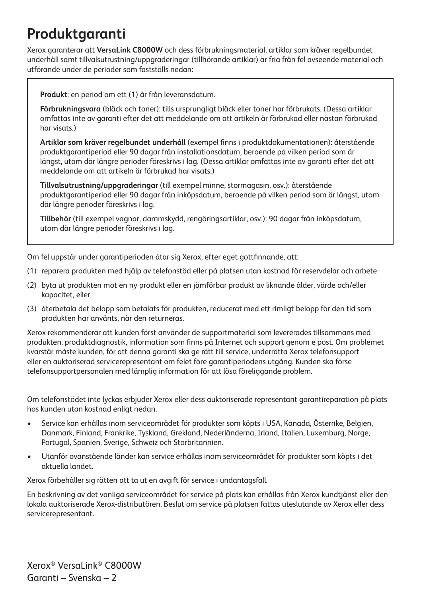## **Produktgaranti**

Xerox garanterar att **VersaLink C8000W** och dess förbrukningsmaterial, artiklar som kräver regelbundet underhåll samt tillvalsutrustning/uppgraderingar (tillhörande artiklar) är fria från fel avseende material och utförande under de perioder som fastställs nedan:

**Produkt**: en period om ett (1) år från leveransdatum.

**Förbrukningsvara** (bläck och toner): tills ursprungligt bläck eller toner har förbrukats. (Dessa artiklar omfattas inte av garanti efter det att meddelande om att artikeln är förbrukad eller nästan förbrukad har visats.)

**Artiklar som kräver regelbundet underhåll** (exempel finns i produktdokumentationen): återstående produktgarantiperiod eller 90 dagar från installationsdatum, beroende på vilken period som är längst, utom där längre perioder föreskrivs i lag. (Dessa artiklar omfattas inte av garanti efter det att meddelande om att artikeln är förbrukad har visats.)

**Tillvalsutrustning/uppgraderingar** (till exempel minne, stormagasin, osv.): återstående produktgarantiperiod eller 90 dagar från inköpsdatum, beroende på vilken period som är längst, utom där längre perioder föreskrivs i lag.

**Tillbehör** (till exempel vagnar, dammskydd, rengöringsartiklar, osv.): 90 dagar från inköpsdatum, utom där längre perioder föreskrivs i lag.

Om fel uppstår under garantiperioden åtar sig Xerox, efter eget gottfinnande, att:

- (1) reparera produkten med hjälp av telefonstöd eller på platsen utan kostnad för reservdelar och arbete
- (2) byta ut produkten mot en ny produkt eller en jämförbar produkt av liknande ålder, värde och/eller kapacitet, eller
- (3) återbetala det belopp som betalats för produkten, reducerat med ett rimligt belopp för den tid som produkten har använts, när den returneras.

Xerox rekommenderar att kunden först använder de supportmaterial som levererades tillsammans med produkten, produktdiagnostik, information som finns på Internet och support genom e post. Om problemet kvarstår måste kunden, för att denna garanti ska ge rätt till service, underrätta Xerox telefonsupport eller en auktoriserad servicerepresentant om felet före garantiperiodens utgång. Kunden ska förse telefonsupportpersonalen med lämplig information för att lösa föreliggande problem.

Om telefonstödet inte lyckas erbjuder Xerox eller dess auktoriserade representant garantireparation på plats hos kunden utan kostnad enligt nedan.

- Service kan erhållas inom serviceområdet för produkter som köpts i USA, Kanada, Österrike, Belgien, Danmark, Finland, Frankrike, Tyskland, Grekland, Nederländerna, Irland, Italien, Luxemburg, Norge, Portugal, Spanien, Sverige, Schweiz och Storbritannien.
- Utanför ovanstående länder kan service erhållas inom serviceområdet för produkter som köpts i det aktuella landet.

Xerox förbehåller sig rätten att ta ut en avgift för service i undantagsfall.

En beskrivning av det vanliga serviceområdet för service på plats kan erhållas från Xerox kundtjänst eller den lokala auktoriserade Xerox-distributören. Beslut om service på platsen fattas uteslutande av Xerox eller dess servicerepresentant.

Xerox® VersaLink® C8000W Garanti – Svenska – 2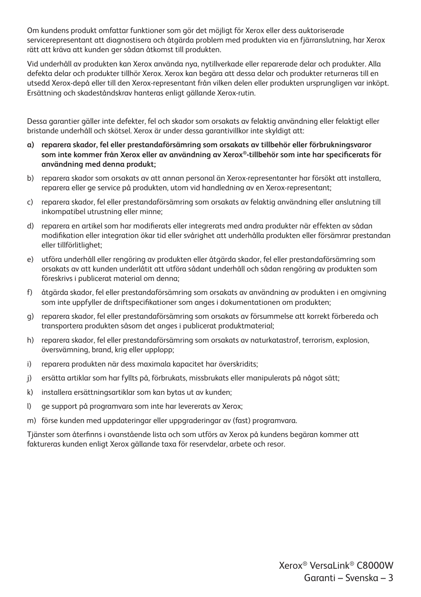Om kundens produkt omfattar funktioner som gör det möjligt för Xerox eller dess auktoriserade servicerepresentant att diagnostisera och åtgärda problem med produkten via en fjärranslutning, har Xerox rätt att kräva att kunden ger sådan åtkomst till produkten.

Vid underhåll av produkten kan Xerox använda nya, nytillverkade eller reparerade delar och produkter. Alla defekta delar och produkter tillhör Xerox. Xerox kan begära att dessa delar och produkter returneras till en utsedd Xerox-depå eller till den Xerox-representant från vilken delen eller produkten ursprungligen var inköpt. Ersättning och skadeståndskrav hanteras enligt gällande Xerox-rutin.

Dessa garantier gäller inte defekter, fel och skador som orsakats av felaktig användning eller felaktigt eller bristande underhåll och skötsel. Xerox är under dessa garantivillkor inte skyldigt att:

- **a) reparera skador, fel eller prestandaförsämring som orsakats av tillbehör eller förbrukningsvaror som inte kommer från Xerox eller av användning av Xerox®-tillbehör som inte har specificerats för användning med denna produkt;**
- b) reparera skador som orsakats av att annan personal än Xerox-representanter har försökt att installera, reparera eller ge service på produkten, utom vid handledning av en Xerox-representant;
- c) reparera skador, fel eller prestandaförsämring som orsakats av felaktig användning eller anslutning till inkompatibel utrustning eller minne;
- d) reparera en artikel som har modifierats eller integrerats med andra produkter när effekten av sådan modifikation eller integration ökar tid eller svårighet att underhålla produkten eller försämrar prestandan eller tillförlitlighet;
- e) utföra underhåll eller rengöring av produkten eller åtgärda skador, fel eller prestandaförsämring som orsakats av att kunden underlåtit att utföra sådant underhåll och sådan rengöring av produkten som föreskrivs i publicerat material om denna;
- f) åtgärda skador, fel eller prestandaförsämring som orsakats av användning av produkten i en omgivning som inte uppfyller de driftspecifikationer som anges i dokumentationen om produkten;
- g) reparera skador, fel eller prestandaförsämring som orsakats av försummelse att korrekt förbereda och transportera produkten såsom det anges i publicerat produktmaterial;
- h) reparera skador, fel eller prestandaförsämring som orsakats av naturkatastrof, terrorism, explosion, översvämning, brand, krig eller upplopp;
- i) reparera produkten när dess maximala kapacitet har överskridits;
- j) ersätta artiklar som har fyllts på, förbrukats, missbrukats eller manipulerats på något sätt;
- k) installera ersättningsartiklar som kan bytas ut av kunden;
- l) ge support på programvara som inte har levererats av Xerox;
- m) förse kunden med uppdateringar eller uppgraderingar av (fast) programvara.

Tjänster som återfinns i ovanstående lista och som utförs av Xerox på kundens begäran kommer att faktureras kunden enligt Xerox gällande taxa för reservdelar, arbete och resor.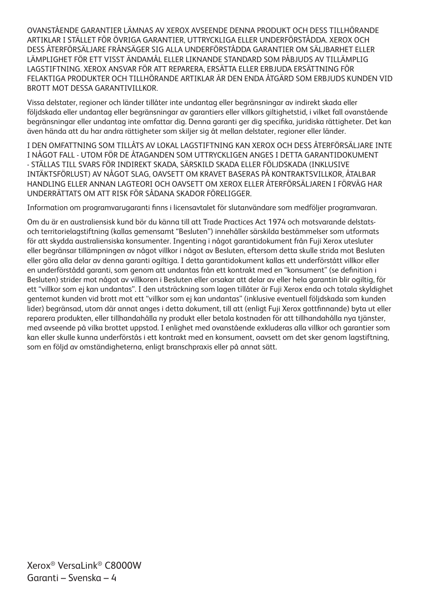OVANSTÅENDE GARANTIER LÄMNAS AV XEROX AVSEENDE DENNA PRODUKT OCH DESS TILLHÖRANDE ARTIKLAR I STÄLLET FÖR ÖVRIGA GARANTIER, UTTRYCKLIGA ELLER UNDERFÖRSTÅDDA. XEROX OCH DESS ÅTERFÖRSÄLJARE FRÅNSÄGER SIG ALLA UNDERFÖRSTÅDDA GARANTIER OM SÄLJBARHET ELLER LÄMPLIGHET FÖR ETT VISST ÄNDAMÅL ELLER LIKNANDE STANDARD SOM PÅBJUDS AV TILLÄMPLIG LAGSTIFTNING. XEROX ANSVAR FÖR ATT REPARERA, ERSÄTTA ELLER ERBJUDA ERSÄTTNING FÖR FELAKTIGA PRODUKTER OCH TILLHÖRANDE ARTIKLAR ÄR DEN ENDA ÅTGÄRD SOM ERBJUDS KUNDEN VID BROTT MOT DESSA GARANTIVILLKOR.

Vissa delstater, regioner och länder tillåter inte undantag eller begränsningar av indirekt skada eller följdskada eller undantag eller begränsningar av garantiers eller villkors giltighetstid, i vilket fall ovanstående begränsningar eller undantag inte omfattar dig. Denna garanti ger dig specifika, juridiska rättigheter. Det kan även hända att du har andra rättigheter som skiljer sig åt mellan delstater, regioner eller länder.

I DEN OMFATTNING SOM TILLÅTS AV LOKAL LAGSTIFTNING KAN XEROX OCH DESS ÅTERFÖRSÄLJARE INTE I NÅGOT FALL - UTOM FÖR DE ÅTAGANDEN SOM UTTRYCKLIGEN ANGES I DETTA GARANTIDOKUMENT - STÄLLAS TILL SVARS FÖR INDIREKT SKADA, SÄRSKILD SKADA ELLER FÖLJDSKADA (INKLUSIVE INTÄKTSFÖRLUST) AV NÅGOT SLAG, OAVSETT OM KRAVET BASERAS PÅ KONTRAKTSVILLKOR, ÅTALBAR HANDLING ELLER ANNAN LAGTEORI OCH OAVSETT OM XEROX ELLER ÅTERFÖRSÄLJAREN I FÖRVÄG HAR UNDERRÄTTATS OM ATT RISK FÖR SÅDANA SKADOR FÖRELIGGER.

Information om programvarugaranti finns i licensavtalet för slutanvändare som medföljer programvaran.

Om du är en australiensisk kund bör du känna till att Trade Practices Act 1974 och motsvarande delstatsoch territorielagstiftning (kallas gemensamt "Besluten") innehåller särskilda bestämmelser som utformats för att skydda australiensiska konsumenter. Ingenting i något garantidokument från Fuji Xerox utesluter eller begränsar tillämpningen av något villkor i något av Besluten, eftersom detta skulle strida mot Besluten eller göra alla delar av denna garanti ogiltiga. I detta garantidokument kallas ett underförstått villkor eller en underförstådd garanti, som genom att undantas från ett kontrakt med en "konsument" (se definition i Besluten) strider mot något av villkoren i Besluten eller orsakar att delar av eller hela garantin blir ogiltig, för ett "villkor som ej kan undantas". I den utsträckning som lagen tillåter är Fuji Xerox enda och totala skyldighet gentemot kunden vid brott mot ett "villkor som ej kan undantas" (inklusive eventuell följdskada som kunden lider) begränsad, utom där annat anges i detta dokument, till att (enligt Fuji Xerox gottfinnande) byta ut eller reparera produkten, eller tillhandahålla ny produkt eller betala kostnaden för att tillhandahålla nya tjänster, med avseende på vilka brottet uppstod. I enlighet med ovanstående exkluderas alla villkor och garantier som kan eller skulle kunna underförstås i ett kontrakt med en konsument, oavsett om det sker genom lagstiftning, som en följd av omständigheterna, enligt branschpraxis eller på annat sätt.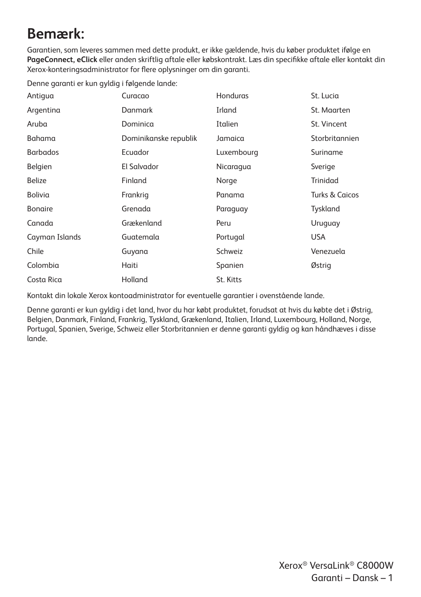## **Bemærk:**

Garantien, som leveres sammen med dette produkt, er ikke gældende, hvis du køber produktet ifølge en **PageConnect, eClick** eller anden skriftlig aftale eller købskontrakt. Læs din specifikke aftale eller kontakt din Xerox-konteringsadministrator for flere oplysninger om din garanti.

Denne garanti er kun gyldig i følgende lande:

| Antiqua         | Curacao               | Honduras   | St. Lucia                 |
|-----------------|-----------------------|------------|---------------------------|
| Argentina       | Danmark               | Irland     | St. Maarten               |
| Aruba           | Dominica              | Italien    | St. Vincent               |
| Bahama          | Dominikanske republik | Jamaica    | Storbritannien            |
| <b>Barbados</b> | Ecuador               | Luxembourg | Suriname                  |
| Belgien         | El Salvador           | Nicaragua  | Sverige                   |
| <b>Belize</b>   | Finland               | Norge      | Trinidad                  |
| Bolivia         | Frankrig              | Panama     | <b>Turks &amp; Caicos</b> |
| <b>Bonaire</b>  | Grenada               | Paraguay   | Tyskland                  |
| Canada          | Grækenland            | Peru       | Uruguay                   |
| Cayman Islands  | Guatemala             | Portugal   | <b>USA</b>                |
| Chile           | Guyana                | Schweiz    | Venezuela                 |
| Colombia        | Haiti                 | Spanien    | Østrig                    |
| Costa Rica      | Holland               | St. Kitts  |                           |

Kontakt din lokale Xerox kontoadministrator for eventuelle garantier i ovenstående lande.

Denne garanti er kun gyldig i det land, hvor du har købt produktet, forudsat at hvis du købte det i Østrig, Belgien, Danmark, Finland, Frankrig, Tyskland, Grækenland, Italien, Irland, Luxembourg, Holland, Norge, Portugal, Spanien, Sverige, Schweiz eller Storbritannien er denne garanti gyldig og kan håndhæves i disse lande.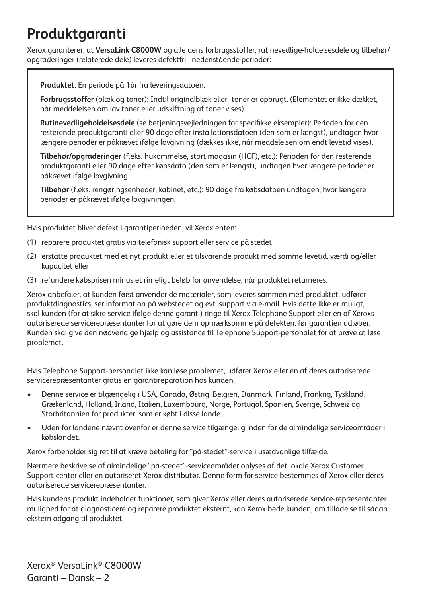## **Produktgaranti**

Xerox garanterer, at **VersaLink C8000W** og alle dens forbrugsstoffer, rutinevedlige-holdelsesdele og tilbehør/ opgraderinger (relaterede dele) leveres defektfri i nedenstående perioder:

**Produktet**: En periode på 1år fra leveringsdatoen.

**Forbrugsstoffer** (blæk og toner): Indtil originalblæk eller -toner er opbrugt. (Elementet er ikke dækket, når meddelelsen om lav toner eller udskiftning af toner vises).

**Rutinevedligeholdelsesdele** (se betjeningsvejledningen for specifikke eksempler): Perioden for den resterende produktgaranti eller 90 dage efter installationsdatoen (den som er længst), undtagen hvor længere perioder er påkrævet ifølge lovgivning (dækkes ikke, når meddelelsen om endt levetid vises).

**Tilbehør/opgraderinger** (f.eks. hukommelse, stort magasin (HCF), etc.): Perioden for den resterende produktgaranti eller 90 dage efter købsdato (den som er længst), undtagen hvor længere perioder er påkrævet ifølge lovgivning.

**Tilbehør** (f.eks. rengøringsenheder, kabinet, etc.): 90 dage fra købsdatoen undtagen, hvor længere perioder er påkrævet ifølge lovgivningen.

Hvis produktet bliver defekt i garantiperioeden, vil Xerox enten:

- (1) reparere produktet gratis via telefonisk support eller service på stedet
- (2) erstatte produktet med et nyt produkt eller et tilsvarende produkt med samme levetid, værdi og/eller kapacitet eller
- (3) refundere købsprisen minus et rimeligt beløb for anvendelse, når produktet returneres.

Xerox anbefaler, at kunden først anvender de materialer, som leveres sammen med produktet, udfører produktdiagnostics, ser information på webstedet og evt. support via e-mail. Hvis dette ikke er muligt, skal kunden (for at sikre service ifølge denne garanti) ringe til Xerox Telephone Support eller en af Xeroxs autoriserede servicerepræsentanter for at gøre dem opmærksomme på defekten, før garantien udløber. Kunden skal give den nødvendige hjælp og assistance til Telephone Support-personalet for at prøve at løse problemet.

Hvis Telephone Support-personalet ikke kan løse problemet, udfører Xerox eller en af deres autoriserede servicerepræsentanter gratis en garantireparation hos kunden.

- Denne service er tilgængelig i USA, Canada, Østrig, Belgien, Danmark, Finland, Frankrig, Tyskland, Grækenland, Holland, Irland, Italien, Luxembourg, Norge, Portugal, Spanien, Sverige, Schweiz og Storbritannien for produkter, som er købt i disse lande.
- Uden for landene nævnt ovenfor er denne service tilgængelig inden for de almindelige serviceområder i købslandet.

Xerox forbeholder sig ret til at kræve betaling for "på-stedet"-service i usædvanlige tilfælde.

Nærmere beskrivelse af almindelige "på-stedet"-serviceområder oplyses af det lokale Xerox Customer Support-center eller en autoriseret Xerox-distributør. Denne form for service bestemmes af Xerox eller deres autoriserede servicerepræsentanter.

Hvis kundens produkt indeholder funktioner, som giver Xerox eller deres autoriserede service-repræsentanter mulighed for at diagnosticere og reparere produktet eksternt, kan Xerox bede kunden, om tilladelse til sådan ekstern adgang til produktet.

Xerox® VersaLink® C8000W Garanti – Dansk – 2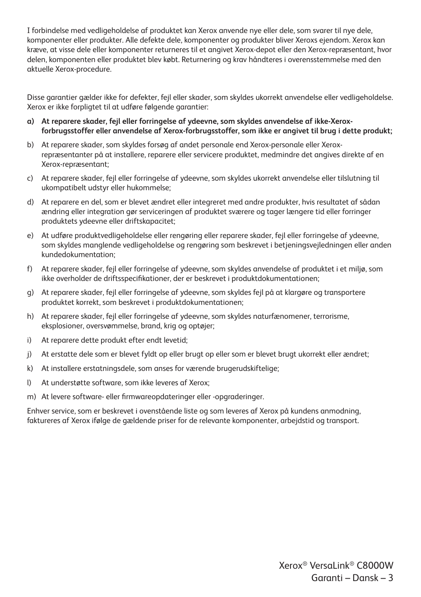I forbindelse med vedligeholdelse af produktet kan Xerox anvende nye eller dele, som svarer til nye dele, komponenter eller produkter. Alle defekte dele, komponenter og produkter bliver Xeroxs ejendom. Xerox kan kræve, at visse dele eller komponenter returneres til et angivet Xerox-depot eller den Xerox-repræsentant, hvor delen, komponenten eller produktet blev købt. Returnering og krav håndteres i overensstemmelse med den aktuelle Xerox-procedure.

Disse garantier gælder ikke for defekter, fejl eller skader, som skyldes ukorrekt anvendelse eller vedligeholdelse. Xerox er ikke forpligtet til at udføre følgende garantier:

- **a) At reparere skader, fejl eller forringelse af ydeevne, som skyldes anvendelse af ikke-Xeroxforbrugsstoffer eller anvendelse af Xerox-forbrugsstoffer, som ikke er angivet til brug i dette produkt;**
- b) At reparere skader, som skyldes forsøg af andet personale end Xerox-personale eller Xeroxrepræsentanter på at installere, reparere eller servicere produktet, medmindre det angives direkte af en Xerox-repræsentant;
- c) At reparere skader, fejl eller forringelse af ydeevne, som skyldes ukorrekt anvendelse eller tilslutning til ukompatibelt udstyr eller hukommelse;
- d) At reparere en del, som er blevet ændret eller integreret med andre produkter, hvis resultatet af sådan ændring eller integration gør serviceringen af produktet sværere og tager længere tid eller forringer produktets ydeevne eller driftskapacitet;
- e) At udføre produktvedligeholdelse eller rengøring eller reparere skader, fejl eller forringelse af ydeevne, som skyldes manglende vedligeholdelse og rengøring som beskrevet i betjeningsvejledningen eller anden kundedokumentation;
- f) At reparere skader, fejl eller forringelse af ydeevne, som skyldes anvendelse af produktet i et miljø, som ikke overholder de driftsspecifikationer, der er beskrevet i produktdokumentationen;
- g) At reparere skader, fejl eller forringelse af ydeevne, som skyldes fejl på at klargøre og transportere produktet korrekt, som beskrevet i produktdokumentationen;
- h) At reparere skader, fejl eller forringelse af ydeevne, som skyldes naturfænomener, terrorisme, eksplosioner, oversvømmelse, brand, krig og optøjer;
- i) At reparere dette produkt efter endt levetid;
- j) At erstatte dele som er blevet fyldt op eller brugt op eller som er blevet brugt ukorrekt eller ændret;
- k) At installere erstatningsdele, som anses for værende brugerudskiftelige;
- l) At understøtte software, som ikke leveres af Xerox;
- m) At levere software- eller firmwareopdateringer eller -opgraderinger.

Enhver service, som er beskrevet i ovenstående liste og som leveres af Xerox på kundens anmodning, faktureres af Xerox ifølge de gældende priser for de relevante komponenter, arbejdstid og transport.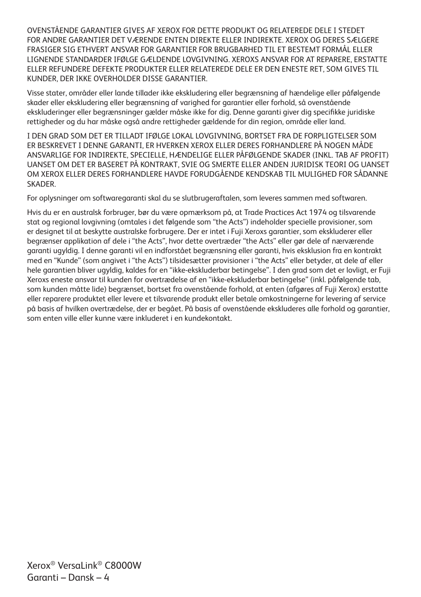OVENSTÅENDE GARANTIER GIVES AF XEROX FOR DETTE PRODUKT OG RELATEREDE DELE I STEDET FOR ANDRE GARANTIER DET VÆRENDE ENTEN DIREKTE ELLER INDIREKTE. XEROX OG DERES SÆLGERE FRASIGER SIG ETHVERT ANSVAR FOR GARANTIER FOR BRUGBARHED TIL ET BESTEMT FORMÅL ELLER LIGNENDE STANDARDER IFØLGE GÆLDENDE LOVGIVNING. XEROXS ANSVAR FOR AT REPARERE, ERSTATTE ELLER REFUNDERE DEFEKTE PRODUKTER ELLER RELATEREDE DELE ER DEN ENESTE RET, SOM GIVES TIL KUNDER, DER IKKE OVERHOLDER DISSE GARANTIER.

Visse stater, områder eller lande tillader ikke ekskludering eller begrænsning af hændelige eller påfølgende skader eller ekskludering eller begrænsning af varighed for garantier eller forhold, så ovenstående ekskluderinger eller begrænsninger gælder måske ikke for dig. Denne garanti giver dig specifikke juridiske rettigheder og du har måske også andre rettigheder gældende for din region, område eller land.

I DEN GRAD SOM DET ER TILLADT IFØLGE LOKAL LOVGIVNING, BORTSET FRA DE FORPLIGTELSER SOM ER BESKREVET I DENNE GARANTI, ER HVERKEN XEROX ELLER DERES FORHANDLERE PÅ NOGEN MÅDE ANSVARLIGE FOR INDIREKTE, SPECIELLE, HÆNDELIGE ELLER PÅFØLGENDE SKADER (INKL. TAB AF PROFIT) UANSET OM DET ER BASERET PÅ KONTRAKT, SVIE OG SMERTE ELLER ANDEN JURIDISK TEORI OG UANSET OM XEROX ELLER DERES FORHANDLERE HAVDE FORUDGÅENDE KENDSKAB TIL MULIGHED FOR SÅDANNE **SKADER** 

For oplysninger om softwaregaranti skal du se slutbrugeraftalen, som leveres sammen med softwaren.

Hvis du er en australsk forbruger, bør du være opmærksom på, at Trade Practices Act 1974 og tilsvarende stat og regional lovgivning (omtales i det følgende som "the Acts") indeholder specielle provisioner, som er designet til at beskytte australske forbrugere. Der er intet i Fuji Xeroxs garantier, som ekskluderer eller begrænser applikation af dele i "the Acts", hvor dette overtræder "the Acts" eller gør dele af nærværende garanti ugyldig. I denne garanti vil en indforstået begrænsning eller garanti, hvis eksklusion fra en kontrakt med en "Kunde" (som angivet i "the Acts") tilsidesætter provisioner i "the Acts" eller betyder, at dele af eller hele garantien bliver ugyldig, kaldes for en "ikke-ekskluderbar betingelse". I den grad som det er lovligt, er Fuji Xeroxs eneste ansvar til kunden for overtrædelse af en "ikke-ekskluderbar betingelse" (inkl. påfølgende tab, som kunden måtte lide) begrænset, bortset fra ovenstående forhold, at enten (afgøres af Fuji Xerox) erstatte eller reparere produktet eller levere et tilsvarende produkt eller betale omkostningerne for levering af service på basis af hvilken overtrædelse, der er begået. På basis af ovenstående ekskluderes alle forhold og garantier, som enten ville eller kunne være inkluderet i en kundekontakt.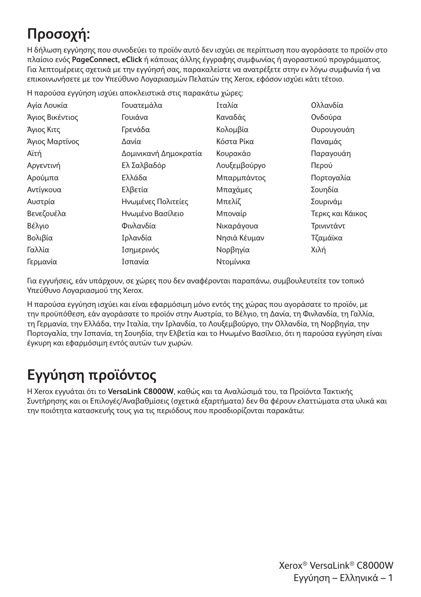# **Προσοχή:**

Η δήλωση εγγύησης που συνοδεύει το προϊόν αυτό δεν ισχύει σε περίπτωση που αγοράσατε το προϊόν στο πλαίσιο ενός **PageConnect, eClick** ή κάποιας άλλης έγγραφης συμφωνίας ή αγοραστικού προγράμματος. Για λεπτομέρειες σχετικά με την εγγύησή σας, παρακαλείστε να ανατρέξετε στην εν λόγω συμφωνία ή να επικοινωνήσετε με τον Υπεύθυνο Λογαριασμών Πελατών της Xerox, εφόσον ισχύει κάτι τέτοιο.

|  |  |  | Η παρούσα εγγύηση ισχύει αποκλειστικά στις παρακάτω χώρες: |  |
|--|--|--|------------------------------------------------------------|--|
|  |  |  |                                                            |  |

| Αγία Λουκία     | Γουατεμάλα            | Ιταλία       | Ολλανδία         |
|-----------------|-----------------------|--------------|------------------|
| Άγιος Βικέντιος | Γουιάνα               | Καναδάς      | Ονδούρα          |
| Άγιος Κιτς      | Γρενάδα               | Κολομβία     | Ουρουγουάη       |
| Άγιος Μαρτίνος  | Δανία                 | Κόστα Ρίκα   | Παναμάς          |
| Αϊτή            | Δομινικανή Δημοκρατία | Κουρακάο     | Παραγουάη        |
| Αργεντινή       | Ελ Σαλβαδόρ           | Λουξεμβούργο | Περού            |
| Αρούμπα         | Ελλάδα                | Μπαρμπάντος  | Πορτογαλία       |
| Αντίγκουα       | Ελβετία               | Μπαχάμες     | Σουηδία          |
| Αυστρία         | Ηνωμένες Πολιτείες    | Μπελίζ       | Σουρινάμ         |
| Βενεζουέλα      | Ηνωμένο Βασίλειο      | Μποναίρ      | Τερκς και Κάικος |
| Βέλγιο          | Φινλανδία             | Νικαράγουα   | Τρινιντάντ       |
| Βολιβία         | Ιρλανδία              | Νησιά Κέυμαν | Τζαμάϊκα         |
| Γαλλία          | Ισημερινός            | Νορβηγία     | Χιλή             |
| Γερμανία        | Ισπανία               | Ντομίνικα    |                  |

Για εγγυήσεις, εάν υπάρχουν, σε χώρες που δεν αναφέρονται παραπάνω, συμβουλευτείτε τον τοπικό Υπεύθυνο Λογαριασμού της Xerox.

Η παρούσα εγγύηση ισχύει και είναι εφαρμόσιμη μόνο εντός της χώρας που αγοράσατε το προϊόν, με την προϋπόθεση, εάν αγοράσατε το προϊόν στην Αυστρία, το Βέλγιο, τη Δανία, τη Φινλανδία, τη Γαλλία, τη Γερμανία, την Ελλάδα, την Ιταλία, την Ιρλανδία, το Λουξεμβούργο, την Ολλανδία, τη Νορβηγία, την Πορτογαλία, την Ισπανία, τη Σουηδία, την Ελβετία και το Ηνωμένο Βασίλειο, ότι η παρούσα εγγύηση είναι έγκυρη και εφαρμόσιμη εντός αυτών των χωρών.

## **Εγγύηση προϊόντος**

Η Xerox εγγυάται ότι το **VersaLink C8000W**, καθώς και τα Αναλώσιμά του, τα Προϊόντα Τακτικής Συντήρησης και οι Επιλογές/Αναβαθμίσεις (σχετικά εξαρτήματα) δεν θα φέρουν ελαττώματα στα υλικά και την ποιότητα κατασκευής τους για τις περιόδους που προσδιορίζονται παρακάτω: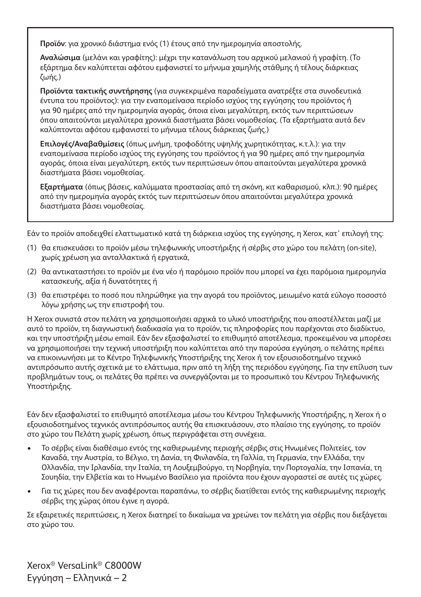**Προϊόν**: για χρονικό διάστημα ενός (1) έτους από την ημερομηνία αποστολής.

**Αναλώσιμα** (μελάνι και γραφίτης): μέχρι την κατανάλωση του αρχικού μελανιού ή γραφίτη. (Το εξάρτημα δεν καλύπτεται αφότου εμφανιστεί το μήνυμα χαμηλής στάθμης ή τέλους διάρκειας ζωής.)

**Προϊόντα τακτικής συντήρησης** (για συγκεκριμένα παραδείγματα ανατρέξτε στα συνοδευτικά έντυπα του προϊόντος): για την εναπομείνασα περίοδο ισχύος της εγγύησης του προϊόντος ή για 90 ημέρες από την ημερομηνία αγοράς, όποια είναι μεγαλύτερη, εκτός των περιπτώσεων όπου απαιτούνται μεγαλύτερα χρονικά διαστήματα βάσει νομοθεσίας. (Τα εξαρτήματα αυτά δεν καλύπτονται αφότου εμφανιστεί το μήνυμα τέλους διάρκειας ζωής.)

**Επιλογές/Αναβαθμίσεις** (όπως μνήμη, τροφοδότης υψηλής χωρητικότητας, κ.τ.λ.): για την εναπομείνασα περίοδο ισχύος της εγγύησης του προϊόντος ή για 90 ημέρες από την ημερομηνία αγοράς, όποια είναι μεγαλύτερη, εκτός των περιπτώσεων όπου απαιτούνται μεγαλύτερα χρονικά διαστήματα βάσει νομοθεσίας.

**Εξαρτήματα** (όπως βάσεις, καλύμματα προστασίας από τη σκόνη, κιτ καθαρισμού, κλπ.): 90 ημέρες από την ημερομηνία αγοράς εκτός των περιπτώσεων όπου απαιτούνται μεγαλύτερα χρονικά διαστήματα βάσει νομοθεσίας.

Εάν το προϊόν αποδειχθεί ελαττωματικό κατά τη διάρκεια ισχύος της εγγύησης, η Xerox, κατ' επιλογή της:

- (1) θα επισκευάσει το προϊόν μέσω τηλεφωνικής υποστήριξης ή σέρβις στο χώρο του πελάτη (on-site), χωρίς χρέωση για ανταλλακτικά ή εργατικά,
- (2) θα αντικαταστήσει το προϊόν με ένα νέο ή παρόμοιο προϊόν που μπορεί να έχει παρόμοια ημερομηνία κατασκευής, αξία ή δυνατότητες ή
- (3) θα επιστρέψει το ποσό που πληρώθηκε για την αγορά του προϊόντος, μειωμένο κατά εύλογο ποσοστό λόγω χρήσης ως την επιστροφή του.

Η Xerox συνιστά στον πελάτη να χρησιμοποιήσει αρχικά το υλικό υποστήριξης που αποστέλλεται μαζί με αυτό το προϊόν, τη διαγνωστική διαδικασία για το προϊόν, τις πληροφορίες που παρέχονται στο διαδίκτυο, και την υποστήριξη μέσω email. Εάν δεν εξασφαλιστεί το επιθυμητό αποτέλεσμα, προκειμένου να μπορέσει να χρησιμοποιήσει την τεχνική υποστήριξη που καλύπτεται από την παρούσα εγγύηση, ο πελάτης πρέπει να επικοινωνήσει με το Κέντρο Τηλεφωνικής Υποστήριξης της Xerox ή τον εξουσιοδοτημένο τεχνικό αντιπρόσωπο αυτής σχετικά με το ελάττωμα, πριν από τη λήξη της περιόδου εγγύησης. Για την επίλυση των προβλημάτων τους, οι πελάτες θα πρέπει να συνεργάζονται με το προσωπικό του Κέντρου Τηλεφωνικής Υποστήριξης.

Εάν δεν εξασφαλιστεί το επιθυμητό αποτέλεσμα μέσω του Κέντρου Τηλεφωνικής Υποστήριξης, η Xerox ή ο εξουσιοδοτημένος τεχνικός αντιπρόσωπος αυτής θα επισκευάσουν, στο πλαίσιο της εγγύησης, το προϊόν στο χώρο του Πελάτη χωρίς χρέωση, όπως περιγράφεται στη συνέχεια.

- Το σέρβις είναι διαθέσιμο εντός της καθιερωμένης περιοχής σέρβις στις Ηνωμένες Πολιτείες, τον Καναδά, την Αυστρία, το Βέλγιο, τη Δανία, τη Φινλανδία, τη Γαλλία, τη Γερμανία, την Ελλάδα, την Ολλανδία, την Ιρλανδία, την Ιταλία, τη Λουξεμβούργο, τη Νορβηγία, την Πορτογαλία, την Ισπανία, τη Σουηδία, την Ελβετία και το Ηνωμένο Βασίλειο για προϊόντα που έχουν αγοραστεί σε αυτές τις χώρες.
- Για τις χώρες που δεν αναφέρονται παραπάνω, το σέρβις διατίθεται εντός της καθιερωμένης περιοχής σέρβις της χώρας όπου έγινε η αγορά.

Σε εξαιρετικές περιπτώσεις, η Xerox διατηρεί το δικαίωμα να χρεώνει τον πελάτη για σέρβις που διεξάγεται στο χώρο του.

Xerox® VersaLink® C8000W Εγγύηση – Ελληνικά – 2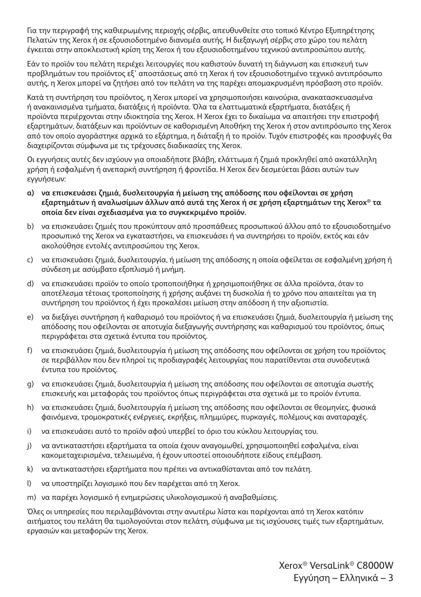Για την περιγραφή της καθιερωμένης περιοχής σέρβις, απευθυνθείτε στο τοπικό Κέντρο Εξυπηρέτησης Πελατών της Xerox ή σε εξουσιοδοτημένο διανομέα αυτής. Η διεξαγωγή σέρβις στο χώρο του πελάτη έγκειται στην αποκλειστική κρίση της Xerox ή του εξουσιοδοτημένου τεχνικού αντιπροσώπου αυτής.

Εάν το προϊόν του πελάτη περιέχει λειτουργίες που καθιστούν δυνατή τη διάγνωση και επισκευή των προβλημάτων του προϊόντος εξ' αποστάσεως από τη Xerox ή τον εξουσιοδοτημένο τεχνικό αντιπρόσωπο αυτής, η Xerox μπορεί να ζητήσει από τον πελάτη να της παρέχει απομακρυσμένη πρόσβαση στο προϊόν.

Κατά τη συντήρηση του προϊόντος, η Xerox μπορεί να χρησιμοποιήσει καινούρια, ανακατασκευασμένα ή ανακαινισμένα τμήματα, διατάξεις ή προϊόντα. Όλα τα ελαττωματικά εξαρτήματα, διατάξεις ή προϊόντα περιέρχονται στην ιδιοκτησία της Xerox. Η Xerox έχει το δικαίωμα να απαιτήσει την επιστροφή εξαρτημάτων, διατάξεων και προϊόντων σε καθορισμένη Αποθήκη της Xerox ή στον αντιπρόσωπο της Xerox από τον οποίο αγοράστηκε αρχικά το εξάρτημα, η διάταξη ή το προϊόν. Τυχόν επιστροφές και προσφυγές θα διαχειρίζονται σύμφωνα με τις τρέχουσες διαδικασίες της Xerox.

Οι εγγυήσεις αυτές δεν ισχύουν για οποιαδήποτε βλάβη, ελάττωμα ή ζημιά προκληθεί από ακατάλληλη χρήση ή εσφαλμένη ή ανεπαρκή συντήρηση ή φροντίδα. Η Xerox δεν δεσμεύεται βάσει αυτών των εγγυήσεων:

- **a) να επισκευάσει ζημιά, δυσλειτουργία ή μείωση της απόδοσης που οφείλονται σε χρήση εξαρτημάτων ή αναλωσίμων άλλων από αυτά της Xerox ή σε χρήση εξαρτημάτων της Xerox® τα οποία δεν είναι σχεδιασμένα για το συγκεκριμένο προϊόν.**
- b) να επισκευάσει ζημιές που προκύπτουν από προσπάθειες προσωπικού άλλου από το εξουσιοδοτημένο προσωπικό της Xerox να εγκαταστήσει, να επισκευάσει ή να συντηρήσει το προϊόν, εκτός και εάν ακολούθησε εντολές αντιπροσώπου της Xerox.
- c) να επισκευάσει ζημιά, δυσλειτουργία, ή μείωση της απόδοσης η οποία οφείλεται σε εσφαλμένη χρήση ή σύνδεση με ασύμβατο εξοπλισμό ή μνήμη.
- d) να επισκευάσει προϊόν το οποίο τροποποιήθηκε ή χρησιμοποιήθηκε σε άλλα προϊόντα, όταν το αποτέλεσμα τέτοιας τροποποίησης ή χρήσης αυξάνει τη δυσκολία ή το χρόνο που απαιτείται για τη συντήρηση του προϊόντος ή έχει προκαλέσει μείωση στην απόδοση ή την αξιοπιστία.
- e) να διεξάγει συντήρηση ή καθαρισμό του προϊόντος ή να επισκευάσει ζημιά, δυσλειτουργία ή μείωση της απόδοσης που οφείλονται σε αποτυχία διεξαγωγής συντήρησης και καθαρισμού του προϊόντος, όπως περιγράφεται στα σχετικά έντυπα του προϊόντος.
- f) να επισκευάσει ζημιά, δυσλειτουργία ή μείωση της απόδοσης που οφείλονται σε χρήση του προϊόντος σε περιβάλλον που δεν πληροί τις προδιαγραφές λειτουργίας που παρατίθενται στα συνοδευτικά έντυπα του προϊόντος.
- g) να επισκευάσει ζημιά, δυσλειτουργία ή μείωση της απόδοσης που οφείλονται σε αποτυχία σωστής επισκευής και μεταφοράς του προϊόντος όπως περιγράφεται στα σχετικά με το προϊόν έντυπα.
- h) να επισκευάσει ζημιά, δυσλειτουργία ή μείωση της απόδοσης που οφείλονται σε θεομηνίες, φυσικά φαινόμενα, τρομοκρατικές ενέργειες, εκρήξεις, πλημμύρες, πυρκαγιές, πολέμους και αναταραχές.
- i) να επισκευάσει αυτό το προϊόν αφού υπερβεί το όριο του κύκλου λειτουργίας του.
- j) να αντικαταστήσει εξαρτήματα τα οποία έχουν αναγομωθεί, χρησιμοποιηθεί εσφαλμένα, είναι κακομεταχειρισμένα, τελειωμένα, ή έχουν υποστεί οποιουδήποτε είδους επέμβαση.
- k) να αντικαταστήσει εξαρτήματα που πρέπει να αντικαθίστανται από τον πελάτη.
- l) να υποστηρίζει λογισμικό που δεν παρέχεται από τη Xerox.
- m) να παρέχει λογισμικό ή ενημερώσεις υλικολογισμικού ή αναβαθμίσεις.

Όλες οι υπηρεσίες που περιλαμβάνονται στην ανωτέρω λίστα και παρέχονται από τη Xerox κατόπιν αιτήματος του πελάτη θα τιμολογούνται στον πελάτη, σύμφωνα με τις ισχύουσες τιμές των εξαρτημάτων, εργασιών και μεταφορών της Xerox.

> Xerox® VersaLink® C8000W Εγγύηση – Ελληνικά – 3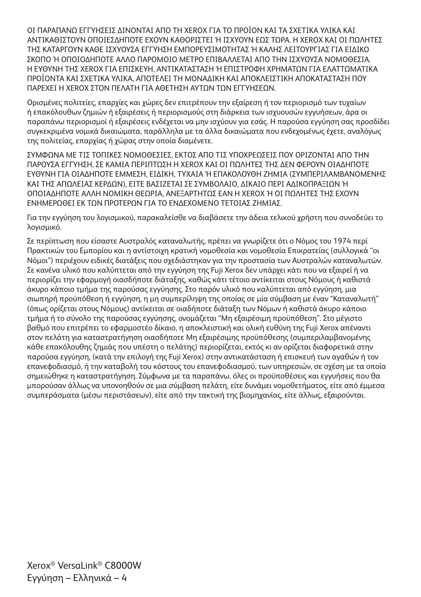ΟΙ ΠΑΡΑΠΑΝΩ ΕΓΓΥΗΣΕΙΣ ΔΙΝΟΝΤΑΙ ΑΠΟ ΤΗ XEROX ΓΙΑ ΤΟ ΠΡΟΪΟΝ ΚΑΙ ΤΑ ΣΧΕΤΙΚΑ ΥΛΙΚΑ ΚΑΙ ΑΝΤΙΚΑΘΙΣΤΟΥΝ ΟΠΟΙΕΣΔΗΠΟΤΕ ΕΧΟΥΝ ΚΑΘΟΡΙΣΤΕΙ Ή ΙΣΧΥΟΥΝ ΕΩΣ ΤΩΡΑ. Η XEROX ΚΑΙ ΟΙ ΠΩΛΗΤΕΣ ΤΗΣ ΚΑΤΑΡΓΟΥΝ ΚΑΘΕ ΙΣΧΥΟΥΣΑ ΕΓΓΥΗΣΗ ΕΜΠΟΡΕΥΣΙΜΟΤΗΤΑΣ Ή ΚΑΛΗΣ ΛΕΙΤΟΥΡΓΙΑΣ ΓΙΑ ΕΙΔΙΚΟ ΣΚΟΠΟ Ή ΟΠΟΙΟΔΗΠΟΤΕ ΑΛΛΟ ΠΑΡΟΜΟΙΟ ΜΕΤΡΟ ΕΠΙΒΑΛΛΕΤΑΙ ΑΠΟ ΤΗΝ ΙΣΧΥΟΥΣΑ ΝΟΜΟΘΕΣΙΑ. Η ΕΥΘΥΝΗ ΤΗΣ XEROX ΓΙΑ ΕΠΙΣΚΕΥΗ, ΑΝΤΙΚΑΤΑΣΤΑΣΗ Ή ΕΠΙΣΤΡΟΦΗ ΧΡΗΜΑΤΩΝ ΓΙΑ ΕΛΑΤΤΩΜΑΤΙΚΑ ΠΡΟΪΟΝΤΑ ΚΑΙ ΣΧΕΤΙΚΑ ΥΛΙΚΑ, ΑΠΟΤΕΛΕΙ ΤΗ ΜΟΝΑΔΙΚΗ ΚΑΙ ΑΠΟΚΛΕΙΣΤΙΚΗ ΑΠΟΚΑΤΑΣΤΑΣΗ ΠΟΥ ΠΑΡΕΧΕΙ Η XEROX ΣΤΟΝ ΠΕΛΑΤΗ ΓΙΑ ΑΘΕΤΗΣΗ ΑΥΤΩΝ ΤΩΝ ΕΓΓΥΗΣΕΩΝ.

Ορισμένες πολιτείες, επαρχίες και χώρες δεν επιτρέπουν την εξαίρεση ή τον περιορισμό των τυχαίων ή επακόλουθων ζημιών ή εξαιρέσεις ή περιορισμούς στη διάρκεια των ισχυουσών εγγυήσεων, άρα οι παραπάνω περιορισμοί ή εξαιρέσεις ενδέχεται να μην ισχύουν για εσάς. Η παρούσα εγγύηση σας προσδίδει συγκεκριμένα νομικά δικαιώματα, παράλληλα με τα άλλα δικαιώματα που ενδεχομένως έχετε, αναλόγως της πολιτείας, επαρχίας ή χώρας στην οποία διαμένετε.

ΣΥΜΦΩΝΑ ΜΕ ΤΙΣ ΤΟΠΙΚΕΣ ΝΟΜΟΘΕΣΙΕΣ, ΕΚΤΟΣ ΑΠΟ ΤΙΣ ΥΠΟΧΡΕΩΣΕΙΣ ΠΟΥ ΟΡΙΖΟΝΤΑΙ ΑΠΟ ΤΗΝ ΠΑΡΟΥΣΑ ΕΓΓΥΗΣΗ, ΣΕ ΚΑΜΙΑ ΠΕΡΙΠΤΩΣΗ Η XEROX ΚΑΙ ΟΙ ΠΩΛΗΤΕΣ ΤΗΣ ΔΕΝ ΦΕΡΟΥΝ ΟΙΑΔΗΠΟΤΕ ΕΥΘΥΝΗ ΓΙΑ ΟΙΑΔΗΠΟΤΕ ΕΜΜΕΣΗ, ΕΙΔΙΚΗ, ΤΥΧΑΙΑ Ή ΕΠΑΚΟΛΟΥΘΗ ΖΗΜΙΑ (ΣΥΜΠΕΡΙΛΑΜΒΑΝΟΜΕΝΗΣ ΚΑΙ ΤΗΣ ΑΠΩΛΕΙΑΣ ΚΕΡΔΩΝ), ΕΙΤΕ ΒΑΣΙΖΕΤΑΙ ΣΕ ΣΥΜΒΟΛΑΙΟ, ΔΙΚΑΙΟ ΠΕΡΙ ΑΔΙΚΟΠΡΑΞΙΩΝ Ή ΟΠΟΙΑΔΗΠΟΤΕ ΑΛΛΗ ΝΟΜΙΚΗ ΘΕΩΡΙΑ, ΑΝΕΞΑΡΤΗΤΩΣ ΕΑΝ Η XEROX Ή ΟΙ ΠΩΛΗΤΕΣ ΤΗΣ ΕΧΟΥΝ ΕΝΗΜΕΡΩΘΕΙ ΕΚ ΤΩΝ ΠΡΟΤΕΡΩΝ ΓΙΑ ΤΟ ΕΝΔΕΧΟΜΕΝΟ ΤΕΤΟΙΑΣ ΖΗΜΙΑΣ.

Για την εγγύηση του λογισμικού, παρακαλείσθε να διαβάσετε την άδεια τελικού χρήστη που συνοδεύει το λογισμικό.

Σε περίπτωση που είσαστε Αυστραλός καταναλωτής, πρέπει να γνωρίζετε ότι ο Νόμος του 1974 περί Πρακτικών του Εμπορίου και η αντίστοιχη κρατική νομοθεσία και νομοθεσία Επικρατείας (συλλογικά "οι Νόμοι") περιέχουν ειδικές διατάξεις που σχεδιάστηκαν για την προστασία των Αυστραλών καταναλωτών. Σε κανένα υλικό που καλύπτεται από την εγγύηση της Fuji Xerox δεν υπάρχει κάτι που να εξαιρεί ή να περιορίζει την εφαρμογή οιασδήποτε διάταξης, καθώς κάτι τέτοιο αντίκειται στους Νόμους ή καθιστά άκυρο κάποιο τμήμα της παρούσας εγγύησης. Στο παρόν υλικό που καλύπτεται από εγγύηση, μια σιωπηρή προϋπόθεση ή εγγύηση, η μη συμπερίληψη της οποίας σε μία σύμβαση με έναν "Καταναλωτή" (όπως ορίζεται στους Νόμους) αντίκειται σε οιαδήποτε διάταξη των Νόμων ή καθιστά άκυρο κάποιο τμήμα ή το σύνολο της παρούσας εγγύησης, ονομάζεται "Μη εξαιρέσιμη προϋπόθεση". Στο μέγιστο βαθμό που επιτρέπει το εφαρμοστέο δίκαιο, η αποκλειστική και ολική ευθύνη της Fuji Xerox απέναντι στον πελάτη για καταστρατήγηση οιασδήποτε Μη εξαιρέσιμης προϋπόθεσης (συμπεριλαμβανομένης κάθε επακόλουθης ζημιάς που υπέστη ο πελάτης) περιορίζεται, εκτός κι αν ορίζεται διαφορετικά στην παρούσα εγγύηση, (κατά την επιλογή της Fuji Xerox) στην αντικατάσταση ή επισκευή των αγαθών ή τον επανεφοδιασμό, ή την καταβολή του κόστους του επανεφοδιασμού, των υπηρεσιών, σε σχέση με τα οποία σημειώθηκε η καταστρατήγηση. Σύμφωνα με τα παραπάνω, όλες οι προϋποθέσεις και εγγυήσεις που θα μπορούσαν άλλως να υπονοηθούν σε μια σύμβαση πελάτη, είτε δυνάμει νομοθετήματος, είτε από έμμεσα συμπεράσματα (μέσω περιστάσεων), είτε από την τακτική της βιομηχανίας, είτε άλλως, εξαιρούνται.

Xerox® VersaLink® C8000W Εγγύηση – Ελληνικά – 4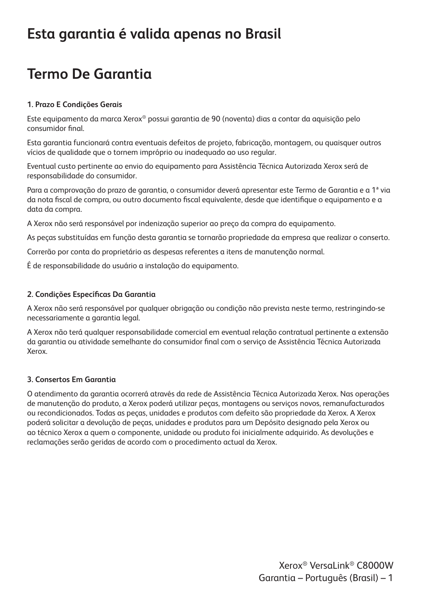#### **Esta garantia é valida apenas no Brasil**

### **Termo De Garantia**

#### **1. Prazo E Condições Gerais**

Este equipamento da marca Xerox® possui garantia de 90 (noventa) dias a contar da aquisição pelo consumidor final.

Esta garantia funcionará contra eventuais defeitos de projeto, fabricação, montagem, ou quaisquer outros vícios de qualidade que o tornem impróprio ou inadequado ao uso regular.

Eventual custo pertinente ao envio do equipamento para Assistência Técnica Autorizada Xerox será de responsabilidade do consumidor.

Para a comprovação do prazo de garantia, o consumidor deverá apresentar este Termo de Garantia e a 1ª via da nota fiscal de compra, ou outro documento fiscal equivalente, desde que identifique o equipamento e a data da compra.

A Xerox não será responsável por indenização superior ao preço da compra do equipamento.

As peças substituídas em função desta garantia se tornarão propriedade da empresa que realizar o conserto.

Correrão por conta do proprietário as despesas referentes a itens de manutenção normal.

É de responsabilidade do usuário a instalação do equipamento.

#### **2. Condições Específicas Da Garantia**

A Xerox não será responsável por qualquer obrigação ou condição não prevista neste termo, restringindo-se necessariamente a garantia legal.

A Xerox não terá qualquer responsabilidade comercial em eventual relação contratual pertinente a extensão da garantia ou atividade semelhante do consumidor final com o serviço de Assistência Técnica Autorizada Xerox.

#### **3. Consertos Em Garantia**

O atendimento da garantia ocorrerá através da rede de Assistência Técnica Autorizada Xerox. Nas operações de manutenção do produto, a Xerox poderá utilizar peças, montagens ou serviços novos, remanufacturados ou recondicionados. Todas as peças, unidades e produtos com defeito são propriedade da Xerox. A Xerox poderá solicitar a devolução de peças, unidades e produtos para um Depósito designado pela Xerox ou ao técnico Xerox a quem o componente, unidade ou produto foi inicialmente adquirido. As devoluções e reclamações serão geridas de acordo com o procedimento actual da Xerox.

> Xerox® VersaLink® C8000W Garantia – Português (Brasil) – 1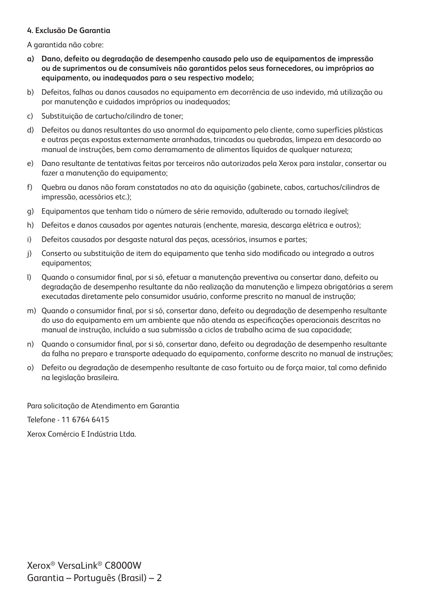#### **4. Exclusão De Garantia**

A garantida não cobre:

- **a) Dano, defeito ou degradação de desempenho causado pelo uso de equipamentos de impressão ou de suprimentos ou de consumíveis não garantidos pelos seus fornecedores, ou impróprios ao equipamento, ou inadequados para o seu respectivo modelo;**
- b) Defeitos, falhas ou danos causados no equipamento em decorrência de uso indevido, má utilização ou por manutenção e cuidados impróprios ou inadequados;
- c) Substituição de cartucho/cilindro de toner;
- d) Defeitos ou danos resultantes do uso anormal do equipamento pelo cliente, como superfícies plásticas e outras peças expostas externamente arranhadas, trincadas ou quebradas, limpeza em desacordo ao manual de instruções, bem como derramamento de alimentos líquidos de qualquer natureza;
- e) Dano resultante de tentativas feitas por terceiros não autorizados pela Xerox para instalar, consertar ou fazer a manutenção do equipamento;
- f) Quebra ou danos não foram constatados no ato da aquisição (gabinete, cabos, cartuchos/cilindros de impressão, acessórios etc.);
- g) Equipamentos que tenham tido o número de série removido, adulterado ou tornado ilegível;
- h) Defeitos e danos causados por agentes naturais (enchente, maresia, descarga elétrica e outros);
- i) Defeitos causados por desgaste natural das peças, acessórios, insumos e partes;
- j) Conserto ou substituição de item do equipamento que tenha sido modificado ou integrado a outros equipamentos;
- l) Quando o consumidor final, por si só, efetuar a manutenção preventiva ou consertar dano, defeito ou degradação de desempenho resultante da não realização da manutenção e limpeza obrigatórias a serem executadas diretamente pelo consumidor usuário, conforme prescrito no manual de instrução;
- m) Quando o consumidor final, por si só, consertar dano, defeito ou degradação de desempenho resultante do uso do equipamento em um ambiente que não atenda as especificações operacionais descritas no manual de instrução, incluído a sua submissão a ciclos de trabalho acima de sua capacidade;
- n) Quando o consumidor final, por si só, consertar dano, defeito ou degradação de desempenho resultante da falha no preparo e transporte adequado do equipamento, conforme descrito no manual de instruções;
- o) Defeito ou degradação de desempenho resultante de caso fortuito ou de força maior, tal como definido na legislação brasileira.

Para solicitação de Atendimento em Garantia

Telefone - 11 6764 6415

Xerox Comércio E Indústria Ltda.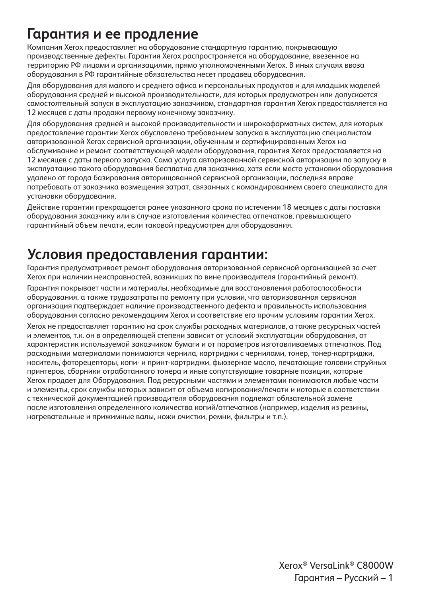#### **Гарантия и ее продление**

Компания Xerox предоставляет на оборудование стандартную гарантию, покрывающую производственные дефекты. Гарантия Xerox распространяется на оборудование, ввезенное на территорию РФ лицами и организациями, прямо уполномоченными Xerox. В иных случаях ввоза оборудования в РФ гарантийные обязательства несет продавец оборудования.

Для оборудования для малого и среднего офиса и персональных продуктов и для младших моделей оборудования средней и высокой производительности, для которых предусмотрен или допускается самостоятельный запуск в эксплуатацию заказчиком, стандартная гарантия Xerox предоставляется на 12 месяцев с даты продажи первому конечному заказчику.

Для оборудования средней и высокой производительности и широкоформатных систем, для которых предоставление гарантии Xerox обусловлено требованием запуска в эксплуатацию специалистом авторизованной Xerox сервисной организации, обученным и сертифицированным Xerox на обслуживание и ремонт соответствующей модели оборудования, гарантия Xerox предоставляется на 12 месяцев с даты первого запуска. Сама услуга авторизованной сервисной авторизации по запуску в эксплуатацию такого оборудования бесплатна для заказчика, хотя если место установки оборудования удалено от города базирования авторищованной сервисной организации, последняя вправе потребовать от заказчика возмещения затрат, связанных с командированием своего специалиста для установки оборудования.

Действие гарантии прекращается ранее указанного срока по истечении 18 месяцев с даты поставки оборудования заказчику или в случае изготовления количества отпечатков, превышающего гарантийный объем печати, если таковой предусмотрен для оборудования.

#### **Условия предоставления гарантии:**

Гарантия предусматривает ремонт оборудования авторизованной сервисной организацией за счет Xerox при наличии неисправностей, возникших по вине производителя (гарантийный ремонт).

Гарантия покрывает части и материалы, необходимые для восстановления работоспособности оборудования, а также трудозатраты по ремонту при условии, что авторизованная сервисная организация подтверждает наличие производственного дефекта и правильность использования оборудования согласно рекомендациям Xerox и соответствие его прочим условиям гарантии Xerox. Xerox не предоставляет гарантию на срок службы расходных материалов, а также ресурсных частей и элементов, т.к. он в определяющей степени зависит от условий эксплуатации оборудования, от характеристик используемой заказчиком бумаги и от параметров изготавливаемых отпечатков. Под расходными материалами понимаются чернила, картриджи с чернилами, тонер, тонер-картриджи, носитель, фоторецепторы, копи- и принт-картриджи, фьюзерное масло, печатающие головки струйных принтеров, сборники отработанного тонера и иные сопутствующие товарные позиции, которые Xerox продает для Оборудования. Под ресурсными частями и элементами понимаются любые части и элементы, срок службы которых зависит от объема копирования/печати и которые в соответствии с технической документацией производителя оборудования подлежат обязательной замене после изготовления определенного количества копий/отпечатков (например, изделия из резины, нагревательные и прижимные валы, ножи очистки, ремни, фильтры и т.п.).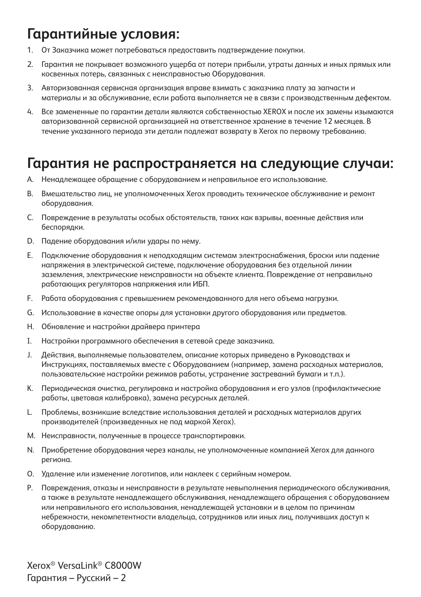#### **Гарантийные условия:**

- 1. От Заказчика может потребоваться предоставить подтверждение покупки.
- 2. Гарантия не покрывает возможного ущерба от потери прибыли, утраты данных и иных прямых или косвенных потерь, связанных с неисправностью Оборудования.
- 3. Авторизованная сервисная организация вправе взимать с заказчика плату за запчасти и материалы и за обслуживание, если работа выполняется не в связи с производственным дефектом.
- 4. Все замененные по гарантии детали являются собственностью XEROX и после их замены изымаются авторизованной сервисной организацией на ответственное хранение в течение 12 месяцев. В течение указанного периода эти детали подлежат возврату в Xerox по первому требованию.

#### **Гарантия не распространяется на следующие случаи:**

- A. Ненадлежащее обращение с оборудованием и неправильное его использование.
- B. Вмешательство лиц, не уполномоченных Xerox проводить техническое обслуживание и ремонт оборудования.
- C. Повреждение в результаты особых обстоятельств, таких как взрывы, военные действия или беспорядки.
- D. Падение оборудования и/или удары по нему.
- E. Подключение оборудования к неподходящим системам электроснабжения, броски или падение напряжения в электрической системе, подключение оборудования без отдельной линии заземления, электрические неисправности на объекте клиента. Повреждение от неправильно работающих регуляторов напряжения или ИБП.
- F. Работа оборудования с превышением рекомендованного для него объема нагрузки.
- G. Использование в качестве опоры для установки другого оборудования или предметов.
- H. Обновление и настройки драйвера принтера
- I. Настройки программного обеспечения в сетевой среде заказчика.
- J. Действия, выполняемые пользователем, описание которых приведено в Руководствах и Инструкциях, поставляемых вместе с Оборудованием (например, замена расходных материалов, пользовательские настройки режимов работы, устранение застреваний бумаги и т.п.).
- K. Периодическая очистка, регулировка и настройка оборудования и его узлов (профилактические работы, цветовая калибровка), замена ресурсных деталей.
- L. Проблемы, возникшие вследствие использования деталей и расходных материалов других производителей (произведенных не под маркой Xerox).
- M. Неисправности, полученные в процессе транспортировки.
- N. Приобретение оборудования через каналы, не уполномоченные компанией Xerox для данного региона.
- O. Удаление или изменение логотипов, или наклеек с серийным номером.
- P. Повреждения, отказы и неисправности в результате невыполнения периодического обслуживания, а также в результате ненадлежащего обслуживания, ненадлежащего обращения с оборудованием или неправильного его использования, ненадлежащей установки и в целом по причинам небрежности, некомпетентности владельца, сотрудников или иных лиц, получивших доступ к оборудованию.

Xerox® VersaLink® C8000W Гарантия – Русский – 2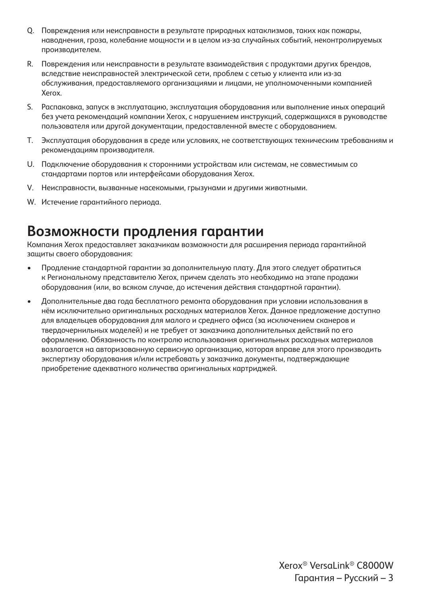- Q. Повреждения или неисправности в результате природных катаклизмов, таких как пожары, наводнения, гроза, колебание мощности и в целом из-за случайных событий, неконтролируемых производителем.
- R. Повреждения или неисправности в результате взаимодействия с продуктами других брендов, вследствие неисправностей электрической сети, проблем с сетью у клиента или из-за обслуживания, предоставляемого организациями и лицами, не уполномоченными компанией Xerox.
- S. Распаковка, запуск в эксплуатацию, эксплуатация оборудования или выполнение иных операций без учета рекомендаций компании Xerox, с нарушением инструкций, содержащихся в руководстве пользователя или другой документации, предоставленной вместе с оборудованием.
- T. Эксплуатация оборудования в среде или условиях, не соответствующих техническим требованиям и рекомендациям производителя.
- U. Подключение оборудования к сторонними устройствам или системам, не совместимым со стандартами портов или интерфейсами оборудования Xerox.
- V. Неисправности, вызванные насекомыми, грызунами и другими животными.
- W. Истечение гарантийного периода.

#### **Возможности продления гарантии**

Компания Xerox предоставляет заказчикам возможности для расширения периода гарантийной защиты своего оборудования:

- Продление стандартной гарантии за дополнительную плату. Для этого следует обратиться к Региональному представителю Xerox, причем сделать это необходимо на этапе продажи оборудования (или, во всяком случае, до истечения действия стандартной гарантии).
- Дополнительные два года бесплатного ремонта оборудования при условии использования в нём исключительно оригинальных расходных материалов Xerox. Данное предложение доступно для владельцев оборудования для малого и среднего офиса (за исключением сканеров и твердочернильных моделей) и не требует от заказчика дополнительных действий по его оформлению. Обязанность по контролю использования оригинальных расходных материалов возлагается на авторизованную сервисную организацию, которая вправе для этого производить экспертизу оборудования и/или истребовать у заказчика документы, подтверждающие приобретение адекватного количества оригинальных картриджей.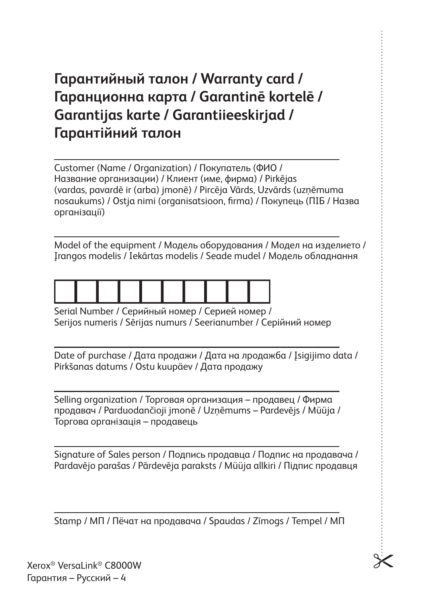## **Гарантийный талон / Warranty card / Гаранционна карта / Garantinē kortelē / Garantijas karte / Garantiieeskirjad / Гарантійний талон**

Customer (Name / Organization) / Покупатель (ФИО / Название организации) / Клиент (име, фирма) / Pirkējas (vardas, pavardē ir (arba) jmonē) / Pircēja Vārds, Uzvārds (uzņēmuma nosaukums) / Ostja nimi (organisatsioon, firma) / Покупець (ПІБ / Назва організації)

Model of the equipment / Модель оборудования / Модел на изделието / Įrangos modelis / Iekārtas modelis / Seade mudel / Модель обладнання



Serial Number / Серийный номер / Серией номер / Serijos numeris / Sērijas numurs / Seerianumber / Серійний номер

Date of purchase / Дата продажи / Дата на лродажба / Įsigijimo data / Pirkšanas datums / Ostu kuupäev / Дата продажу

Selling organization / Торговая организация – продавец / Фирма продавач / Parduodančioji jmonē / Uzņēmums – Pardevējs / Müüja / Торгова організація – продавець

Signature of Sales person / Подпись продавца / Подпис на продавача / Pardavējo parašas / Pārdevēja paraksts / Müüja allkiri / Підпис продавця

Stamp / МП / Пёчат на продавача / Spaudas / Zīmogs / Tempel / МП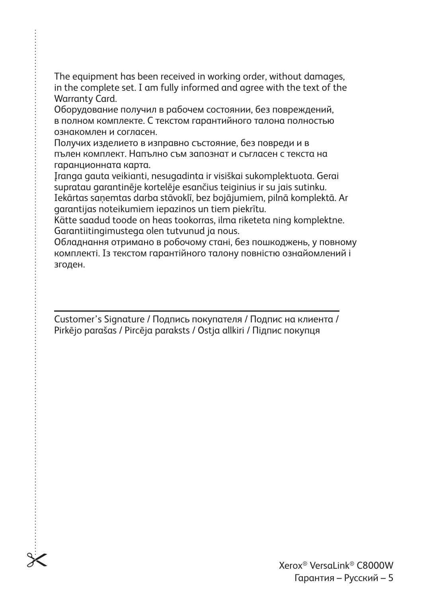The equipment has been received in working order, without damages, in the complete set. I am fully informed and agree with the text of the Warranty Card.

Оборудование получил в рабочем состоянии, без повреждений, в полном комплекте. С текстом гарантийного талона полностью ознакомлен и согласен.

Получих изделието в изправно състояние, без повреди и в пълен комплект. Напълно съм запознат и съгласен с текста на гаранционната карта.

Įranga gauta veikianti, nesugadinta ir visiškai sukomplektuota. Gerai supratau garantinēje kortelēje esančius teiginius ir su jais sutinku. Iekārtas saņemtas darba stāvoklī, bez bojājumiem, pilnā komplektā. Ar garantijas noteikumiem iepazinos un tiem piekrītu.

Kätte saadud toode on heas tookorras, ilma riketeta ning komplektne. Garantiitingimustega olen tutvunud ja nous.

Обладнання отримано в робочому стані, без пошкоджень, у повному комплекті. Із текстом гарантійного талону повністю ознайомлений і згоден.

Customer's Signature / Подпись покупателя / Подпис на клиента / Pirkējo parašas / Pircēja paraksts / Ostja allkiri / Підпис покупця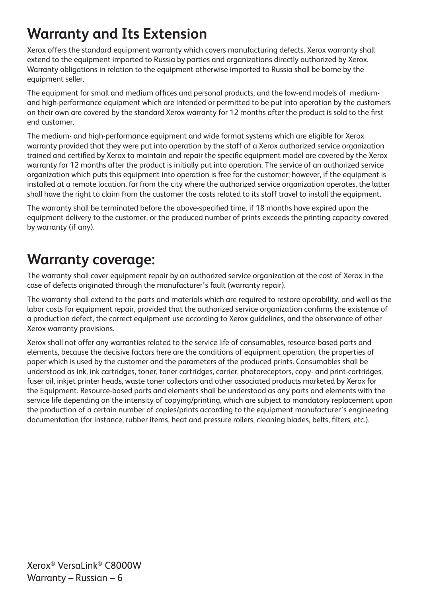## **Warranty and Its Extension**

Xerox offers the standard equipment warranty which covers manufacturing defects. Xerox warranty shall extend to the equipment imported to Russia by parties and organizations directly authorized by Xerox. Warranty obligations in relation to the equipment otherwise imported to Russia shall be borne by the equipment seller.

The equipment for small and medium offices and personal products, and the low-end models of mediumand high-performance equipment which are intended or permitted to be put into operation by the customers on their own are covered by the standard Xerox warranty for 12 months after the product is sold to the first end customer.

The medium- and high-performance equipment and wide format systems which are eligible for Xerox warranty provided that they were put into operation by the staff of a Xerox authorized service organization trained and certified by Xerox to maintain and repair the specific equipment model are covered by the Xerox warranty for 12 months after the product is initially put into operation. The service of an authorized service organization which puts this equipment into operation is free for the customer; however, if the equipment is installed at a remote location, far from the city where the authorized service organization operates, the latter shall have the right to claim from the customer the costs related to its staff travel to install the equipment.

The warranty shall be terminated before the above-specified time, if 18 months have expired upon the equipment delivery to the customer, or the produced number of prints exceeds the printing capacity covered by warranty (if any).

#### **Warranty coverage:**

The warranty shall cover equipment repair by an authorized service organization at the cost of Xerox in the case of defects originated through the manufacturer's fault (warranty repair).

The warranty shall extend to the parts and materials which are required to restore operability, and well as the labor costs for equipment repair, provided that the authorized service organization confirms the existence of a production defect, the correct equipment use according to Xerox guidelines, and the observance of other Xerox warranty provisions.

Xerox shall not offer any warranties related to the service life of consumables, resource-based parts and elements, because the decisive factors here are the conditions of equipment operation, the properties of paper which is used by the customer and the parameters of the produced prints. Consumables shall be understood as ink, ink cartridges, toner, toner cartridges, carrier, photoreceptors, copy- and print-cartridges, fuser oil, inkjet printer heads, waste toner collectors and other associated products marketed by Xerox for the Equipment. Resource-based parts and elements shall be understood as any parts and elements with the service life depending on the intensity of copying/printing, which are subject to mandatory replacement upon the production of a certain number of copies/prints according to the equipment manufacturer's engineering documentation (for instance, rubber items, heat and pressure rollers, cleaning blades, belts, filters, etc.).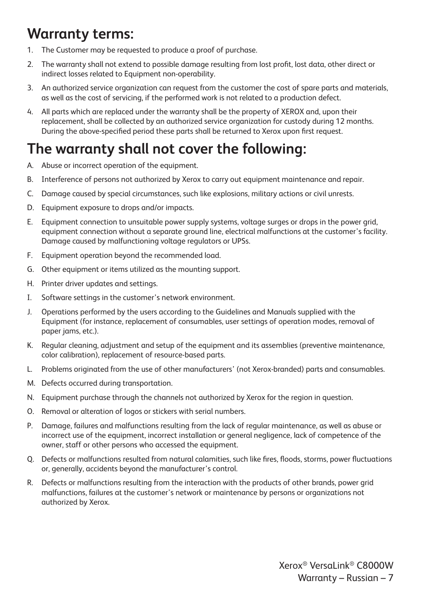## **Warranty terms:**

- 1. The Customer may be requested to produce a proof of purchase.
- 2. The warranty shall not extend to possible damage resulting from lost profit, lost data, other direct or indirect losses related to Equipment non-operability.
- 3. An authorized service organization can request from the customer the cost of spare parts and materials, as well as the cost of servicing, if the performed work is not related to a production defect.
- 4. All parts which are replaced under the warranty shall be the property of XEROX and, upon their replacement, shall be collected by an authorized service organization for custody during 12 months. During the above-specified period these parts shall be returned to Xerox upon first request.

## **The warranty shall not cover the following:**

- A. Abuse or incorrect operation of the equipment.
- B. Interference of persons not authorized by Xerox to carry out equipment maintenance and repair.
- C. Damage caused by special circumstances, such like explosions, military actions or civil unrests.
- D. Equipment exposure to drops and/or impacts.
- E. Equipment connection to unsuitable power supply systems, voltage surges or drops in the power grid, equipment connection without a separate ground line, electrical malfunctions at the customer's facility. Damage caused by malfunctioning voltage regulators or UPSs.
- F. Equipment operation beyond the recommended load.
- G. Other equipment or items utilized as the mounting support.
- H. Printer driver updates and settings.
- I. Software settings in the customer's network environment.
- J. Operations performed by the users according to the Guidelines and Manuals supplied with the Equipment (for instance, replacement of consumables, user settings of operation modes, removal of paper jams, etc.).
- K. Regular cleaning, adjustment and setup of the equipment and its assemblies (preventive maintenance, color calibration), replacement of resource-based parts.
- L. Problems originated from the use of other manufacturers' (not Xerox-branded) parts and consumables.
- M. Defects occurred during transportation.
- N. Equipment purchase through the channels not authorized by Xerox for the region in question.
- O. Removal or alteration of logos or stickers with serial numbers.
- P. Damage, failures and malfunctions resulting from the lack of regular maintenance, as well as abuse or incorrect use of the equipment, incorrect installation or general negligence, lack of competence of the owner, staff or other persons who accessed the equipment.
- Q. Defects or malfunctions resulted from natural calamities, such like fires, floods, storms, power fluctuations or, generally, accidents beyond the manufacturer's control.
- R. Defects or malfunctions resulting from the interaction with the products of other brands, power grid malfunctions, failures at the customer's network or maintenance by persons or organizations not authorized by Xerox.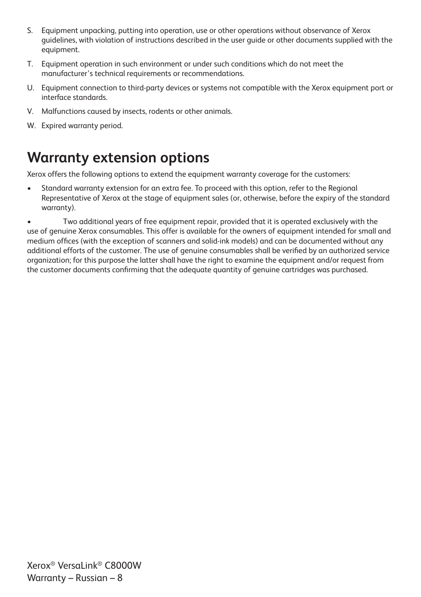- S. Equipment unpacking, putting into operation, use or other operations without observance of Xerox guidelines, with violation of instructions described in the user guide or other documents supplied with the equipment.
- T. Equipment operation in such environment or under such conditions which do not meet the manufacturer's technical requirements or recommendations.
- U. Equipment connection to third-party devices or systems not compatible with the Xerox equipment port or interface standards.
- V. Malfunctions caused by insects, rodents or other animals.
- W. Expired warranty period.

#### **Warranty extension options**

Xerox offers the following options to extend the equipment warranty coverage for the customers:

• Standard warranty extension for an extra fee. To proceed with this option, refer to the Regional Representative of Xerox at the stage of equipment sales (or, otherwise, before the expiry of the standard warranty).

• Two additional years of free equipment repair, provided that it is operated exclusively with the use of genuine Xerox consumables. This offer is available for the owners of equipment intended for small and medium offices (with the exception of scanners and solid-ink models) and can be documented without any additional efforts of the customer. The use of genuine consumables shall be verified by an authorized service organization; for this purpose the latter shall have the right to examine the equipment and/or request from the customer documents confirming that the adequate quantity of genuine cartridges was purchased.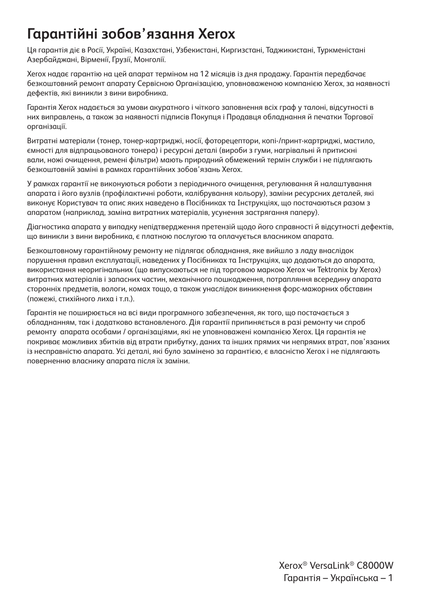### **Гарантійні зобов'язання Xerox**

Ця гарантія діє в Росії, Україні, Казахстані, Узбекистані, Киргизстані, Таджикистані, Туркменістані Азербайджані, Вірменії, Грузії, Монголії.

Xerox надає гарантію на цей апарат терміном на 12 місяців із дня продажу. Гарантія передбачає безкоштовний ремонт апарату Сервісною Організацією, уповноваженою компанією Xerox, за наявності дефектів, які виникли з вини виробника.

Гарантія Xerox надається за умови акуратного і чіткого заповнення всіх граф у талоні, відсутності в них виправлень, а також за наявності підписів Покупця і Продавця обладнання й печатки Торгової організації.

Витратні матеріали (тонер, тонер-картриджі, носії, фоторецептори, копі-/принт-картриджі, мастило, ємності для відпрацьованого тонера) і ресурсні деталі (вироби з гуми, нагрівальні й притискні вали, ножі очищення, ремені фільтри) мають природний обмежений термін служби і не підлягають безкоштовній заміні в рамках гарантійних зобов'язань Xerox.

У рамках гарантії не виконуються роботи з періодичного очищення, регулювання й налаштування апарата і його вузлів (профілактичні роботи, калібрування кольору), заміни ресурсних деталей, які виконує Користувач та опис яких наведено в Посібниках та Інструкціях, що постачаються разом з апаратом (наприклад, заміна витратних матеріалів, усунення застрягання паперу).

Діагностика апарата у випадку непідтвердження претензій щодо його справності й відсутності дефектів, що виникли з вини виробника, є платною послугою та оплачується власником апарата.

Безкоштовному гарантійному ремонту не підлягає обладнання, яке вийшло з ладу внаслідок порушення правил експлуатації, наведених у Посібниках та Інструкціях, що додаються до апарата, використання неоригінальних (що випускаються не під торговою маркою Xerox чи Tektronix by Xerox) витратних матеріалів і запасних частин, механічного пошкодження, потрапляння всередину апарата сторонніх предметів, вологи, комах тощо, а також унаслідок виникнення форс-мажорних обставин (пожежі, стихійного лиха і т.п.).

Гарантія не поширюється на всі види програмного забезпечення, як того, що постачається з обладнанням, так і додатково встановленого. Дія гарантії припиняється в разі ремонту чи спроб ремонту апарата особами / організаціями, які не уповноважені компанією Xerox. Ця гарантія не покриває можливих збитків від втрати прибутку, даних та інших прямих чи непрямих втрат, пов'язаних із несправністю апарата. Усі деталі, які було замінено за гарантією, є власністю Xerox і не підлягають поверненню власнику апарата після їх заміни.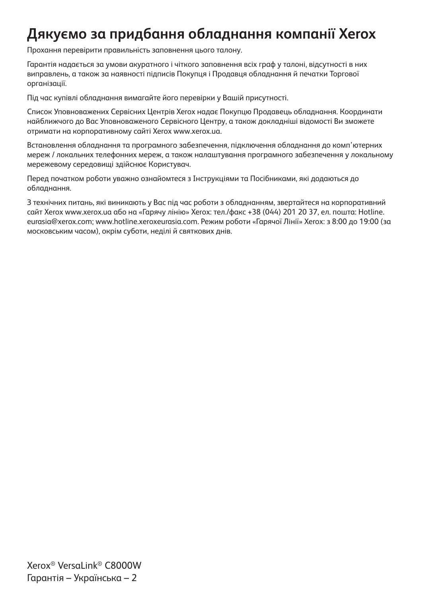## **Дякуємо за придбання обладнання компанії Xerox**

Прохання перевірити правильність заповнення цього талону.

Гарантія надається за умови акуратного і чіткого заповнення всіх граф у талоні, відсутності в них виправлень, а також за наявності підписів Покупця і Продавця обладнання й печатки Торгової організації.

Під час купівлі обладнання вимагайте його перевірки у Вашій присутності.

Список Уповноважених Сервісних Центрів Xerox надає Покупцю Продавець обладнання. Координати найближчого до Вас Уповноваженого Сервісного Центру, а також докладніші відомості Ви зможете отримати на корпоративному сайті Xerox www.xerox.ua.

Встановлення обладнання та програмного забезпечення, підключення обладнання до комп'ютерних мереж / локальних телефонних мереж, а також налаштування програмного забезпечення у локальному мережевому середовищі здійснює Користувач.

Перед початком роботи уважно ознайомтеся з Інструкціями та Посібниками, які додаються до обладнання.

З технічних питань, які виникають у Вас під час роботи з обладнанням, звертайтеся на корпоративний сайт Xerox www.xerox.ua або на «Гарячу лінію» Xerox: тел./факс +38 (044) 201 20 37, ел. пошта: Hotline. eurasia@xerox.com; www.hotline.xeroxeurasia.com. Режим роботи «Гарячої Лінії» Xerox: з 8:00 до 19:00 (за московським часом), окрім суботи, неділі й святкових днів.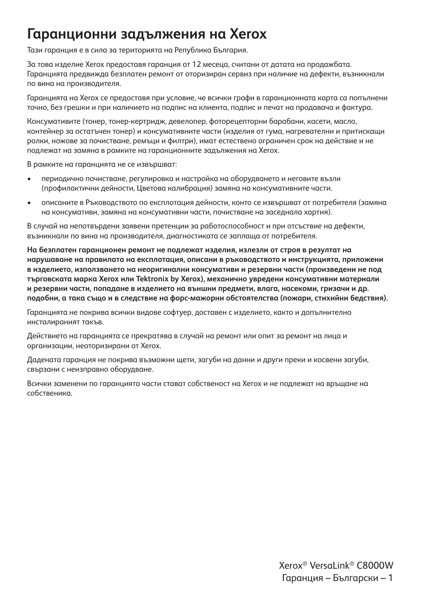#### **Гаранционни задължения на Xerox**

Тази гаранция е в сила за територията на Република България.

За това изделие Xerox предоставя гаранция от 12 месеца, считани от датата на продажбата. Гаранцията предвижда безплатен ремонт от оторизиран сервиз при наличие на дефекти, възникнали по вина на производителя.

Гаранцията на Xerox се предоставя при условие, че всички графи в гаранционната карта са попълнени точно, без грешки и при наличието на подпис на клиента, подпис и печат на продавача и фактура.

Консумативите (тонер, тонер-кертридж, девелопер, фоторецепторни барабани, касети, масло, контейнер за остатъчен тонер) и консумативните части (изделия от гума, нагревателни и притискащи ролки, ножове за почистване, ремъци и филтри), имат естествено ограничен срок на действие и не подлежат на замяна в рамките на гаранционните задължения на Xerox.

В рамките на гаранцията не се извършват:

- периодично почистване, регулировка и настройка на оборудването и неговите възли (профилактични дейности, Цветова калибрация) замяна на консумативните части.
- описаните в Ръководството по експлотация дейности, конто се извършват от потребителя (замяна на консумативи, замяна на консумативни части, почистване на заседнала хартия).

В случай на непотвърдени заявени претенции за работоспособност и при отсъствие на дефекти, възникнали по вина на производителя, диагностиката се заплаща от потребителя.

**На безплатен гаранционен ремонт не подлежат изделия, излезли от строя в резултат на нарушаване на правилата на експлотация, описани в ръководството и инструкцията, приложени в изделието, използването на неоригинални консумативи и резервни части (произведени не под търговската марка Xerox или Tektronix by Xerox), механично увредени консумативни материали и резервни части, попадане в изделието на външни предмети, влага, насекоми, гризачи и др. подобни, а така също и в следствие на форс-мажорни обстоятелства (пожари, стихийни бедствия).**

Гаранцията не покрива всички видове софтуер, доставен с изделието, както и допълнително инсталираният такъв.

Действието на гаранцията се прекратява в случай на ремонт или опит за ремонт на лица и организации, неоторизирани от Xerox.

Дадената гаранция не покрива възможни щети, загуби на данни и други преки и косвени загуби, свързани с неизправно оборудване.

Всички заменени по гаранцията части стават собственост на Хегох и не подлежат на връщане на собственика.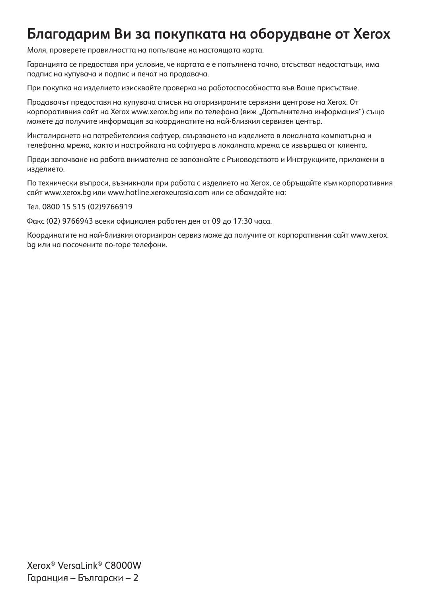#### **Благодарим Ви за покупката на оборудване от Xerox**

Моля, проверете правилността на попълване на настоящата карта.

Гаранцията се предоставя при условие, че картата е е попълнена точно, отсъстват недостатъци, има подпис на купувача и подпис и печат на продавача.

При покупка на изделието изисквайте проверка на работоспособността във Ваше присъствие.

Продавачът предоставя на купувача списък на оторизираните сервизни центрове на Xerox. От корпоративния сайт на Xerox www.xerox.bg или по телефона (виж "Допълнителна информация") също можете да получите информация за координатите на най-близкия сервизен център.

Инсталирането на потребителския софтуер, свързването на изделието в локалната компютърна и телефонна мрежа, както и настройката на софтуера в локалната мрежа се извършва от клиента.

Преди започване на работа внимателно се запознайте с Ръководството и Инструкциите, приложени в изделието.

По технически въпроси, възникнали при работа с изделието на Xerox, се обръщайте към корпоративния сайт www.xerox.bg или www.hotline.xeroxeurasia.com или се обаждайте на:

Тел. 0800 15 515 (02)9766919

Факс (02) 9766943 всеки официален работен ден от 09 до 17:30 часа.

Координатите на най-близкия оторизиран сервиз може да получите от корпоративния сайт www.xerox. bg или на посочените по-горе телефони.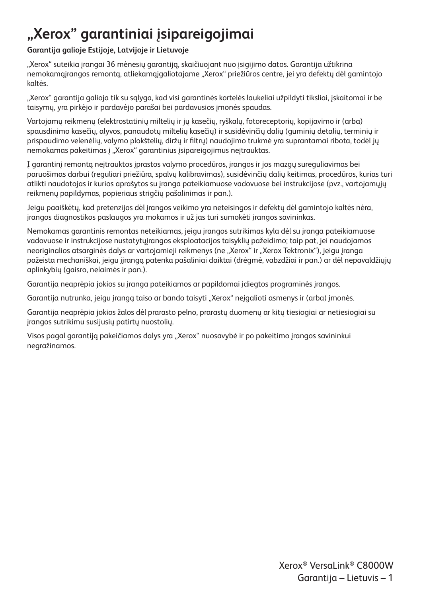# **"Xerox" garantiniai įsipareigojimai**

#### **Garantija galioje Estijoje, Latvijoje ir Lietuvoje**

"Xerox" suteikia įrangai 36 mėnesių garantiją, skaičiuojant nuo įsigijimo datos. Garantija užtikrina nemokamą irangos remontą, atliekamą ją aliotajame "Xerox" priežiūros centre, jei yra defektų dėl gamintojo kaltės.

"Xerox" garantija galioja tik su sąlyga, kad visi garantinės kortelės laukeliai užpildyti tiksliai, įskaitomai ir be taisymų, yra pirkėjo ir pardavėjo parašai bei pardavusios įmonės spaudas.

Vartojamų reikmenų (elektrostatinių miltelių ir jų kasečių, ryškalų, fotoreceptorių, kopijavimo ir (arba) spausdinimo kasečių, alyvos, panaudotų miltelių kasečių) ir susidėvinčių dalių (guminių detalių, terminių ir prispaudimo velenėlių, valymo plokštelių, diržų ir filtrų) naudojimo trukmė yra suprantamai ribota, todėl jų nemokamas pakeitimas į "Xerox" garantinius įsipareigojimus neitrauktas.

Į garantinį remontą neįtrauktos įprastos valymo procedūros, įrangos ir jos mazgų sureguliavimas bei paruošimas darbui (reguliari priežiūra, spalvų kalibravimas), susidėvinčių dalių keitimas, procedūros, kurias turi atlikti naudotojas ir kurios aprašytos su įranga pateikiamuose vadovuose bei instrukcijose (pvz., vartojamųjų reikmenų papildymas, popieriaus strigčių pašalinimas ir pan.).

Jeigu paaiškėtų, kad pretenzijos dėl įrangos veikimo yra neteisingos ir defektų dėl gamintojo kaltės nėra, įrangos diagnostikos paslaugos yra mokamos ir už jas turi sumokėti įrangos savininkas.

Nemokamas garantinis remontas neteikiamas, jeigu įrangos sutrikimas kyla dėl su įranga pateikiamuose vadovuose ir instrukcijose nustatytųįrangos eksploatacijos taisyklių pažeidimo; taip pat, jei naudojamos neoriginalios atsarginės dalys ar vartojamieji reikmenys (ne "Xerox" ir "Xerox Tektronix"), jeigu įranga pažeista mechaniškai, jeigu įįrangą patenka pašaliniai daiktai (drėgmė, vabzdžiai ir pan.) ar dėl nepavaldžiųjų aplinkybių (gaisro, nelaimės ir pan.).

Garantija neaprėpia jokios su įranga pateikiamos ar papildomai įdiegtos programinės įrangos.

Garantija nutrunka, jeigu įrangą taiso ar bando taisyti "Xerox" neįgalioti asmenys ir (arba) įmonės.

Garantija neaprėpia jokios žalos dėl prarasto pelno, prarastų duomenų ar kitų tiesiogiai ar netiesiogiai su įrangos sutrikimu susijusių patirtų nuostolių.

Visos pagal garantiją pakeičiamos dalys yra "Xerox" nuosavybė ir po pakeitimo įrangos savininkui negražinamos.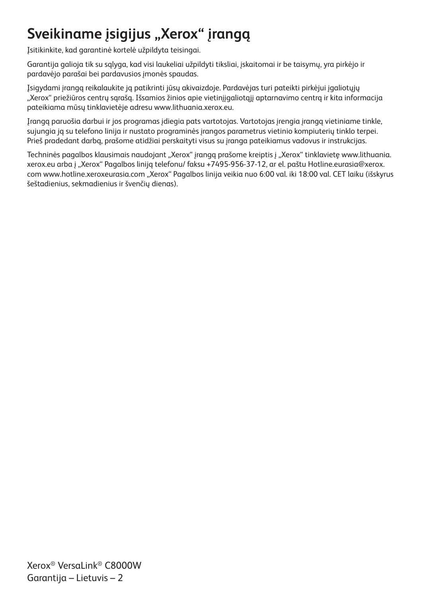## Sveikiname įsigijus "Xerox" įrangą

Įsitikinkite, kad garantinė kortelė užpildyta teisingai.

Garantija galioja tik su sąlyga, kad visi laukeliai užpildyti tiksliai, įskaitomai ir be taisymų, yra pirkėjo ir pardavėjo parašai bei pardavusios įmonės spaudas.

Įsigydami įrangą reikalaukite ją patikrinti jūsų akivaizdoje. Pardavėjas turi pateikti pirkėjui įgaliotųjų "Xerox" priežiūros centrų sąrašą. Išsamios žinios apie vietinįįgaliotąjį aptarnavimo centrą ir kita informacija pateikiama mūsų tinklavietėje adresu www.lithuania.xerox.eu.

Įrangą paruošia darbui ir jos programas įdiegia pats vartotojas. Vartotojas įrengia įrangą vietiniame tinkle, sujungia ją su telefono linija ir nustato programinės įrangos parametrus vietinio kompiuterių tinklo terpei. Prieš pradedant darbą, prašome atidžiai perskaityti visus su įranga pateikiamus vadovus ir instrukcijas.

Techninės pagalbos klausimais naudojant "Xerox" įrangą prašome kreiptis į "Xerox" tinklavietę www.lithuania. xerox.eu arba į "Xerox" Pagalbos liniją telefonu/ faksu +7495-956-37-12, ar el. paštu Hotline.eurasia@xerox. com www.hotline.xeroxeurasia.com "Xerox" Pagalbos linija veikia nuo 6:00 val. iki 18:00 val. CET laiku (išskyrus šeštadienius, sekmadienius ir švenčių dienas).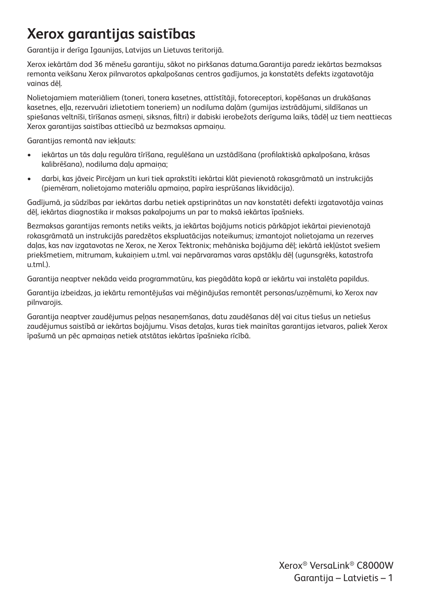## **Xerox garantijas saistības**

Garantija ir derīga Igaunijas, Latvijas un Lietuvas teritorijā.

Xerox iekārtām dod 36 mēnešu garantiju, sākot no pirkšanas datuma.Garantija paredz iekārtas bezmaksas remonta veikšanu Xerox pilnvarotos apkalpošanas centros gadījumos, ja konstatēts defekts izgatavotāja vainas dēļ.

Nolietojamiem materiāliem (toneri, tonera kasetnes, attīstītāji, fotoreceptori, kopēšanas un drukāšanas kasetnes, eļļa, rezervuāri izlietotiem toneriem) un nodiluma daļām (gumijas izstrādājumi, sildīšanas un spiešanas veltnīši, tīrīšanas asmeņi, siksnas, filtri) ir dabiski ierobežots derīguma laiks, tādēļ uz tiem neattiecas Xerox garantijas saistības attiecībā uz bezmaksas apmaiņu.

Garantijas remontā nav iekļauts:

- iekārtas un tās daļu regulāra tīrīšana, regulēšana un uzstādīšana (profilaktiskā apkalpošana, krāsas kalibrēšana), nodiluma daļu apmaiņa;
- darbi, kas jāveic Pircējam un kuri tiek aprakstīti iekārtai klāt pievienotā rokasgrāmatā un instrukcijās (piemēram, nolietojamo materiālu apmaiņa, papīra iesprūšanas likvidācija).

Gadījumā, ja sūdzības par iekārtas darbu netiek apstiprinātas un nav konstatēti defekti izgatavotāja vainas dēļ, iekārtas diagnostika ir maksas pakalpojums un par to maksā iekārtas īpašnieks.

Bezmaksas garantijas remonts netiks veikts, ja iekārtas bojājums noticis pārkāpjot iekārtai pievienotajā rokasgrāmatā un instrukcijās paredzētos ekspluatācijas noteikumus; izmantojot nolietojama un rezerves daļas, kas nav izgatavotas ne Xerox, ne Xerox Tektronix; mehāniska bojājuma dēļ; iekārtā iekļūstot svešiem priekšmetiem, mitrumam, kukaiņiem u.tml. vai nepārvaramas varas apstākļu dēļ (ugunsgrēks, katastrofa u.tml.).

Garantija neaptver nekāda veida programmatūru, kas piegādāta kopā ar iekārtu vai instalēta papildus.

Garantija izbeidzas, ja iekārtu remontējušas vai mēģinājušas remontēt personas/uzņēmumi, ko Xerox nav pilnvarojis.

Garantija neaptver zaudējumus peļņas nesaņemšanas, datu zaudēšanas dēļ vai citus tiešus un netiešus zaudējumus saistībā ar iekārtas bojājumu. Visas detaļas, kuras tiek mainītas garantijas ietvaros, paliek Xerox īpašumā un pēc apmaiņas netiek atstātas iekārtas īpašnieka rīcībā.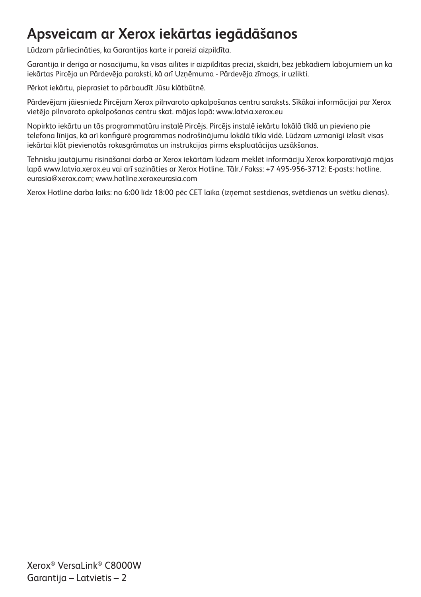## **Apsveicam ar Xerox iekārtas iegādāšanos**

Lūdzam pārliecināties, ka Garantijas karte ir pareizi aizpildīta.

Garantija ir derīga ar nosacījumu, ka visas ailītes ir aizpildītas precīzi, skaidri, bez jebkādiem labojumiem un ka iekārtas Pircēja un Pārdevēja paraksti, kā arī Uzņēmuma - Pārdevēja zīmogs, ir uzlikti.

Pērkot iekārtu, pieprasiet to pārbaudīt Jūsu klātbūtnē.

Pārdevējam jāiesniedz Pircējam Xerox pilnvaroto apkalpošanas centru saraksts. Sīkākai informācijai par Xerox vietējo pilnvaroto apkalpošanas centru skat. mājas lapā: www.latvia.xerox.eu

Nopirkto iekārtu un tās programmatūru instalē Pircējs. Pircējs instalē iekārtu lokālā tīklā un pievieno pie telefona līnijas, kā arī konfigurē programmas nodrošinājumu lokālā tīkla vidē. Lūdzam uzmanīgi izlasīt visas iekārtai klāt pievienotās rokasgrāmatas un instrukcijas pirms ekspluatācijas uzsākšanas.

Tehnisku jautājumu risināšanai darbā ar Xerox iekārtām lūdzam meklēt informāciju Xerox korporatīvajā mājas lapā www.latvia.xerox.eu vai arī sazināties ar Xerox Hotline. Tālr./ Fakss: +7 495-956-3712: E-pasts: hotline. eurasia@xerox.com; www.hotline.xeroxeurasia.com

Xerox Hotline darba laiks: no 6:00 līdz 18:00 pēc CET laika (izņemot sestdienas, svētdienas un svētku dienas).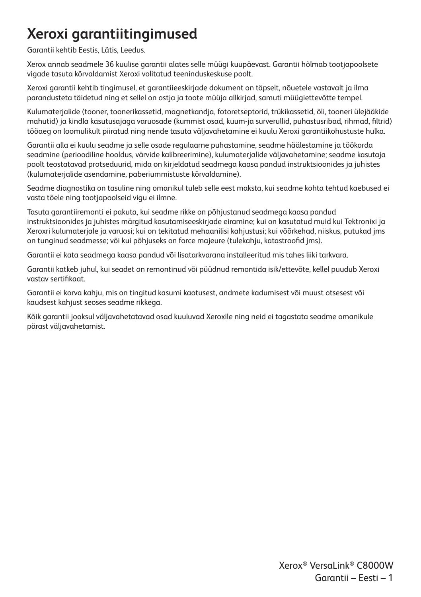## **Xeroxi garantiitingimused**

Garantii kehtib Eestis, Lätis, Leedus.

Xerox annab seadmele 36 kuulise garantii alates selle müügi kuupäevast. Garantii hõlmab tootjapoolsete vigade tasuta kõrvaldamist Xeroxi volitatud teeninduskeskuse poolt.

Xeroxi garantii kehtib tingimusel, et garantiieeskirjade dokument on täpselt, nõuetele vastavalt ja ilma parandusteta täidetud ning et sellel on ostja ja toote müüja allkirjad, samuti müügiettevõtte tempel.

Kulumaterjalide (tooner, toonerikassetid, magnetkandja, fotoretseptorid, trükikassetid, õli, tooneri ülejääkide mahutid) ja kindla kasutusajaga varuosade (kummist osad, kuum-ja surverullid, puhastusribad, rihmad, filtrid) tööaeg on loomulikult piiratud ning nende tasuta väljavahetamine ei kuulu Xeroxi garantiikohustuste hulka.

Garantii alla ei kuulu seadme ja selle osade regulaarne puhastamine, seadme häälestamine ja töökorda seadmine (perioodiline hooldus, värvide kalibreerimine), kulumaterjalide väljavahetamine; seadme kasutaja poolt teostatavad protseduurid, mida on kirjeldatud seadmega kaasa pandud instruktsioonides ja juhistes (kulumaterjalide asendamine, paberiummistuste kõrvaldamine).

Seadme diagnostika on tasuline ning omanikul tuleb selle eest maksta, kui seadme kohta tehtud kaebused ei vasta tõele ning tootjapoolseid vigu ei ilmne.

Tasuta garantiiremonti ei pakuta, kui seadme rikke on põhjustanud seadmega kaasa pandud instruktsioonides ja juhistes märgitud kasutamiseeskirjade eiramine; kui on kasutatud muid kui Tektronixi ja Xeroxri kulumaterjale ja varuosi; kui on tekitatud mehaanilisi kahjustusi; kui võõrkehad, niiskus, putukad jms on tunginud seadmesse; või kui põhjuseks on force majeure (tulekahju, katastroofid jms).

Garantii ei kata seadmega kaasa pandud või lisatarkvarana installeeritud mis tahes liiki tarkvara.

Garantii katkeb juhul, kui seadet on remontinud või püüdnud remontida isik/ettevõte, kellel puudub Xeroxi vastav sertifikaat.

Garantii ei korva kahju, mis on tingitud kasumi kaotusest, andmete kadumisest või muust otsesest või kaudsest kahjust seoses seadme rikkega.

Kõik garantii jooksul väljavahetatavad osad kuuluvad Xeroxile ning neid ei tagastata seadme omanikule pärast väljavahetamist.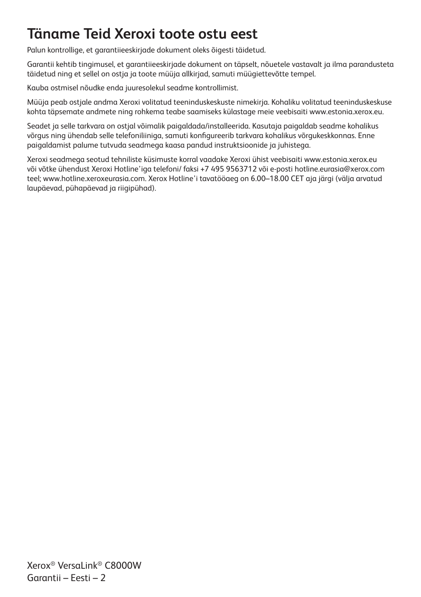## **Täname Teid Xeroxi toote ostu eest**

Palun kontrollige, et garantiieeskirjade dokument oleks õigesti täidetud.

Garantii kehtib tingimusel, et garantiieeskirjade dokument on täpselt, nõuetele vastavalt ja ilma parandusteta täidetud ning et sellel on ostja ja toote müüja allkirjad, samuti müügiettevõtte tempel.

Kauba ostmisel nõudke enda juuresolekul seadme kontrollimist.

Müüja peab ostjale andma Xeroxi volitatud teeninduskeskuste nimekirja. Kohaliku volitatud teeninduskeskuse kohta täpsemate andmete ning rohkema teabe saamiseks külastage meie veebisaiti www.estonia.xerox.eu.

Seadet ja selle tarkvara on ostjal võimalik paigaldada/installeerida. Kasutaja paigaldab seadme kohalikus võrgus ning ühendab selle telefoniliiniga, samuti konfigureerib tarkvara kohalikus võrgukeskkonnas. Enne paigaldamist palume tutvuda seadmega kaasa pandud instruktsioonide ja juhistega.

Xeroxi seadmega seotud tehniliste küsimuste korral vaadake Xeroxi ühist veebisaiti www.estonia.xerox.eu või võtke ühendust Xeroxi Hotline'iaa telefoni/ faksi +7 495 9563712 või e-posti hotline.eurasia@xerox.com teel; www.hotline.xeroxeurasia.com. Xerox Hotline'i tavatööaeg on 6.00–18.00 CET aja järgi (välja arvatud laupäevad, pühapäevad ja riigipühad).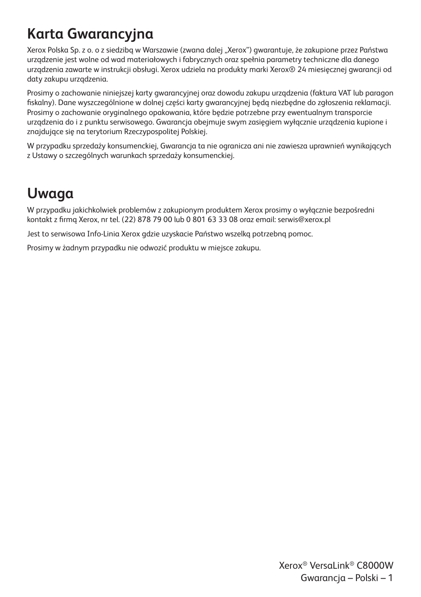## **Karta Gwarancyjna**

Xerox Polska Sp. z o. o z siedzibą w Warszawie (zwana dalej "Xerox") gwarantuje, że zakupione przez Państwa urządzenie jest wolne od wad materiałowych i fabrycznych oraz spełnia parametry techniczne dla danego urządzenia zawarte w instrukcji obsługi. Xerox udziela na produkty marki Xerox® 24 miesięcznej gwarancji od daty zakupu urządzenia.

Prosimy o zachowanie niniejszej karty gwarancyjnej oraz dowodu zakupu urządzenia (faktura VAT lub paragon fiskalny). Dane wyszczególnione w dolnej części karty gwarancyjnej będą niezbędne do zgłoszenia reklamacji. Prosimy o zachowanie oryginalnego opakowania, które będzie potrzebne przy ewentualnym transporcie urządzenia do i z punktu serwisowego. Gwarancja obejmuje swym zasięgiem wyłącznie urządzenia kupione i znajdujące się na terytorium Rzeczypospolitej Polskiej.

W przypadku sprzedaży konsumenckiej, Gwarancja ta nie ogranicza ani nie zawiesza uprawnień wynikających z Ustawy o szczególnych warunkach sprzedaży konsumenckiej.

#### **Uwaga**

W przypadku jakichkolwiek problemów z zakupionym produktem Xerox prosimy o wyłącznie bezpośredni kontakt z firmą Xerox, nr tel. (22) 878 79 00 lub 0 801 63 33 08 oraz email: serwis@xerox.pl

Jest to serwisowa Info-Linia Xerox gdzie uzyskacie Państwo wszelką potrzebną pomoc.

Prosimy w żadnym przypadku nie odwozić produktu w miejsce zakupu.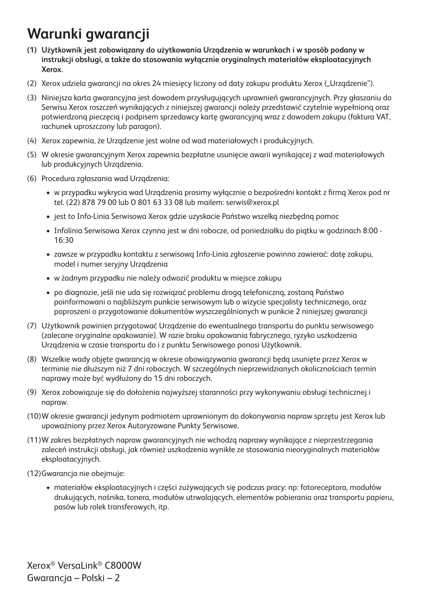## **Warunki gwarancji**

- **(1) Użytkownik jest zobowiązany do użytkowania Urządzenia w warunkach i w sposób podany w instrukcji obsługi, a także do stosowania wyłącznie oryginalnych materiałów eksploatacyjnych Xerox.**
- (2) Xerox udziela gwarancji na okres 24 miesięcy liczony od daty zakupu produktu Xerox ("Urządzenie").
- (3) Niniejsza karta gwarancyjna jest dowodem przysługujących uprawnień gwarancyjnych. Przy głaszaniu do Serwisu Xerox roszczeń wynikających z niniejszej gwarancji należy przedstawić czytelnie wypełnioną oraz potwierdzoną pieczęcią i podpisem sprzedawcy kartę gwarancyjną wraz z dowodem zakupu (faktura VAT, rachunek uproszczony lub paragon).
- (4) Xerox zapewnia, że Urządzenie jest wolne od wad materiałowych i produkcyjnych.
- (5) W okresie gwarancyjnym Xerox zapewnia bezpłatne usunięcie awarii wynikającej z wad materiałowych lub produkcyjnych Urządzenia.
- (6) Procedura zgłaszania wad Urządzenia:
	- w przypadku wykrycia wad Urządzenia prosimy wyłącznie o bezpośredni kontakt z firmą Xerox pod nr tel. (22) 878 79 00 lub O 801 63 33 08 lub mailem: serwis@xerox.pl
	- jest to Info-Linia Serwisowa Xerox gdzie uzyskacie Państwo wszelką niezbędną pomoc
	- Infolinia Serwisowa Xerox czynna jest w dni robocze, od poniedziałku do piątku w godzinach 8:00 16:30
	- zawsze w przypadku kontaktu z serwisową Info-Linia zgłoszenie powinno zawierać: datę zakupu, model i numer seryjny Urządzenia
	- w żadnym przypadku nie należy odwozić produktu w miejsce zakupu
	- po diagnozie, jeśli nie uda się rozwiązać problemu drogą telefoniczną, zostaną Państwo poinformowani o najbliższym punkcie serwisowym lub o wizycie specjalisty technicznego, oraz poproszeni o przygotowanie dokumentów wyszczególnionych w punkcie 2 niniejszej gwarancji
- (7) Użytkownik powinien przygotować Urządzenie do ewentualnego transportu do punktu serwisowego (zalecane oryginalne opakowanie). W razie braku opakowania fabrycznego, ryzyko uszkodzenia Urządzenia w czasie transportu do i z punktu Serwisowego ponosi Użytkownik.
- (8) Wszelkie wady objęte gwarancją w okresie obowiązywania gwarancji będą usunięte przez Xerox w terminie nie dłuższym niż 7 dni roboczych. W szczególnych nieprzewidzianych okolicznościach termin naprawy może być wydłużony do 15 dni roboczych.
- (9) Xerox zobowiązuje się do dołożenia najwyższej staranności przy wykonywaniu obsługi technicznej i napraw.
- (10)W okresie gwarancji jedynym podmiotem uprawnionym do dokonywania napraw sprzętu jest Xerox lub upoważniony przez Xerox Autoryzowane Punkty Serwisowe.
- (11)W zakres bezpłatnych napraw gwarancyjnych nie wchodzą naprawy wynikające z nieprzestrzegania zaleceń instrukcji obsługi, jak również uszkodzenia wynikłe ze stosowania nieoryginalnych materiałów eksploatacyjnych.
- (12)Gwarancja nie obejmuje:
	- materiałów eksploatacyjnych i części zużywających się podczas pracy: np: fotoreceptora, modułów drukujących, nośnika, tonera, modułów utrwalających, elementów pobierania oraz transportu papieru, pasów lub rolek transferowych, itp.

Xerox® VersaLink® C8000W Gwarancja – Polski – 2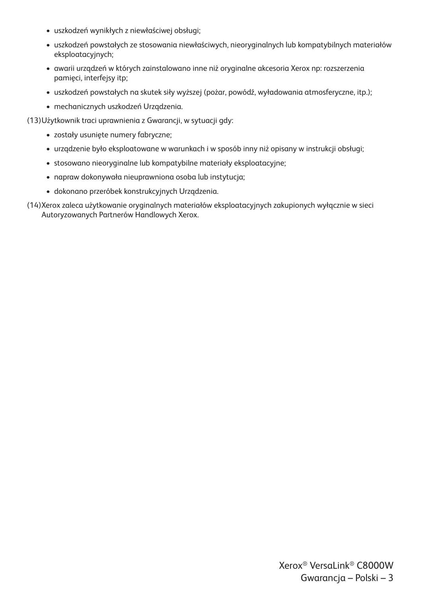- uszkodzeń wynikłych z niewłaściwej obsługi;
- uszkodzeń powstałych ze stosowania niewłaściwych, nieoryginalnych lub kompatybilnych materiałów eksploatacyjnych;
- awarii urządzeń w których zainstalowano inne niż oryginalne akcesoria Xerox np: rozszerzenia pamięci, interfejsy itp;
- uszkodzeń powstałych na skutek siły wyższej (pożar, powódź, wyładowania atmosferyczne, itp.);
- mechanicznych uszkodzeń Urządzenia.

(13)Użytkownik traci uprawnienia z Gwarancji, w sytuacji gdy:

- zostały usunięte numery fabryczne;
- urządzenie było eksploatowane w warunkach i w sposób inny niż opisany w instrukcji obsługi;
- stosowano nieoryginalne lub kompatybilne materiały eksploatacyjne;
- napraw dokonywała nieuprawniona osoba lub instytucja;
- dokonano przeróbek konstrukcyjnych Urządzenia.
- (14)Xerox zaleca użytkowanie oryginalnych materiałów eksploatacyjnych zakupionych wyłącznie w sieci Autoryzowanych Partnerów Handlowych Xerox.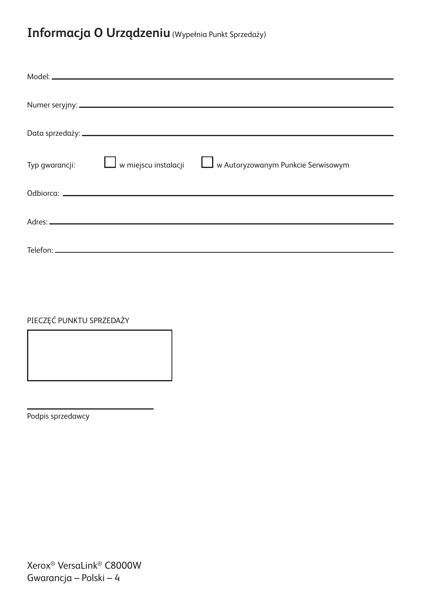#### **Informacja O Urządzeniu** (Wypełnia Punkt Sprzedaży)

| Typ gwarancji:   w miejscu instalacji | w Autoryzowanym Punkcie Serwisowym |
|---------------------------------------|------------------------------------|
|                                       |                                    |
|                                       |                                    |
|                                       |                                    |
|                                       |                                    |
|                                       |                                    |
|                                       |                                    |

PIECZĘĆ PUNKTU SPRZEDAŻY

Podpis sprzedawcy

Xerox® VersaLink® C8000W Gwarancja – Polski – 4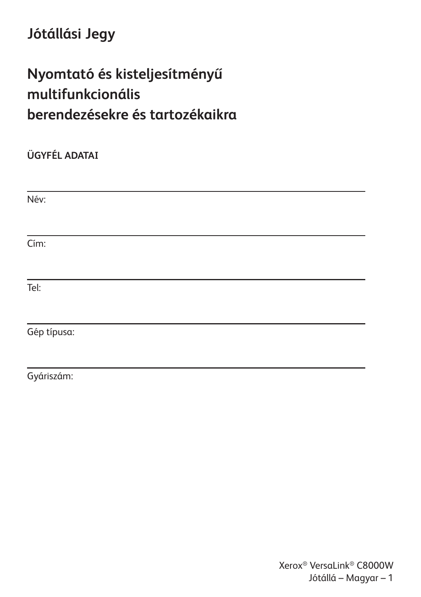## **Jótállási Jegy**

# **Nyomtató és kisteljesítményű multifunkcionális berendezésekre és tartozékaikra**

**ÜGYFÉL ADATAI** Név: Cím: Tel: Gép típusa:

Gyáriszám: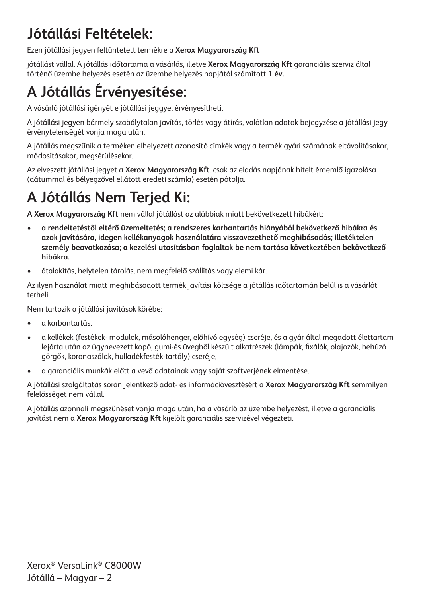# **Jótállási Feltételek:**

Ezen jótállási jegyen feltüntetett termékre a **Xerox Magyarország Kft**

jótállást vállal. A jótállás időtartama a vásárlás, illetve **Xerox Magyarország Kft** garanciális szerviz által történő üzembe helyezés esetén az üzembe helyezés napjától számított **1 év.**

# **A Jótállás Érvényesítése:**

A vásárló jótállási igényét e jótállási jeggyel érvényesítheti.

A jótállási jegyen bármely szabálytalan javítás, törlés vagy átírás, valótlan adatok bejegyzése a jótállási jegy érvénytelenségét vonja maga után.

A jótállás megszűnik a terméken elhelyezett azonosító címkék vagy a termék gyári számának eltávolításakor, módosításakor, megsérülésekor.

Az elveszett jótállási jegyet a **Xerox Magyarország Kft**. csak az eladás napjának hitelt érdemlő igazolása (dátummal és bélyegzővel ellátott eredeti számla) esetén pótolja.

## **A Jótállás Nem Terjed Ki:**

**A Xerox Magyarország Kft** nem vállal jótállást az alábbiak miatt bekövetkezett hibákért:

- **a rendeltetéstől eltérő üzemeltetés; a rendszeres karbantartás hiányából bekövetkező hibákra és azok javítására, idegen kellékanyagok használatára visszavezethető meghibásodás; illetéktelen személy beavatkozása; a kezelési utasításban foglaltak be nem tartása következtében bekövetkező hibákra.**
- átalakítás, helytelen tárolás, nem megfelelő szállítás vagy elemi kár.

Az ilyen használat miatt meghibásodott termék javítási költsége a jótállás időtartamán belül is a vásárlót terheli.

Nem tartozik a jótállási javítások körébe:

- a karbantartás,
- a kellékek (festékek- modulok, másolóhenger, előhívó egység) cseréje, és a gyár által megadott élettartam lejárta után az úgynevezett kopó, gumi-és üvegből készült alkatrészek (lámpák, fixálók, olajozók, behúzó görgők, koronaszálak, hulladékfesték-tartály) cseréje,
- a garanciális munkák előtt a vevő adatainak vagy saját szoftverjének elmentése.

A jótállási szolgáltatás során jelentkező adat- és információvesztésért a **Xerox Magyarország Kft** semmilyen felelősséget nem vállal.

A jótállás azonnali megszűnését vonja maga után, ha a vásárló az üzembe helyezést, illetve a garanciális javítást nem a **Xerox Magyarország Kft** kijelölt garanciális szervizével végezteti.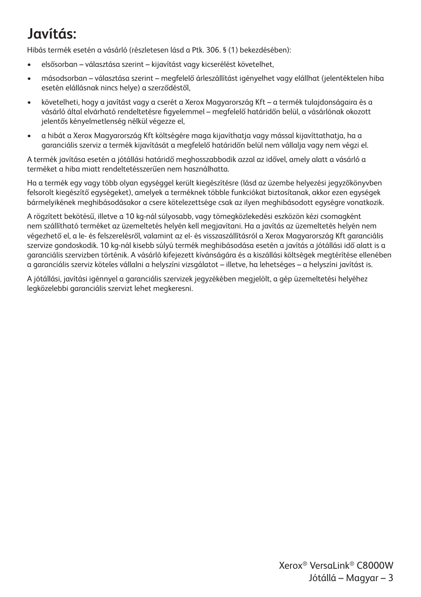# **Javítás:**

Hibás termék esetén a vásárló (részletesen lásd a Ptk. 306. § (1) bekezdésében):

- elsősorban választása szerint kijavítást vagy kicserélést követelhet,
- másodsorban választása szerint megfelelő árleszállítást igényelhet vagy elállhat (jelentéktelen hiba esetén elállásnak nincs helye) a szerződéstől,
- követelheti, hogy a javítást vagy a cserét a Xerox Magyarország Kft a termék tulajdonságaira és a vásárló által elvárható rendeltetésre figyelemmel – megfelelő határidőn belül, a vásárlónak okozott jelentős kényelmetlenség nélkül végezze el,
- a hibát a Xerox Magyarország Kft költségére maga kijavíthatja vagy mással kijavíttathatja, ha a garanciális szerviz a termék kijavítását a megfelelő határidőn belül nem vállalja vagy nem végzi el.

A termék javítása esetén a jótállási határidő meghosszabbodik azzal az idővel, amely alatt a vásárló a terméket a hiba miatt rendeltetésszerűen nem használhatta.

Ha a termék egy vagy több olyan egységgel került kiegészítésre (lásd az üzembe helyezési jegyzőkönyvben felsorolt kiegészítő egységeket), amelyek a terméknek többle funkciókat biztosítanak, akkor ezen egységek bármelyikének meghibásodásakor a csere kötelezettsége csak az ilyen meghibásodott egységre vonatkozik.

A rögzített bekötésű, illetve a 10 kg-nál súlyosabb, vagy tömegközlekedési eszközön kézi csomagként nem szállítható terméket az üzemeltetés helyén kell megjavítani. Ha a javítás az üzemeltetés helyén nem végezhető el, a le- és felszerelésről, valamint az el- és visszaszállításról a Xerox Magyarország Kft garanciális szervize gondoskodik. 10 kg-nál kisebb súlyú termék meghibásodása esetén a javítás a jótállási idő alatt is a garanciális szervizben történik. A vásárló kifejezett kívánságára és a kiszállási költségek megtérítése ellenében a garanciális szerviz köteles vállalni a helyszíni vizsgálatot – illetve, ha lehetséges – a helyszíni javítást is.

A jótállási, javítási igénnyel a garanciális szervizek jegyzékében megjelölt, a gép üzemeltetési helyéhez legközelebbi garanciális szervizt lehet megkeresni.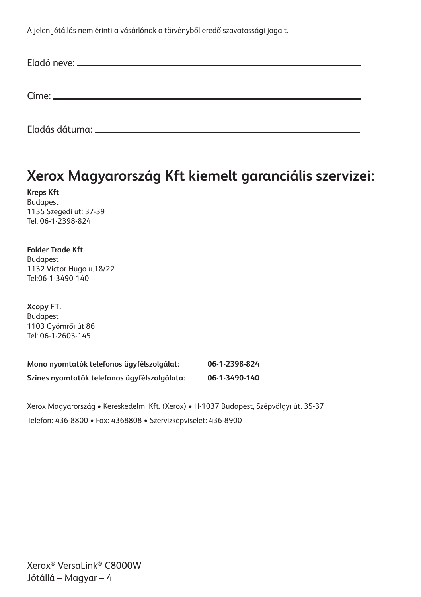A jelen jótállás nem érinti a vásárlónak a törvényből eredő szavatossági jogait.

## **Xerox Magyarország Kft kiemelt garanciális szervizei:**

**Kreps Kft** Budapest 1135 Szegedi út: 37-39 Tel: 06-1-2398-824

**Folder Trade Kft.** Budapest 1132 Victor Hugo u.18/22 Tel:06-1-3490-140

**Xcopy FT.** Budapest 1103 Gyömrői út 86 Tel: 06-1-2603-145

| Mono nyomtatók telefonos ügyfélszolgálat:    | 06-1-2398-824 |
|----------------------------------------------|---------------|
| Színes nyomtatók telefonos ügyfélszolgálata: | 06-1-3490-140 |

Xerox Magyarország • Kereskedelmi Kft. (Xerox) • H-1037 Budapest, Szépvölgyi út. 35-37 Telefon: 436-8800 • Fax: 4368808 • Szervizképviselet: 436-8900